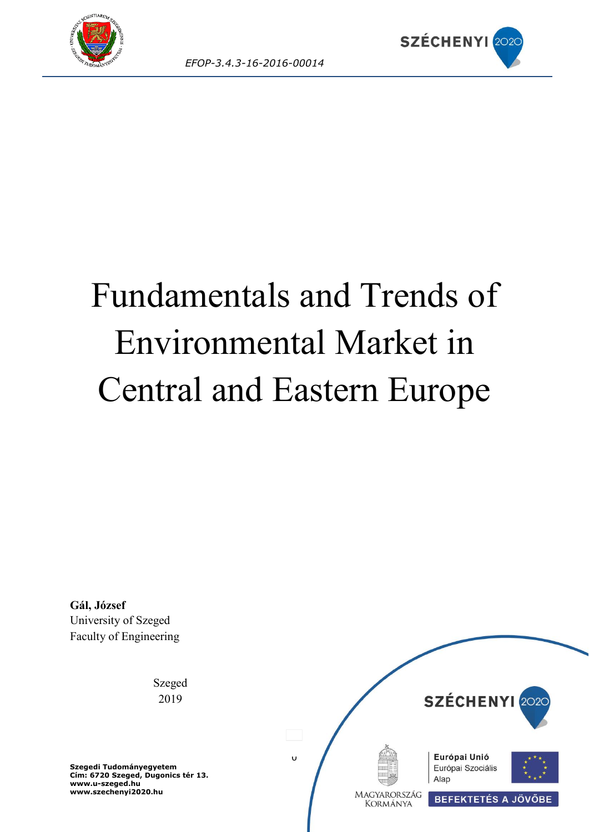



# Fundamentals and Trends of Environmental Market in Central and Eastern Europe

**Gál, József** University of Szeged Faculty of Engineering

> Szeged 2019

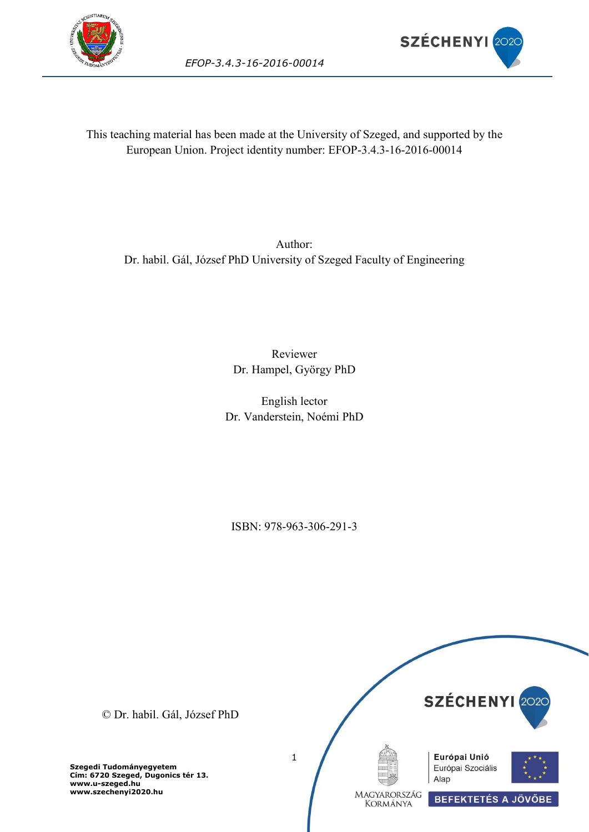



*EFOP-3.4.3-16-2016-00014*

This teaching material has been made at the University of Szeged, and supported by the European Union. Project identity number: EFOP-3.4.3-16-2016-00014

Author: Dr. habil. Gál, József PhD University of Szeged Faculty of Engineering

> Reviewer Dr. Hampel, György PhD

English lector Dr. Vanderstein, Noémi PhD

ISBN: 978-963-306-291-3



© Dr. habil. Gál, József PhD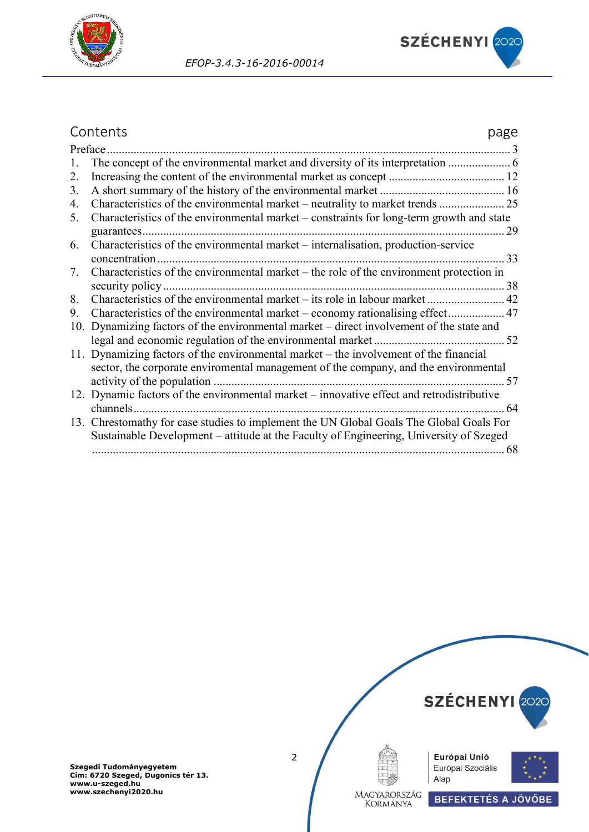



### Contents **page**

|     | Preface.                                                                                                                                                                     |    |  |  |  |
|-----|------------------------------------------------------------------------------------------------------------------------------------------------------------------------------|----|--|--|--|
| 1.  |                                                                                                                                                                              |    |  |  |  |
| 2.  |                                                                                                                                                                              |    |  |  |  |
| 3.  |                                                                                                                                                                              |    |  |  |  |
| 4.  |                                                                                                                                                                              |    |  |  |  |
| 5.  | Characteristics of the environmental market – constraints for long-term growth and state                                                                                     |    |  |  |  |
|     | guarantees.                                                                                                                                                                  | 29 |  |  |  |
| 6.  |                                                                                                                                                                              |    |  |  |  |
|     |                                                                                                                                                                              | 33 |  |  |  |
| 7.  | Characteristics of the environmental market – the role of the environment protection in                                                                                      |    |  |  |  |
|     |                                                                                                                                                                              |    |  |  |  |
| 8.  |                                                                                                                                                                              |    |  |  |  |
| 9.  |                                                                                                                                                                              |    |  |  |  |
| 10. | Dynamizing factors of the environmental market - direct involvement of the state and                                                                                         |    |  |  |  |
|     |                                                                                                                                                                              |    |  |  |  |
|     | 11. Dynamizing factors of the environmental market – the involvement of the financial<br>sector, the corporate enviromental management of the company, and the environmental |    |  |  |  |
|     |                                                                                                                                                                              | 57 |  |  |  |
|     | 12. Dynamic factors of the environmental market – innovative effect and retrodistributive<br>channels                                                                        | 64 |  |  |  |
|     | 13. Chrestomathy for case studies to implement the UN Global Goals The Global Goals For                                                                                      |    |  |  |  |
|     | Sustainable Development – attitude at the Faculty of Engineering, University of Szeged                                                                                       |    |  |  |  |
|     |                                                                                                                                                                              | 68 |  |  |  |

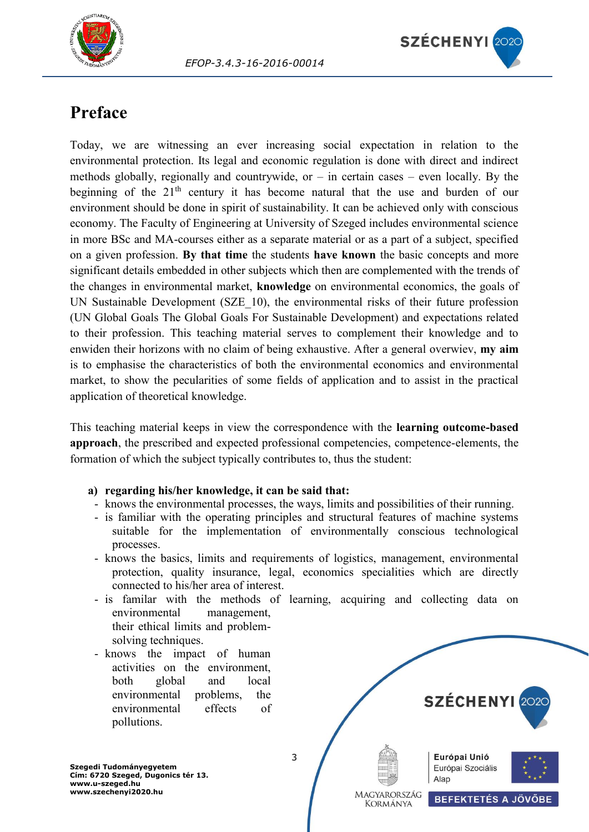



## <span id="page-3-0"></span>**Preface**

Today, we are witnessing an ever increasing social expectation in relation to the environmental protection. Its legal and economic regulation is done with direct and indirect methods globally, regionally and countrywide, or  $-$  in certain cases  $-$  even locally. By the beginning of the  $21<sup>th</sup>$  century it has become natural that the use and burden of our environment should be done in spirit of sustainability. It can be achieved only with conscious economy. The Faculty of Engineering at University of Szeged includes environmental science in more BSc and MA-courses either as a separate material or as a part of a subject, specified on a given profession. **By that time** the students **have known** the basic concepts and more significant details embedded in other subjects which then are complemented with the trends of the changes in environmental market, **knowledge** on environmental economics, the goals of UN Sustainable Development (SZE 10), the environmental risks of their future profession (UN Global Goals The Global Goals For Sustainable Development) and expectations related to their profession. This teaching material serves to complement their knowledge and to enwiden their horizons with no claim of being exhaustive. After a general overwiev, **my aim** is to emphasise the characteristics of both the environmental economics and environmental market, to show the pecularities of some fields of application and to assist in the practical application of theoretical knowledge.

This teaching material keeps in view the correspondence with the **learning outcome-based approach**, the prescribed and expected professional competencies, competence-elements, the formation of which the subject typically contributes to, thus the student:

- **a) regarding his/her knowledge, it can be said that:**
	- knows the environmental processes, the ways, limits and possibilities of their running.
	- is familiar with the operating principles and structural features of machine systems suitable for the implementation of environmentally conscious technological processes.
	- knows the basics, limits and requirements of logistics, management, environmental protection, quality insurance, legal, economics specialities which are directly connected to his/her area of interest.
	- is familar with the methods of learning, acquiring and collecting data on environmental management, their ethical limits and problemsolving techniques.
	- knows the impact of human activities on the environment, both global and local environmental problems, the environmental effects of pollutions.

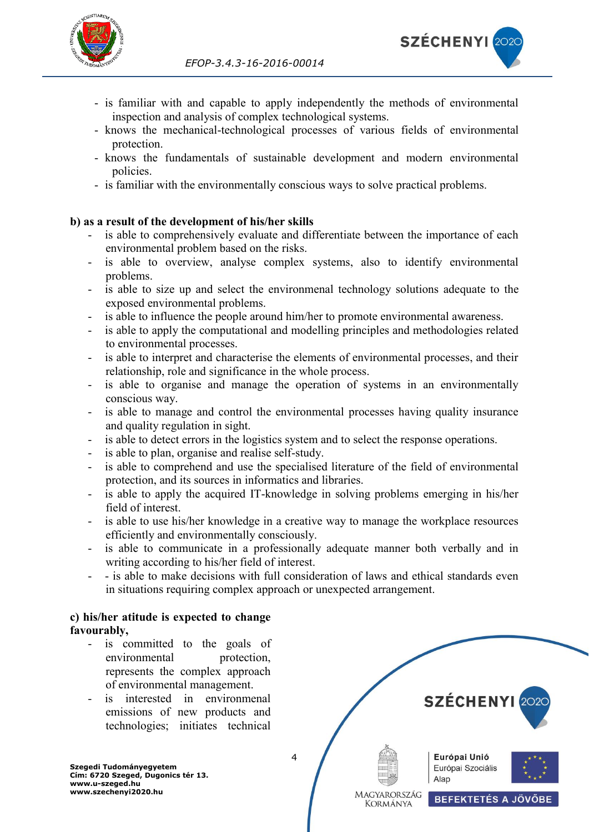



SZÉCHENYI 202

- knows the mechanical-technological processes of various fields of environmental protection.
- knows the fundamentals of sustainable development and modern environmental policies.
- is familiar with the environmentally conscious ways to solve practical problems.

#### <span id="page-4-0"></span>**b) as a result of the development of his/her skills**

- is able to comprehensively evaluate and differentiate between the importance of each environmental problem based on the risks.
- is able to overview, analyse complex systems, also to identify environmental problems.
- is able to size up and select the environmenal technology solutions adequate to the exposed environmental problems.
- is able to influence the people around him/her to promote environmental awareness.
- is able to apply the computational and modelling principles and methodologies related to environmental processes.
- is able to interpret and characterise the elements of environmental processes, and their relationship, role and significance in the whole process.
- is able to organise and manage the operation of systems in an environmentally conscious way.
- is able to manage and control the environmental processes having quality insurance and quality regulation in sight.
- is able to detect errors in the logistics system and to select the response operations.
- is able to plan, organise and realise self-study.
- is able to comprehend and use the specialised literature of the field of environmental protection, and its sources in informatics and libraries.
- is able to apply the acquired IT-knowledge in solving problems emerging in his/her field of interest.
- is able to use his/her knowledge in a creative way to manage the workplace resources efficiently and environmentally consciously.
- is able to communicate in a professionally adequate manner both verbally and in writing according to his/her field of interest.
- is able to make decisions with full consideration of laws and ethical standards even in situations requiring complex approach or unexpected arrangement.

#### **c) his/her atitude is expected to change favourably,**

- is committed to the goals of environmental protection, represents the complex approach of environmental management.
- is interested in environmenal emissions of new products and technologies; initiates technical

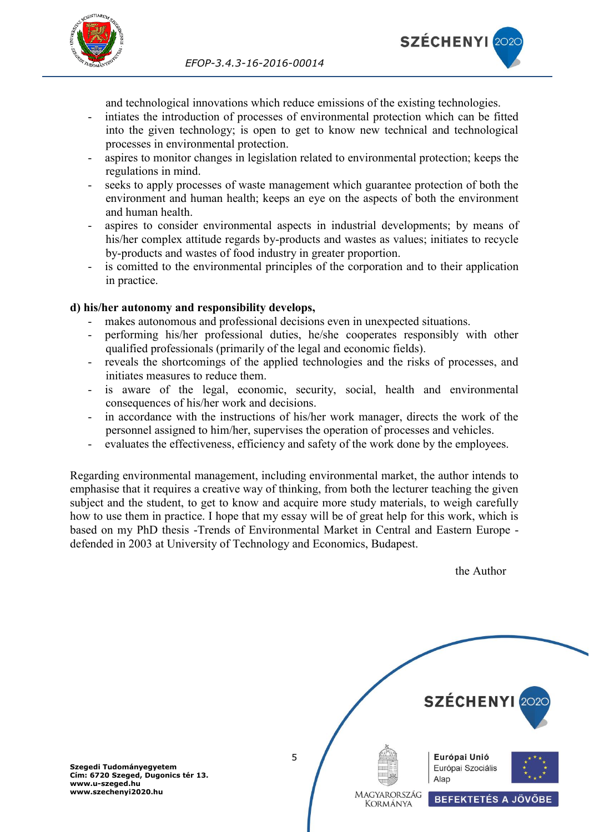

SZÉCHENYI 202

and technological innovations which reduce emissions of the existing technologies.

- intiates the introduction of processes of environmental protection which can be fitted into the given technology; is open to get to know new technical and technological processes in environmental protection.
- aspires to monitor changes in legislation related to environmental protection; keeps the regulations in mind.
- seeks to apply processes of waste management which guarantee protection of both the environment and human health; keeps an eye on the aspects of both the environment and human health.
- aspires to consider environmental aspects in industrial developments; by means of his/her complex attitude regards by-products and wastes as values; initiates to recycle by-products and wastes of food industry in greater proportion.
- is comitted to the environmental principles of the corporation and to their application in practice.

#### **d) his/her autonomy and responsibility develops,**

- makes autonomous and professional decisions even in unexpected situations.
- performing his/her professional duties, he/she cooperates responsibly with other qualified professionals (primarily of the legal and economic fields).
- reveals the shortcomings of the applied technologies and the risks of processes, and initiates measures to reduce them.
- is aware of the legal, economic, security, social, health and environmental consequences of his/her work and decisions.
- in accordance with the instructions of his/her work manager, directs the work of the personnel assigned to him/her, supervises the operation of processes and vehicles.
- evaluates the effectiveness, efficiency and safety of the work done by the employees.

Regarding environmental management, including environmental market, the author intends to emphasise that it requires a creative way of thinking, from both the lecturer teaching the given subject and the student, to get to know and acquire more study materials, to weigh carefully how to use them in practice. I hope that my essay will be of great help for this work, which is based on my PhD thesis -Trends of Environmental Market in Central and Eastern Europe defended in 2003 at University of Technology and Economics, Budapest.

the Author



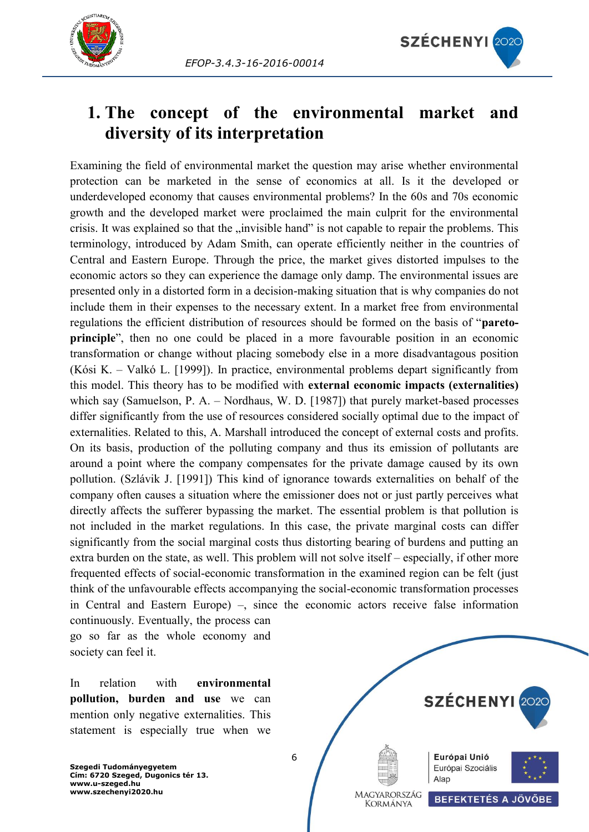

<span id="page-6-1"></span>

## <span id="page-6-0"></span>**1. The concept of the environmental market and diversity of its interpretation**

Examining the field of environmental market the question may arise whether environmental protection can be marketed in the sense of economics at all. Is it the developed or underdeveloped economy that causes environmental problems? In the 60s and 70s economic growth and the developed market were proclaimed the main culprit for the environmental crisis. It was explained so that the "invisible hand" is not capable to repair the problems. This terminology, introduced by Adam Smith, can operate efficiently neither in the countries of Central and Eastern Europe. Through the price, the market gives distorted impulses to the economic actors so they can experience the damage only damp. The environmental issues are presented only in a distorted form in a decision-making situation that is why companies do not include them in their expenses to the necessary extent. In a market free from environmental regulations the efficient distribution of resources should be formed on the basis of "**paretoprinciple**", then no one could be placed in a more favourable position in an economic transformation or change without placing somebody else in a more disadvantagous position (Kósi K. – Valkó L. [1999]). In practice, environmental problems depart significantly from this model. This theory has to be modified with **external economic impacts (externalities)** which say (Samuelson, P. A. – Nordhaus, W. D. [1987]) that purely market-based processes differ significantly from the use of resources considered socially optimal due to the impact of externalities. Related to this, A. Marshall introduced the concept of external costs and profits. On its basis, production of the polluting company and thus its emission of pollutants are around a point where the company compensates for the private damage caused by its own pollution. (Szlávik J. [1991]) This kind of ignorance towards externalities on behalf of the company often causes a situation where the emissioner does not or just partly perceives what directly affects the sufferer bypassing the market. The essential problem is that pollution is not included in the market regulations. In this case, the private marginal costs can differ significantly from the social marginal costs thus distorting bearing of burdens and putting an extra burden on the state, as well. This problem will not solve itself – especially, if other more frequented effects of social-economic transformation in the examined region can be felt (just think of the unfavourable effects accompanying the social-economic transformation processes in Central and Eastern Europe) –, since the economic actors receive false information

continuously. Eventually, the process can go so far as the whole economy and society can feel it.

In relation with **environmental pollution, burden and use** we can mention only negative externalities. This statement is especially true when we

<span id="page-6-3"></span><span id="page-6-2"></span>**SZÉCHENYI** 2020 Európai Unió Európai Szociális Alap MAGYARORSZÁG **BEFEKTETÉS A JÖVŐBE KORMÁNYA**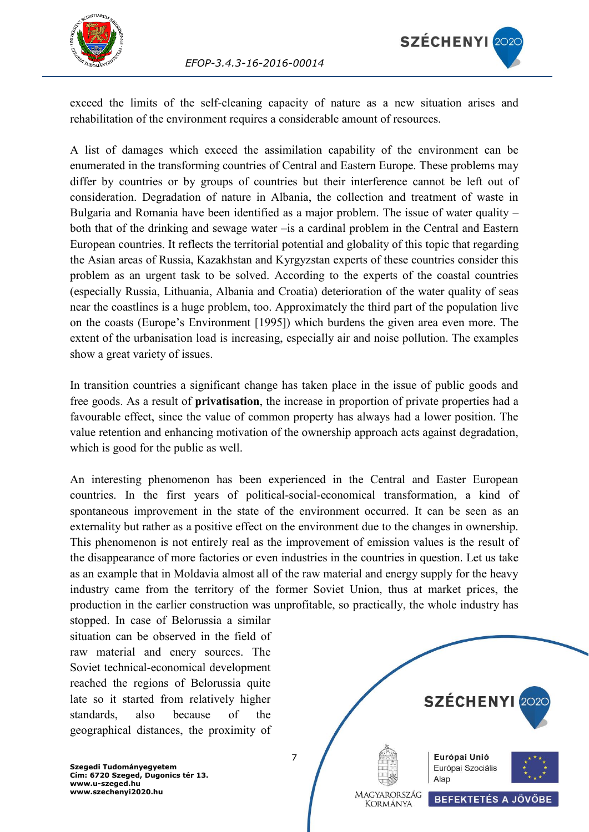



exceed the limits of the self-cleaning capacity of nature as a new situation arises and rehabilitation of the environment requires a considerable amount of resources.

A list of damages which exceed the assimilation capability of the environment can be enumerated in the transforming countries of Central and Eastern Europe. These problems may differ by countries or by groups of countries but their interference cannot be left out of consideration. Degradation of nature in Albania, the collection and treatment of waste in Bulgaria and Romania have been identified as a major problem. The issue of water quality – both that of the drinking and sewage water –is a cardinal problem in the Central and Eastern European countries. It reflects the territorial potential and globality of this topic that regarding the Asian areas of Russia, Kazakhstan and Kyrgyzstan experts of these countries consider this problem as an urgent task to be solved. According to the experts of the coastal countries (especially Russia, Lithuania, Albania and Croatia) deterioration of the water quality of seas near the coastlines is a huge problem, too. Approximately the third part of the population live on the coasts (Europe's Environment [1995]) which burdens the given area even more. The extent of the urbanisation load is increasing, especially air and noise pollution. The examples show a great variety of issues.

<span id="page-7-0"></span>In transition countries a significant change has taken place in the issue of public goods and free goods. As a result of **privatisation**, the increase in proportion of private properties had a favourable effect, since the value of common property has always had a lower position. The value retention and enhancing motivation of the ownership approach acts against degradation, which is good for the public as well.

An interesting phenomenon has been experienced in the Central and Easter European countries. In the first years of political-social-economical transformation, a kind of spontaneous improvement in the state of the environment occurred. It can be seen as an externality but rather as a positive effect on the environment due to the changes in ownership. This phenomenon is not entirely real as the improvement of emission values is the result of the disappearance of more factories or even industries in the countries in question. Let us take as an example that in Moldavia almost all of the raw material and energy supply for the heavy industry came from the territory of the former Soviet Union, thus at market prices, the production in the earlier construction was unprofitable, so practically, the whole industry has

stopped. In case of Belorussia a similar situation can be observed in the field of raw material and enery sources. The Soviet technical-economical development reached the regions of Belorussia quite late so it started from relatively higher standards, also because of the geographical distances, the proximity of

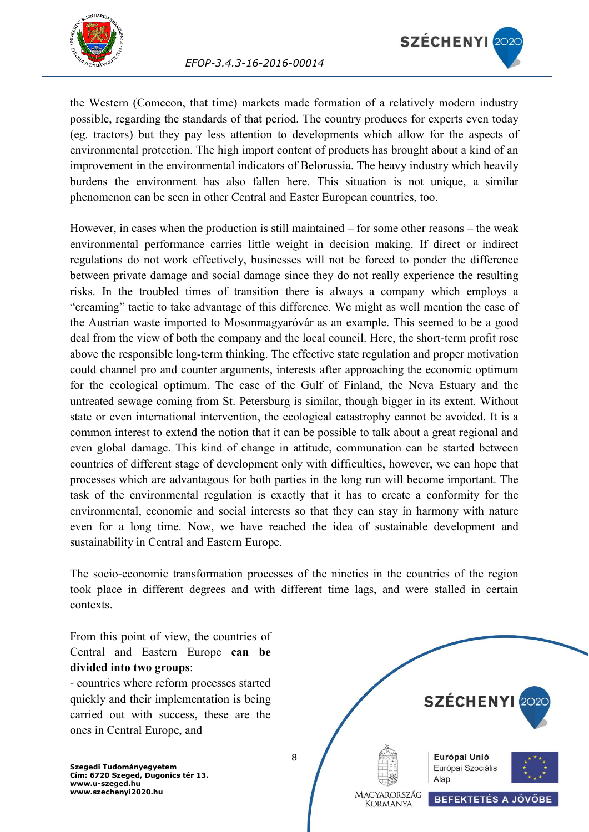



the Western (Comecon, that time) markets made formation of a relatively modern industry possible, regarding the standards of that period. The country produces for experts even today (eg. tractors) but they pay less attention to developments which allow for the aspects of environmental protection. The high import content of products has brought about a kind of an improvement in the environmental indicators of Belorussia. The heavy industry which heavily burdens the environment has also fallen here. This situation is not unique, a similar phenomenon can be seen in other Central and Easter European countries, too.

However, in cases when the production is still maintained – for some other reasons – the weak environmental performance carries little weight in decision making. If direct or indirect regulations do not work effectively, businesses will not be forced to ponder the difference between private damage and social damage since they do not really experience the resulting risks. In the troubled times of transition there is always a company which employs a "creaming" tactic to take advantage of this difference. We might as well mention the case of the Austrian waste imported to Mosonmagyaróvár as an example. This seemed to be a good deal from the view of both the company and the local council. Here, the short-term profit rose above the responsible long-term thinking. The effective state regulation and proper motivation could channel pro and counter arguments, interests after approaching the economic optimum for the ecological optimum. The case of the Gulf of Finland, the Neva Estuary and the untreated sewage coming from St. Petersburg is similar, though bigger in its extent. Without state or even international intervention, the ecological catastrophy cannot be avoided. It is a common interest to extend the notion that it can be possible to talk about a great regional and even global damage. This kind of change in attitude, communation can be started between countries of different stage of development only with difficulties, however, we can hope that processes which are advantagous for both parties in the long run will become important. The task of the environmental regulation is exactly that it has to create a conformity for the environmental, economic and social interests so that they can stay in harmony with nature even for a long time. Now, we have reached the idea of sustainable development and sustainability in Central and Eastern Europe.

The socio-economic transformation processes of the nineties in the countries of the region took place in different degrees and with different time lags, and were stalled in certain contexts.

From this point of view, the countries of Central and Eastern Europe **can be divided into two groups**:

- countries where reform processes started quickly and their implementation is being carried out with success, these are the ones in Central Europe, and

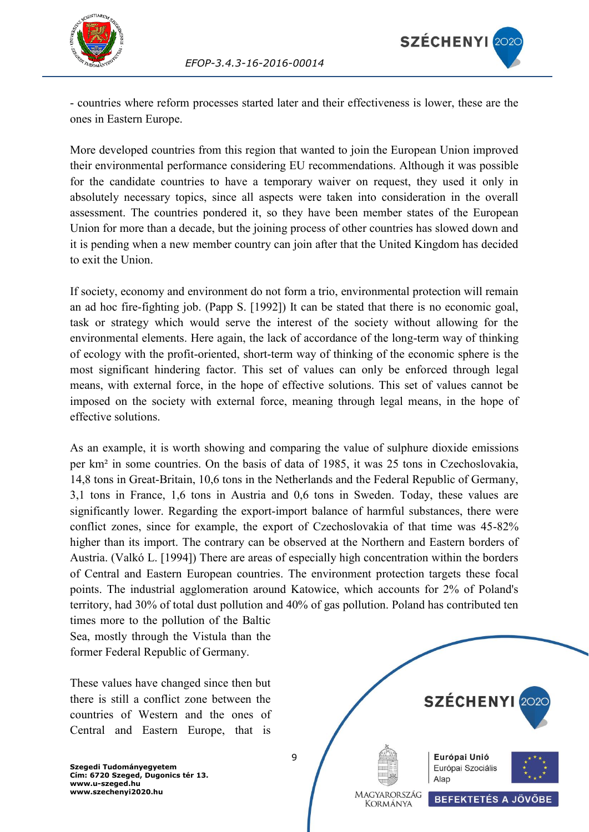



- countries where reform processes started later and their effectiveness is lower, these are the ones in Eastern Europe.

More developed countries from this region that wanted to join the European Union improved their environmental performance considering EU recommendations. Although it was possible for the candidate countries to have a temporary waiver on request, they used it only in absolutely necessary topics, since all aspects were taken into consideration in the overall assessment. The countries pondered it, so they have been member states of the European Union for more than a decade, but the joining process of other countries has slowed down and it is pending when a new member country can join after that the United Kingdom has decided to exit the Union.

If society, economy and environment do not form a trio, environmental protection will remain an ad hoc fire-fighting job. (Papp S. [1992]) It can be stated that there is no economic goal, task or strategy which would serve the interest of the society without allowing for the environmental elements. Here again, the lack of accordance of the long-term way of thinking of ecology with the profit-oriented, short-term way of thinking of the economic sphere is the most significant hindering factor. This set of values can only be enforced through legal means, with external force, in the hope of effective solutions. This set of values cannot be imposed on the society with external force, meaning through legal means, in the hope of effective solutions.

As an example, it is worth showing and comparing the value of sulphure dioxide emissions per km² in some countries. On the basis of data of 1985, it was 25 tons in Czechoslovakia, 14,8 tons in Great-Britain, 10,6 tons in the Netherlands and the Federal Republic of Germany, 3,1 tons in France, 1,6 tons in Austria and 0,6 tons in Sweden. Today, these values are significantly lower. Regarding the export-import balance of harmful substances, there were conflict zones, since for example, the export of Czechoslovakia of that time was 45-82% higher than its import. The contrary can be observed at the Northern and Eastern borders of Austria. (Valkó L. [1994]) There are areas of especially high concentration within the borders of Central and Eastern European countries. The environment protection targets these focal points. The industrial agglomeration around Katowice, which accounts for 2% of Poland's territory, had 30% of total dust pollution and 40% of gas pollution. Poland has contributed ten

times more to the pollution of the Baltic Sea, mostly through the Vistula than the former Federal Republic of Germany.

These values have changed since then but there is still a conflict zone between the countries of Western and the ones of Central and Eastern Europe, that is

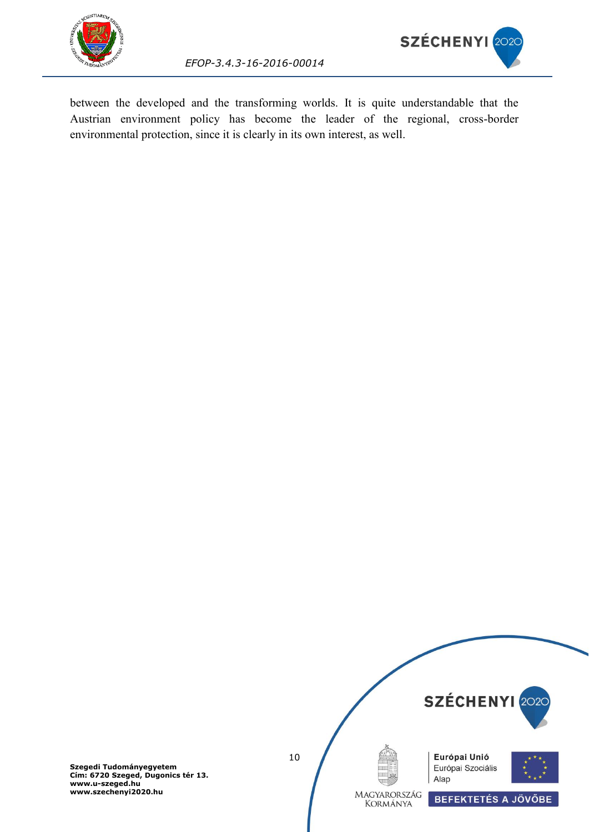



*EFOP-3.4.3-16-2016-00014*

between the developed and the transforming worlds. It is quite understandable that the Austrian environment policy has become the leader of the regional, cross-border environmental protection, since it is clearly in its own interest, as well.

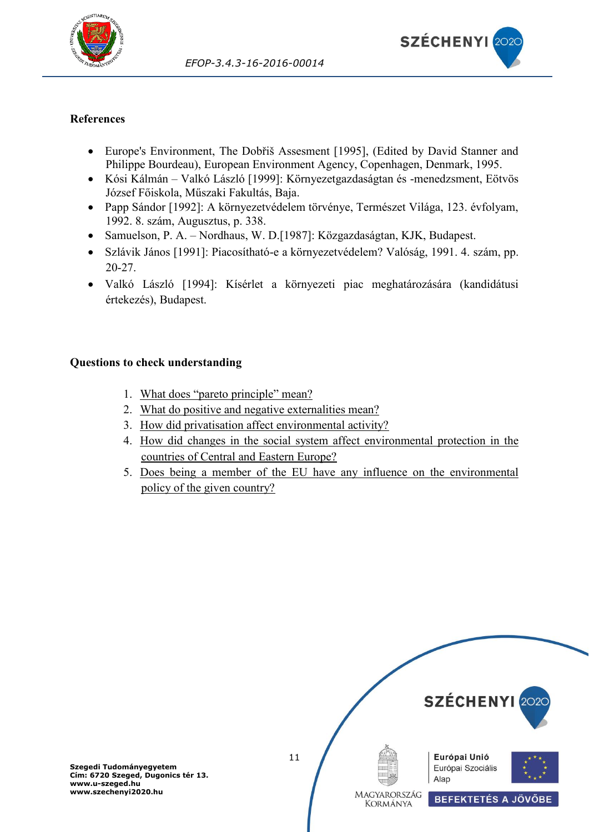



#### **References**

- Europe's Environment, The Dobřiš Assesment [1995], (Edited by David Stanner and Philippe Bourdeau), European Environment Agency, Copenhagen, Denmark, 1995.
- Kósi Kálmán Valkó László [1999]: Környezetgazdaságtan és -menedzsment, Eötvös József Főiskola, Műszaki Fakultás, Baja.
- Papp Sándor [1992]: A környezetvédelem törvénye, Természet Világa, 123. évfolyam, 1992. 8. szám, Augusztus, p. 338.
- Samuelson, P. A. Nordhaus, W. D.[1987]: Közgazdaságtan, KJK, Budapest.
- Szlávik János [1991]: Piacosítható-e a környezetvédelem? Valóság, 1991. 4. szám, pp. 20-27.
- Valkó László [1994]: Kísérlet a környezeti piac meghatározására (kandidátusi értekezés), Budapest.

#### **Questions to check understanding**

- 1. [What does "pareto principle"](#page-6-1) mean?
- 2. What do positive and [negative externalities mean?](#page-6-2)
- 3. [How did privatisation affect environmental activity?](#page-7-0)
- 4. [How did changes in the social system affect environmental protection in the](#page-6-3)  [countries of Central and Eastern Europe?](#page-6-3)
- 5. [Does being a member of the EU have any influence on the environmental](#page-4-0)  [policy of the given country?](#page-4-0)

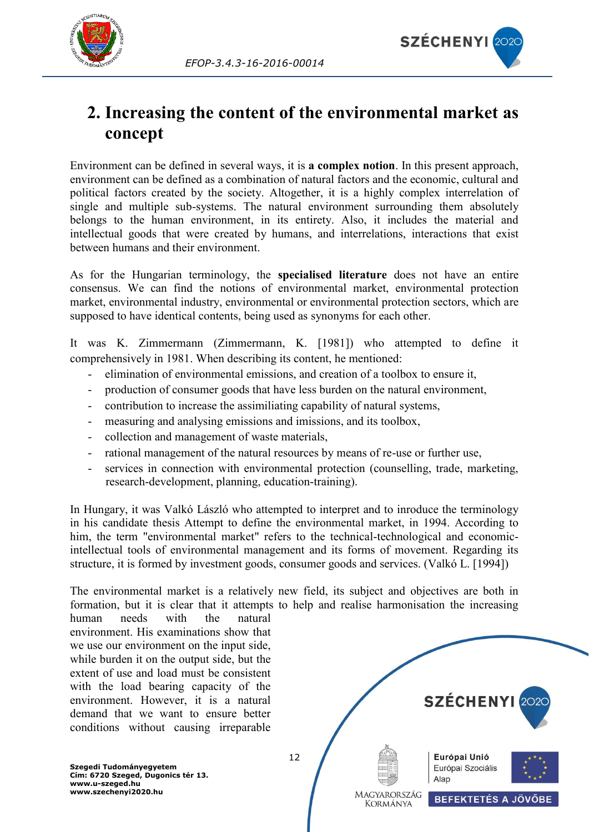

<span id="page-12-1"></span>

## <span id="page-12-0"></span>**2. Increasing the content of the environmental market as concept**

Environment can be defined in several ways, it is **a complex notion**. In this present approach, environment can be defined as a combination of natural factors and the economic, cultural and political factors created by the society. Altogether, it is a highly complex interrelation of single and multiple sub-systems. The natural environment surrounding them absolutely belongs to the human environment, in its entirety. Also, it includes the material and intellectual goods that were created by humans, and interrelations, interactions that exist between humans and their environment.

As for the Hungarian terminology, the **specialised literature** does not have an entire consensus. We can find the notions of environmental market, environmental protection market, environmental industry, environmental or environmental protection sectors, which are supposed to have identical contents, being used as synonyms for each other.

It was K. Zimmermann (Zimmermann, K. [1981]) who attempted to define it comprehensively in 1981. When describing its content, he mentioned:

- elimination of environmental emissions, and creation of a toolbox to ensure it
- production of consumer goods that have less burden on the natural environment,
- contribution to increase the assimiliating capability of natural systems,
- measuring and analysing emissions and imissions, and its toolbox,
- collection and management of waste materials,
- rational management of the natural resources by means of re-use or further use,
- services in connection with environmental protection (counselling, trade, marketing, research-development, planning, education-training).

In Hungary, it was Valkó László who attempted to interpret and to inroduce the terminology in his candidate thesis Attempt to define the environmental market, in 1994. According to him, the term "environmental market" refers to the technical-technological and economicintellectual tools of environmental management and its forms of movement. Regarding its structure, it is formed by investment goods, consumer goods and services. (Valkó L. [1994])

The environmental market is a relatively new field, its subject and objectives are both in formation, but it is clear that it attempts to help and realise harmonisation the increasing

human needs with the natural environment. His examinations show that we use our environment on the input side, while burden it on the output side, but the extent of use and load must be consistent with the load bearing capacity of the environment. However, it is a natural demand that we want to ensure better conditions without causing irreparable

SZÉCHENYI 202 12 Európai Unió Európai Szociális Alap MAGYARORSZÁG **BEFEKTETÉS A JÖVŐBE KORMÁNYA**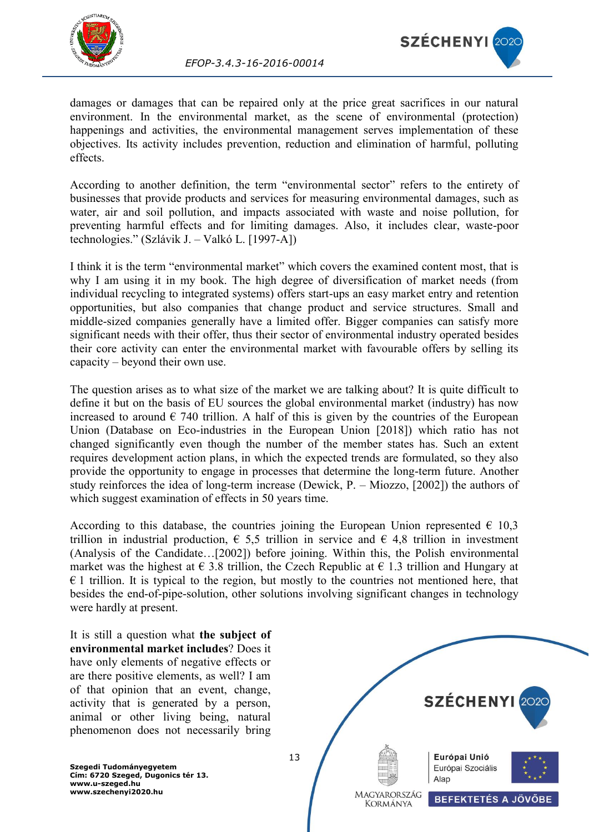



damages or damages that can be repaired only at the price great sacrifices in our natural environment. In the environmental market, as the scene of environmental (protection) happenings and activities, the environmental management serves implementation of these objectives. Its activity includes prevention, reduction and elimination of harmful, polluting effects.

According to another definition, the term "environmental sector" refers to the entirety of businesses that provide products and services for measuring environmental damages, such as water, air and soil pollution, and impacts associated with waste and noise pollution, for preventing harmful effects and for limiting damages. Also, it includes clear, waste-poor technologies." (Szlávik J. – Valkó L. [1997-A])

<span id="page-13-0"></span>I think it is the term "environmental market" which covers the examined content most, that is why I am using it in my book. The high degree of diversification of market needs (from individual recycling to integrated systems) offers start-ups an easy market entry and retention opportunities, but also companies that change product and service structures. Small and middle-sized companies generally have a limited offer. Bigger companies can satisfy more significant needs with their offer, thus their sector of environmental industry operated besides their core activity can enter the environmental market with favourable offers by selling its capacity – beyond their own use.

The question arises as to what size of the market we are talking about? It is quite difficult to define it but on the basis of EU sources the global environmental market (industry) has now increased to around  $\epsilon$  740 trillion. A half of this is given by the countries of the European Union (Database on Eco-industries in the European Union [2018]) which ratio has not changed significantly even though the number of the member states has. Such an extent requires development action plans, in which the expected trends are formulated, so they also provide the opportunity to engage in processes that determine the long-term future. Another study reinforces the idea of long-term increase (Dewick, P. – Miozzo, [2002]) the authors of which suggest examination of effects in 50 years time.

According to this database, the countries joining the European Union represented  $\epsilon$  10.3 trillion in industrial production,  $\epsilon$  5,5 trillion in service and  $\epsilon$  4,8 trillion in investment (Analysis of the Candidate…[2002]) before joining. Within this, the Polish environmental market was the highest at  $\epsilon$  3.8 trillion, the Czech Republic at  $\epsilon$  1.3 trillion and Hungary at  $\epsilon$  1 trillion. It is typical to the region, but mostly to the countries not mentioned here, that besides the end-of-pipe-solution, other solutions involving significant changes in technology were hardly at present.

It is still a question what **the subject of environmental market includes**? Does it have only elements of negative effects or are there positive elements, as well? I am of that opinion that an event, change, activity that is generated by a person, animal or other living being, natural phenomenon does not necessarily bring

<span id="page-13-1"></span>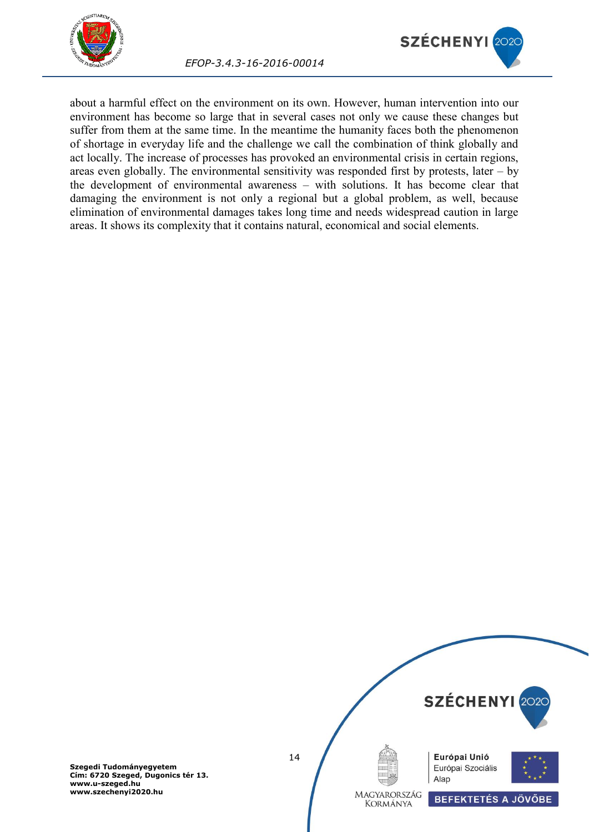



*EFOP-3.4.3-16-2016-00014*

about a harmful effect on the environment on its own. However, human intervention into our environment has become so large that in several cases not only we cause these changes but suffer from them at the same time. In the meantime the humanity faces both the phenomenon of shortage in everyday life and the challenge we call the combination of think globally and act locally. The increase of processes has provoked an environmental crisis in certain regions, areas even globally. The environmental sensitivity was responded first by protests, later – by the development of environmental awareness – with solutions. It has become clear that damaging the environment is not only a regional but a global problem, as well, because elimination of environmental damages takes long time and needs widespread caution in large areas. It shows its complexity that it contains natural, economical and social elements.

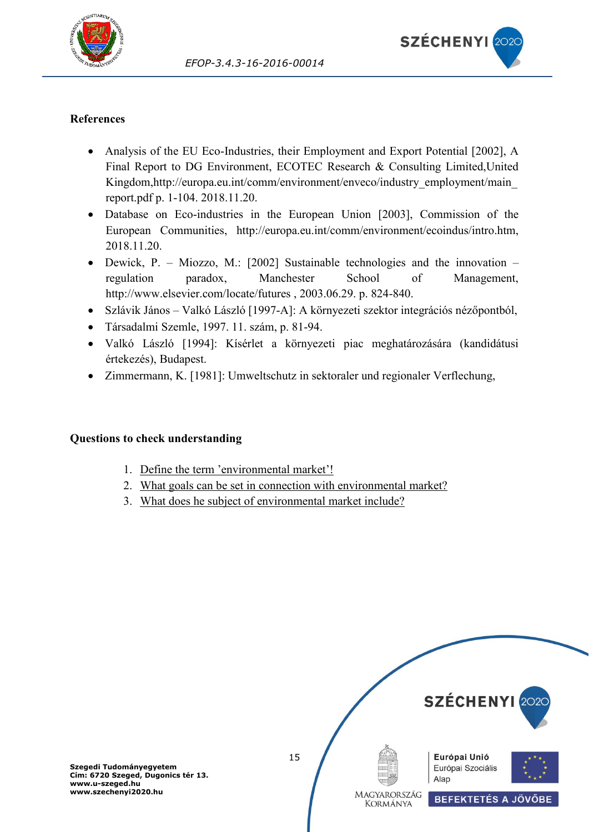



#### **References**

- Analysis of the EU Eco-Industries, their Employment and Export Potential [2002], A Final Report to DG Environment, ECOTEC Research & Consulting Limited,United Kingdom,http://europa.eu.int/comm/environment/enveco/industry\_employment/main report.pdf p. 1-104. 2018.11.20.
- Database on Eco-industries in the European Union [2003], Commission of the European Communities, http://europa.eu.int/comm/environment/ecoindus/intro.htm, 2018.11.20.
- Dewick, P. Miozzo, M.: [2002] Sustainable technologies and the innovation regulation paradox, Manchester School of Management, http://www.elsevier.com/locate/futures , 2003.06.29. p. 824-840.
- Szlávik János Valkó László [1997-A]: A környezeti szektor integrációs nézőpontból,
- Társadalmi Szemle, 1997. 11. szám, p. 81-94.
- Valkó László [1994]: Kísérlet a környezeti piac meghatározására (kandidátusi értekezés), Budapest.
- Zimmermann, K. [1981]: Umweltschutz in sektoraler und regionaler Verflechung,

#### **Questions to check understanding**

- 1. [Define the term 'environmental market'!](#page-12-1)
- 2. [What goals can be set in connection with environmental market?](#page-13-0)
- 3. [What does he subject of environmental market include?](#page-13-1)

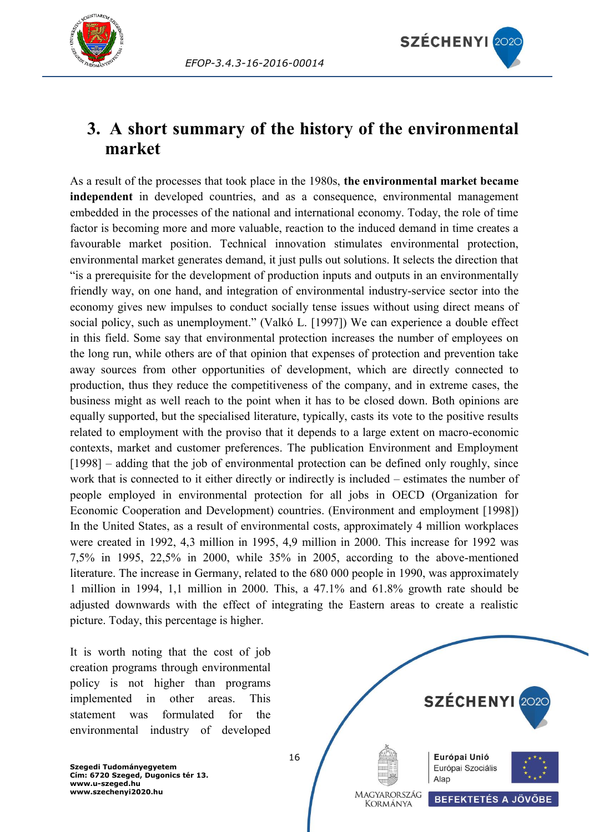



## <span id="page-16-0"></span>**3. A short summary of the history of the environmental market**

<span id="page-16-1"></span>As a result of the processes that took place in the 1980s, **the environmental market became independent** in developed countries, and as a consequence, environmental management embedded in the processes of the national and international economy. Today, the role of time factor is becoming more and more valuable, reaction to the induced demand in time creates a favourable market position. Technical innovation stimulates environmental protection, environmental market generates demand, it just pulls out solutions. It selects the direction that "is a prerequisite for the development of production inputs and outputs in an environmentally friendly way, on one hand, and integration of environmental industry-service sector into the economy gives new impulses to conduct socially tense issues without using direct means of social policy, such as unemployment." (Valkó L. [1997]) We can experience a double effect in this field. Some say that environmental protection increases the number of employees on the long run, while others are of that opinion that expenses of protection and prevention take away sources from other opportunities of development, which are directly connected to production, thus they reduce the competitiveness of the company, and in extreme cases, the business might as well reach to the point when it has to be closed down. Both opinions are equally supported, but the specialised literature, typically, casts its vote to the positive results related to employment with the proviso that it depends to a large extent on macro-economic contexts, market and customer preferences. The publication Environment and Employment [1998] – adding that the job of environmental protection can be defined only roughly, since work that is connected to it either directly or indirectly is included – estimates the number of people employed in environmental protection for all jobs in OECD (Organization for Economic Cooperation and Development) countries. (Environment and employment [1998]) In the United States, as a result of environmental costs, approximately 4 million workplaces were created in 1992, 4,3 million in 1995, 4,9 million in 2000. This increase for 1992 was 7,5% in 1995, 22,5% in 2000, while 35% in 2005, according to the above-mentioned literature. The increase in Germany, related to the 680 000 people in 1990, was approximately 1 million in 1994, 1,1 million in 2000. This, a 47.1% and 61.8% growth rate should be adjusted downwards with the effect of integrating the Eastern areas to create a realistic picture. Today, this percentage is higher.

It is worth noting that the cost of job creation programs through environmental policy is not higher than programs implemented in other areas. This statement was formulated for the environmental industry of developed

**SZÉCHENYI** 2020 Európai Unió Európai Szociális Alap MAGYARORSZÁG **BEFEKTETÉS A JÖVŐBE KORMÁNYA**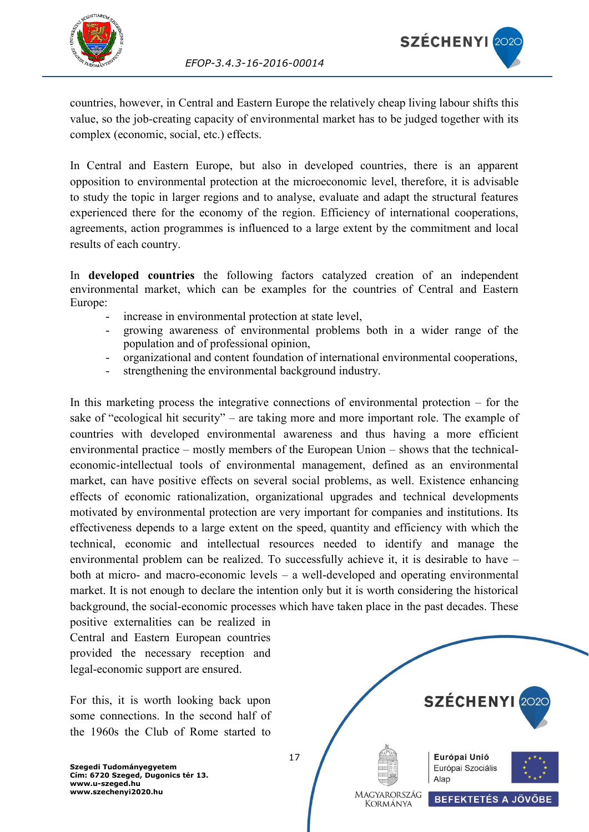



countries, however, in Central and Eastern Europe the relatively cheap living labour shifts this value, so the job-creating capacity of environmental market has to be judged together with its complex (economic, social, etc.) effects.

In Central and Eastern Europe, but also in developed countries, there is an apparent opposition to environmental protection at the microeconomic level, therefore, it is advisable to study the topic in larger regions and to analyse, evaluate and adapt the structural features experienced there for the economy of the region. Efficiency of international cooperations, agreements, action programmes is influenced to a large extent by the commitment and local results of each country.

In **developed countries** the following factors catalyzed creation of an independent environmental market, which can be examples for the countries of Central and Eastern Europe:

- increase in environmental protection at state level.
- growing awareness of environmental problems both in a wider range of the population and of professional opinion,
- organizational and content foundation of international environmental cooperations,
- strengthening the environmental background industry.

In this marketing process the integrative connections of environmental protection – for the sake of "ecological hit security" – are taking more and more important role. The example of countries with developed environmental awareness and thus having a more efficient environmental practice – mostly members of the European Union – shows that the technicaleconomic-intellectual tools of environmental management, defined as an environmental market, can have positive effects on several social problems, as well. Existence enhancing effects of economic rationalization, organizational upgrades and technical developments motivated by environmental protection are very important for companies and institutions. Its effectiveness depends to a large extent on the speed, quantity and efficiency with which the technical, economic and intellectual resources needed to identify and manage the environmental problem can be realized. To successfully achieve it, it is desirable to have – both at micro- and macro-economic levels – a well-developed and operating environmental market. It is not enough to declare the intention only but it is worth considering the historical background, the social-economic processes which have taken place in the past decades. These

positive externalities can be realized in Central and Eastern European countries provided the necessary reception and legal-economic support are ensured.

<span id="page-17-0"></span>For this, it is worth looking back upon some connections. In the second half of the 1960s the Club of Rome started to

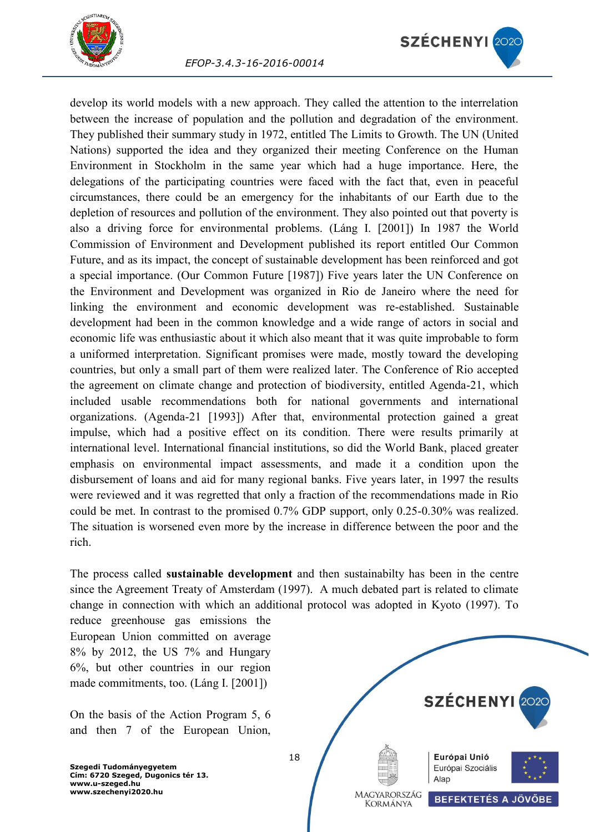



develop its world models with a new approach. They called the attention to the interrelation between the increase of population and the pollution and degradation of the environment. They published their summary study in 1972, entitled The Limits to Growth. The UN (United Nations) supported the idea and they organized their meeting Conference on the Human Environment in Stockholm in the same year which had a huge importance. Here, the delegations of the participating countries were faced with the fact that, even in peaceful circumstances, there could be an emergency for the inhabitants of our Earth due to the depletion of resources and pollution of the environment. They also pointed out that poverty is also a driving force for environmental problems. (Láng I. [2001]) In 1987 the World Commission of Environment and Development published its report entitled Our Common Future, and as its impact, the concept of sustainable development has been reinforced and got a special importance. (Our Common Future [1987]) Five years later the UN Conference on the Environment and Development was organized in Rio de Janeiro where the need for linking the environment and economic development was re-established. Sustainable development had been in the common knowledge and a wide range of actors in social and economic life was enthusiastic about it which also meant that it was quite improbable to form a uniformed interpretation. Significant promises were made, mostly toward the developing countries, but only a small part of them were realized later. The Conference of Rio accepted the agreement on climate change and protection of biodiversity, entitled Agenda-21, which included usable recommendations both for national governments and international organizations. (Agenda-21 [1993]) After that, environmental protection gained a great impulse, which had a positive effect on its condition. There were results primarily at international level. International financial institutions, so did the World Bank, placed greater emphasis on environmental impact assessments, and made it a condition upon the disbursement of loans and aid for many regional banks. Five years later, in 1997 the results were reviewed and it was regretted that only a fraction of the recommendations made in Rio could be met. In contrast to the promised 0.7% GDP support, only 0.25-0.30% was realized. The situation is worsened even more by the increase in difference between the poor and the rich.

The process called **sustainable development** and then sustainabilty has been in the centre since the Agreement Treaty of Amsterdam (1997). A much debated part is related to climate change in connection with which an additional protocol was adopted in Kyoto (1997). To

reduce greenhouse gas emissions the European Union committed on average 8% by 2012, the US 7% and Hungary 6%, but other countries in our region made commitments, too. (Láng I. [2001])

On the basis of the Action Program 5, 6 and then 7 of the European Union,

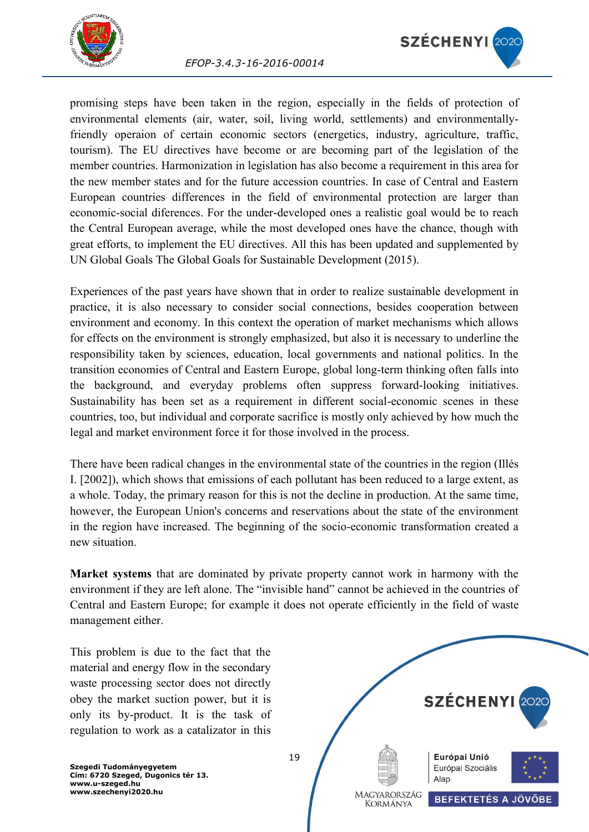



promising steps have been taken in the region, especially in the fields of protection of environmental elements (air, water, soil, living world, settlements) and environmentallyfriendly operaion of certain economic sectors (energetics, industry, agriculture, traffic, tourism). The EU directives have become or are becoming part of the legislation of the member countries. Harmonization in legislation has also become a requirement in this area for the new member states and for the future accession countries. In case of Central and Eastern European countries differences in the field of environmental protection are larger than economic-social diferences. For the under-developed ones a realistic goal would be to reach the Central European average, while the most developed ones have the chance, though with great efforts, to implement the EU directives. All this has been updated and supplemented by UN Global Goals The Global Goals for Sustainable Development (2015).

Experiences of the past years have shown that in order to realize sustainable development in practice, it is also necessary to consider social connections, besides cooperation between environment and economy. In this context the operation of market mechanisms which allows for effects on the environment is strongly emphasized, but also it is necessary to underline the responsibility taken by sciences, education, local governments and national politics. In the transition economies of Central and Eastern Europe, global long-term thinking often falls into the background, and everyday problems often suppress forward-looking initiatives. Sustainability has been set as a requirement in different social-economic scenes in these countries, too, but individual and corporate sacrifice is mostly only achieved by how much the legal and market environment force it for those involved in the process.

There have been radical changes in the environmental state of the countries in the region (Illés I. [2002]), which shows that emissions of each pollutant has been reduced to a large extent, as a whole. Today, the primary reason for this is not the decline in production. At the same time, however, the European Union's concerns and reservations about the state of the environment in the region have increased. The beginning of the socio-economic transformation created a new situation.

**Market systems** that are dominated by private property cannot work in harmony with the environment if they are left alone. The "invisible hand" cannot be achieved in the countries of Central and Eastern Europe; for example it does not operate efficiently in the field of waste management either.

This problem is due to the fact that the material and energy flow in the secondary waste processing sector does not directly obey the market suction power, but it is only its by-product. It is the task of regulation to work as a catalizator in this

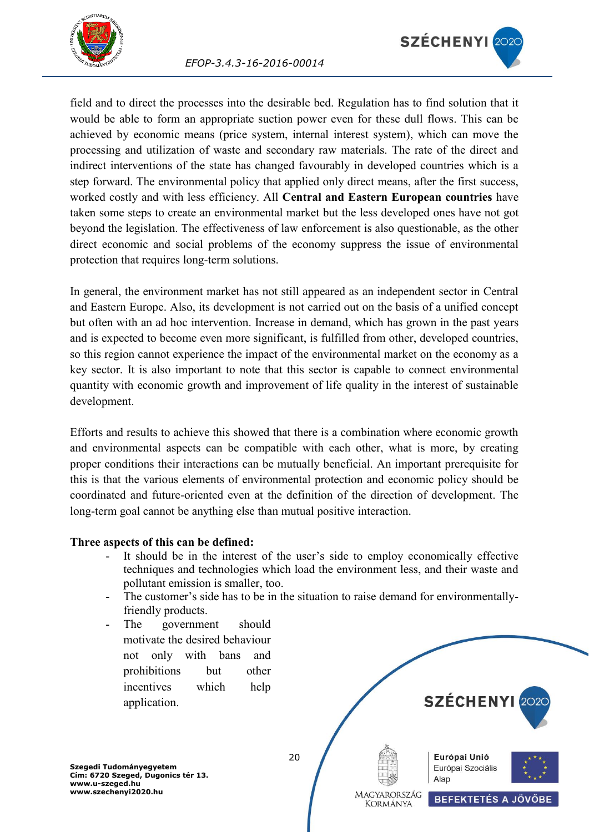

<span id="page-20-0"></span>

field and to direct the processes into the desirable bed. Regulation has to find solution that it would be able to form an appropriate suction power even for these dull flows. This can be achieved by economic means (price system, internal interest system), which can move the processing and utilization of waste and secondary raw materials. The rate of the direct and indirect interventions of the state has changed favourably in developed countries which is a step forward. The environmental policy that applied only direct means, after the first success, worked costly and with less efficiency. All **Central and Eastern European countries** have taken some steps to create an environmental market but the less developed ones have not got beyond the legislation. The effectiveness of law enforcement is also questionable, as the other direct economic and social problems of the economy suppress the issue of environmental protection that requires long-term solutions.

In general, the environment market has not still appeared as an independent sector in Central and Eastern Europe. Also, its development is not carried out on the basis of a unified concept but often with an ad hoc intervention. Increase in demand, which has grown in the past years and is expected to become even more significant, is fulfilled from other, developed countries, so this region cannot experience the impact of the environmental market on the economy as a key sector. It is also important to note that this sector is capable to connect environmental quantity with economic growth and improvement of life quality in the interest of sustainable development.

Efforts and results to achieve this showed that there is a combination where economic growth and environmental aspects can be compatible with each other, what is more, by creating proper conditions their interactions can be mutually beneficial. An important prerequisite for this is that the various elements of environmental protection and economic policy should be coordinated and future-oriented even at the definition of the direction of development. The long-term goal cannot be anything else than mutual positive interaction.

#### **Three aspects of this can be defined:**

- It should be in the interest of the user's side to employ economically effective techniques and technologies which load the environment less, and their waste and pollutant emission is smaller, too.
- The customer's side has to be in the situation to raise demand for environmentallyfriendly products.
- The government should motivate the desired behaviour not only with bans and prohibitions but other incentives which help application.

<span id="page-20-1"></span>SZÉCHENYI 202 Európai Unió Európai Szociális Alap MAGYARORSZÁG **BEFEKTETÉS A JÖVŐBE KORMÁNYA**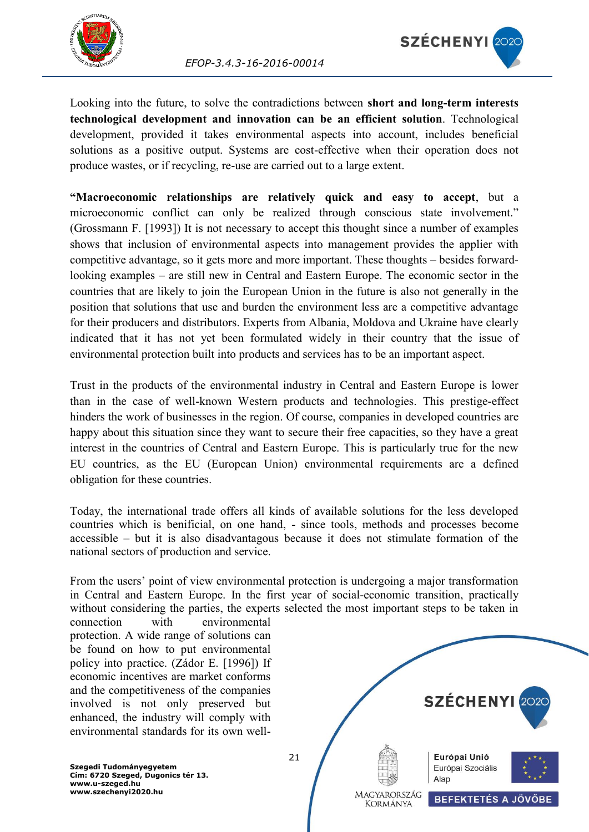



Looking into the future, to solve the contradictions between **short and long-term interests technological development and innovation can be an efficient solution**. Technological development, provided it takes environmental aspects into account, includes beneficial solutions as a positive output. Systems are cost-effective when their operation does not produce wastes, or if recycling, re-use are carried out to a large extent.

**"Macroeconomic relationships are relatively quick and easy to accept**, but a microeconomic conflict can only be realized through conscious state involvement." (Grossmann F. [1993]) It is not necessary to accept this thought since a number of examples shows that inclusion of environmental aspects into management provides the applier with competitive advantage, so it gets more and more important. These thoughts – besides forwardlooking examples – are still new in Central and Eastern Europe. The economic sector in the countries that are likely to join the European Union in the future is also not generally in the position that solutions that use and burden the environment less are a competitive advantage for their producers and distributors. Experts from Albania, Moldova and Ukraine have clearly indicated that it has not yet been formulated widely in their country that the issue of environmental protection built into products and services has to be an important aspect.

Trust in the products of the environmental industry in Central and Eastern Europe is lower than in the case of well-known Western products and technologies. This prestige-effect hinders the work of businesses in the region. Of course, companies in developed countries are happy about this situation since they want to secure their free capacities, so they have a great interest in the countries of Central and Eastern Europe. This is particularly true for the new EU countries, as the EU (European Union) environmental requirements are a defined obligation for these countries.

Today, the international trade offers all kinds of available solutions for the less developed countries which is benificial, on one hand, - since tools, methods and processes become accessible – but it is also disadvantagous because it does not stimulate formation of the national sectors of production and service.

From the users' point of view environmental protection is undergoing a major transformation in Central and Eastern Europe. In the first year of social-economic transition, practically without considering the parties, the experts selected the most important steps to be taken in

connection with environmental protection. A wide range of solutions can be found on how to put environmental policy into practice. (Zádor E. [1996]) If economic incentives are market conforms and the competitiveness of the companies involved is not only preserved but enhanced, the industry will comply with environmental standards for its own well-

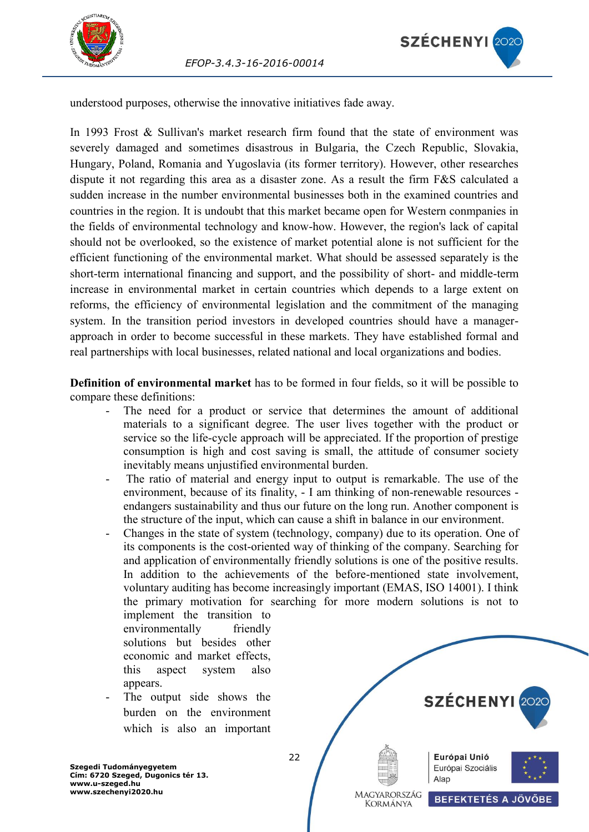



understood purposes, otherwise the innovative initiatives fade away.

In 1993 Frost & Sullivan's market research firm found that the state of environment was severely damaged and sometimes disastrous in Bulgaria, the Czech Republic, Slovakia, Hungary, Poland, Romania and Yugoslavia (its former territory). However, other researches dispute it not regarding this area as a disaster zone. As a result the firm F&S calculated a sudden increase in the number environmental businesses both in the examined countries and countries in the region. It is undoubt that this market became open for Western conmpanies in the fields of environmental technology and know-how. However, the region's lack of capital should not be overlooked, so the existence of market potential alone is not sufficient for the efficient functioning of the environmental market. What should be assessed separately is the short-term international financing and support, and the possibility of short- and middle-term increase in environmental market in certain countries which depends to a large extent on reforms, the efficiency of environmental legislation and the commitment of the managing system. In the transition period investors in developed countries should have a managerapproach in order to become successful in these markets. They have established formal and real partnerships with local businesses, related national and local organizations and bodies.

<span id="page-22-0"></span>**Definition of environmental market** has to be formed in four fields, so it will be possible to compare these definitions:

- The need for a product or service that determines the amount of additional materials to a significant degree. The user lives together with the product or service so the life-cycle approach will be appreciated. If the proportion of prestige consumption is high and cost saving is small, the attitude of consumer society inevitably means unjustified environmental burden.
- The ratio of material and energy input to output is remarkable. The use of the environment, because of its finality, - I am thinking of non-renewable resources endangers sustainability and thus our future on the long run. Another component is the structure of the input, which can cause a shift in balance in our environment.
- Changes in the state of system (technology, company) due to its operation. One of its components is the cost-oriented way of thinking of the company. Searching for and application of environmentally friendly solutions is one of the positive results. In addition to the achievements of the before-mentioned state involvement, voluntary auditing has become increasingly important (EMAS, ISO 14001). I think the primary motivation for searching for more modern solutions is not to

implement the transition to environmentally friendly solutions but besides other economic and market effects, this aspect system also appears.

The output side shows the burden on the environment which is also an important

**SZÉCHENYI** 202 22 Európai Unió Európai Szociális Alap MAGYARORSZÁG **BEFEKTETÉS A JÖVŐBE** KORMÁNYA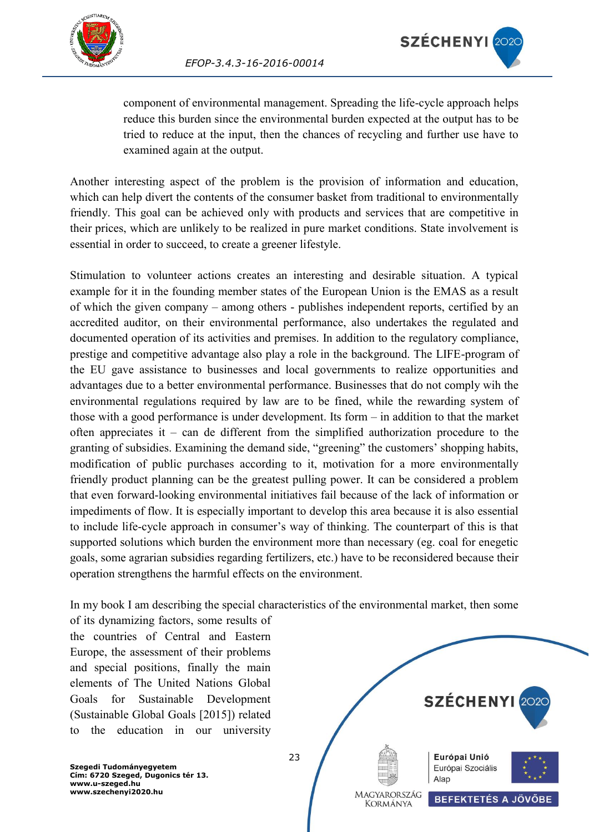



component of environmental management. Spreading the life-cycle approach helps reduce this burden since the environmental burden expected at the output has to be tried to reduce at the input, then the chances of recycling and further use have to examined again at the output.

Another interesting aspect of the problem is the provision of information and education, which can help divert the contents of the consumer basket from traditional to environmentally friendly. This goal can be achieved only with products and services that are competitive in their prices, which are unlikely to be realized in pure market conditions. State involvement is essential in order to succeed, to create a greener lifestyle.

<span id="page-23-0"></span>Stimulation to volunteer actions creates an interesting and desirable situation. A typical example for it in the founding member states of the European Union is the EMAS as a result of which the given company – among others - publishes independent reports, certified by an accredited auditor, on their environmental performance, also undertakes the regulated and documented operation of its activities and premises. In addition to the regulatory compliance, prestige and competitive advantage also play a role in the background. The LIFE-program of the EU gave assistance to businesses and local governments to realize opportunities and advantages due to a better environmental performance. Businesses that do not comply wih the environmental regulations required by law are to be fined, while the rewarding system of those with a good performance is under development. Its form – in addition to that the market often appreciates it – can de different from the simplified authorization procedure to the granting of subsidies. Examining the demand side, "greening" the customers' shopping habits, modification of public purchases according to it, motivation for a more environmentally friendly product planning can be the greatest pulling power. It can be considered a problem that even forward-looking environmental initiatives fail because of the lack of information or impediments of flow. It is especially important to develop this area because it is also essential to include life-cycle approach in consumer's way of thinking. The counterpart of this is that supported solutions which burden the environment more than necessary (eg. coal for enegetic goals, some agrarian subsidies regarding fertilizers, etc.) have to be reconsidered because their operation strengthens the harmful effects on the environment.

In my book I am describing the special characteristics of the environmental market, then some

of its dynamizing factors, some results of the countries of Central and Eastern Europe, the assessment of their problems and special positions, finally the main elements of The United Nations Global Goals for Sustainable Development (Sustainable Global Goals [2015]) related to the education in our university

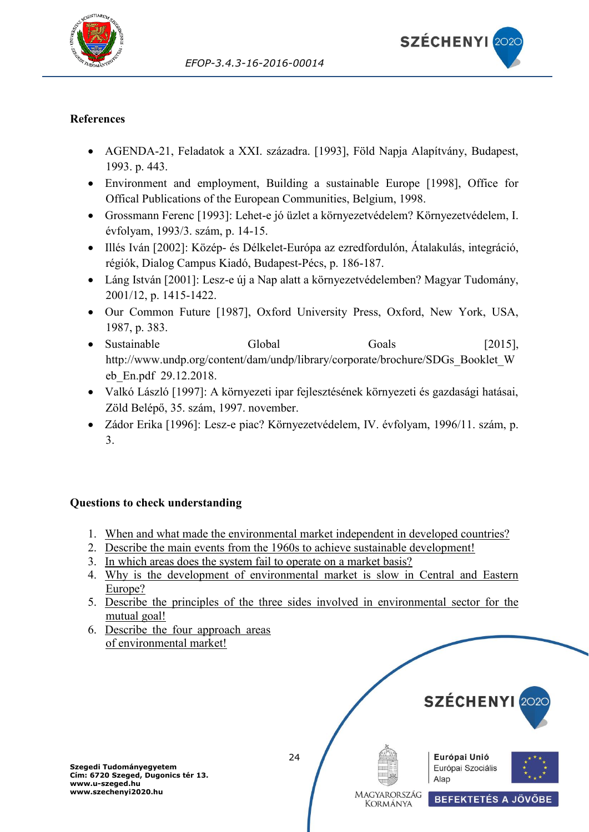



#### **References**

- AGENDA-21, Feladatok a XXI. századra. [1993], Föld Napja Alapítvány, Budapest, 1993. p. 443.
- Environment and employment, Building a sustainable Europe [1998], Office for Offical Publications of the European Communities, Belgium, 1998.
- Grossmann Ferenc [1993]: Lehet-e jó üzlet a környezetvédelem? Környezetvédelem, I. évfolyam, 1993/3. szám, p. 14-15.
- Illés Iván [2002]: Közép- és Délkelet-Európa az ezredfordulón, Átalakulás, integráció, régiók, Dialog Campus Kiadó, Budapest-Pécs, p. 186-187.
- Láng István [2001]: Lesz-e új a Nap alatt a környezetvédelemben? Magyar Tudomány, 2001/12, p. 1415-1422.
- Our Common Future [1987], Oxford University Press, Oxford, New York, USA, 1987, p. 383.
- Sustainable Global Goals [2015] http://www.undp.org/content/dam/undp/library/corporate/brochure/SDGs\_Booklet\_W eb\_En.pdf 29.12.2018.
- Valkó László [1997]: A környezeti ipar fejlesztésének környezeti és gazdasági hatásai, Zöld Belépő, 35. szám, 1997. november.
- Zádor Erika [1996]: Lesz-e piac? Környezetvédelem, IV. évfolyam, 1996/11. szám, p. 3.

#### **Questions to check understanding**

- 1. [When and what made the environmental market independent in developed countries?](#page-16-1)
- 2. [Describe the main events from the 1960s to achieve sustainable development!](#page-17-0)
- 3. [In which areas does the system fail to operate on a market basis?](#page-23-0)
- 4. [Why is the development of environmental market is slow in Central and Eastern](#page-20-0)  [Europe?](#page-20-0)
- 5. [Describe the principles of the three sides involved in environmental sector for the](#page-20-1)  [mutual goal!](#page-20-1)
- 6. [Describe the four approach areas](#page-22-0)  [of environmental market!](#page-22-0)

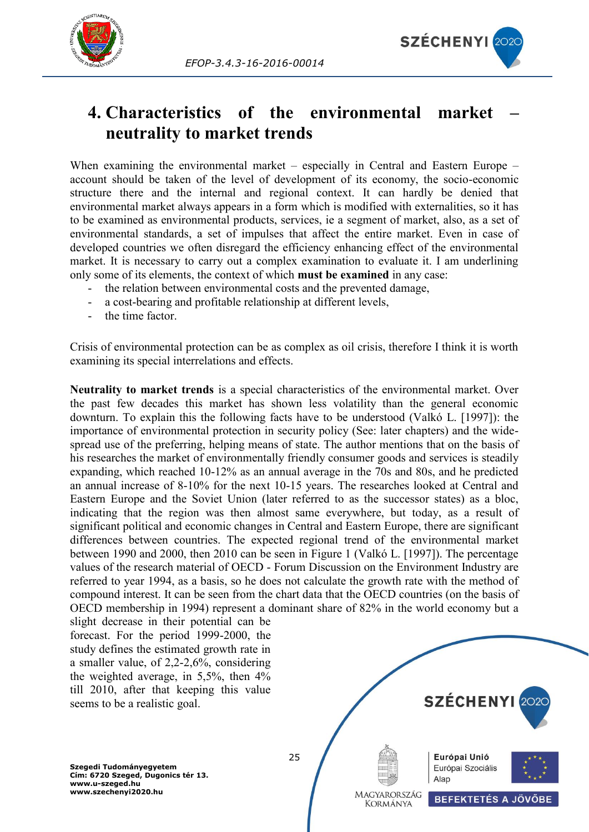



## <span id="page-25-0"></span>**4. Characteristics of the environmental market – neutrality to market trends**

When examining the environmental market – especially in Central and Eastern Europe – account should be taken of the level of development of its economy, the socio-economic structure there and the internal and regional context. It can hardly be denied that environmental market always appears in a form which is modified with externalities, so it has to be examined as environmental products, services, ie a segment of market, also, as a set of environmental standards, a set of impulses that affect the entire market. Even in case of developed countries we often disregard the efficiency enhancing effect of the environmental market. It is necessary to carry out a complex examination to evaluate it. I am underlining only some of its elements, the context of which **must be examined** in any case:

- <span id="page-25-1"></span>- the relation between environmental costs and the prevented damage.
- a cost-bearing and profitable relationship at different levels,
- the time factor

Crisis of environmental protection can be as complex as oil crisis, therefore I think it is worth examining its special interrelations and effects.

<span id="page-25-2"></span>**Neutrality to market trends** is a special characteristics of the environmental market. Over the past few decades this market has shown less volatility than the general economic downturn. To explain this the following facts have to be understood (Valkó L. [1997]): the importance of environmental protection in security policy (See: later chapters) and the widespread use of the preferring, helping means of state. The author mentions that on the basis of his researches the market of environmentally friendly consumer goods and services is steadily expanding, which reached 10-12% as an annual average in the 70s and 80s, and he predicted an annual increase of 8-10% for the next 10-15 years. The researches looked at Central and Eastern Europe and the Soviet Union (later referred to as the successor states) as a bloc, indicating that the region was then almost same everywhere, but today, as a result of significant political and economic changes in Central and Eastern Europe, there are significant differences between countries. The expected regional trend of the environmental market between 1990 and 2000, then 2010 can be seen in Figure 1 (Valkó L. [1997]). The percentage values of the research material of OECD - Forum Discussion on the Environment Industry are referred to year 1994, as a basis, so he does not calculate the growth rate with the method of compound interest. It can be seen from the chart data that the OECD countries (on the basis of OECD membership in 1994) represent a dominant share of 82% in the world economy but a

slight decrease in their potential can be forecast. For the period 1999-2000, the study defines the estimated growth rate in a smaller value, of 2,2-2,6%, considering the weighted average, in 5,5%, then 4% till 2010, after that keeping this value seems to be a realistic goal.

**Szegedi Tudományegyetem Cím: 6720 Szeged, Dugonics tér 13. www.u-szeged.hu www.szechenyi2020.hu**



25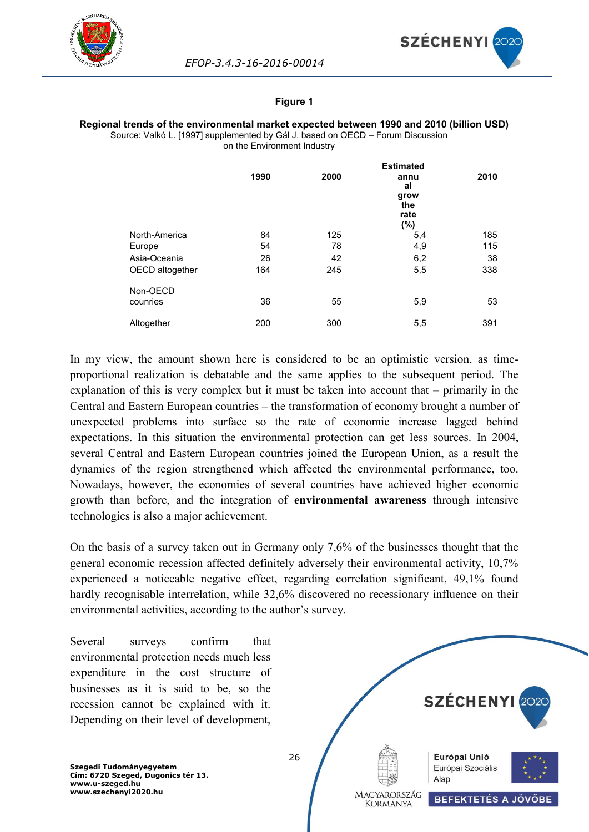



#### **Figure 1**

#### **Regional trends of the environmental market expected between 1990 and 2010 (billion USD)** Source: Valkó L. [1997] supplemented by Gál J. based on OECD – Forum Discussion on the Environment Industry

|                      | 1990 | 2000 | <b>Estimated</b><br>annu<br>al<br>grow<br>the<br>rate<br>(%) | 2010 |
|----------------------|------|------|--------------------------------------------------------------|------|
| North-America        | 84   | 125  | 5,4                                                          | 185  |
| Europe               | 54   | 78   | 4,9                                                          | 115  |
| Asia-Oceania         | 26   | 42   | 6,2                                                          | 38   |
| OECD altogether      | 164  | 245  | 5,5                                                          | 338  |
| Non-OECD<br>counries | 36   | 55   | 5,9                                                          | 53   |
| Altogether           | 200  | 300  | 5,5                                                          | 391  |

In my view, the amount shown here is considered to be an optimistic version, as timeproportional realization is debatable and the same applies to the subsequent period. The explanation of this is very complex but it must be taken into account that – primarily in the Central and Eastern European countries – the transformation of economy brought a number of unexpected problems into surface so the rate of economic increase lagged behind expectations. In this situation the environmental protection can get less sources. In 2004, several Central and Eastern European countries joined the European Union, as a result the dynamics of the region strengthened which affected the environmental performance, too. Nowadays, however, the economies of several countries have achieved higher economic growth than before, and the integration of **environmental awareness** through intensive technologies is also a major achievement.

<span id="page-26-0"></span>On the basis of a survey taken out in Germany only 7,6% of the businesses thought that the general economic recession affected definitely adversely their environmental activity, 10,7% experienced a noticeable negative effect, regarding correlation significant, 49,1% found hardly recognisable interrelation, while 32,6% discovered no recessionary influence on their environmental activities, according to the author's survey.

Several surveys confirm that environmental protection needs much less expenditure in the cost structure of businesses as it is said to be, so the recession cannot be explained with it. Depending on their level of development,

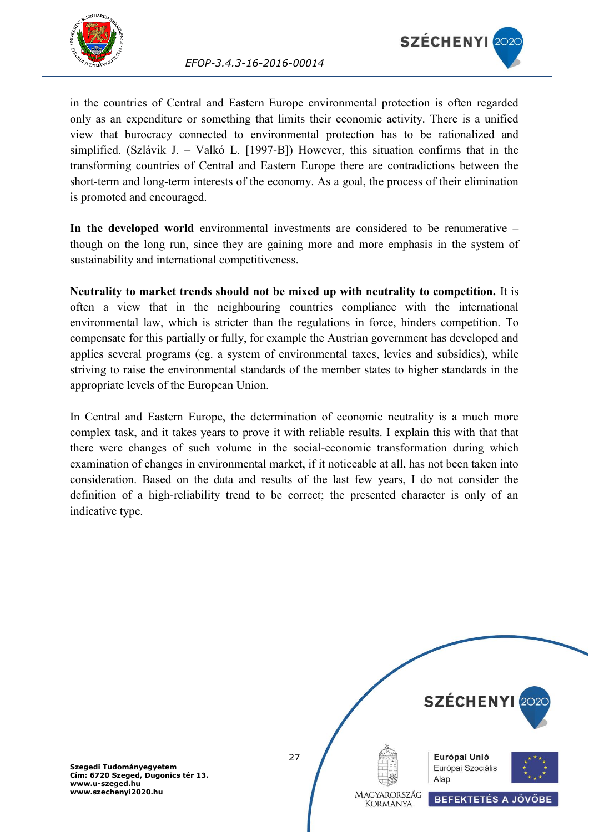



in the countries of Central and Eastern Europe environmental protection is often regarded only as an expenditure or something that limits their economic activity. There is a unified view that burocracy connected to environmental protection has to be rationalized and simplified. (Szlávik J. – Valkó L. [1997-B]) However, this situation confirms that in the transforming countries of Central and Eastern Europe there are contradictions between the short-term and long-term interests of the economy. As a goal, the process of their elimination is promoted and encouraged.

**In the developed world** environmental investments are considered to be renumerative – though on the long run, since they are gaining more and more emphasis in the system of sustainability and international competitiveness.

**Neutrality to market trends should not be mixed up with neutrality to competition.** It is often a view that in the neighbouring countries compliance with the international environmental law, which is stricter than the regulations in force, hinders competition. To compensate for this partially or fully, for example the Austrian government has developed and applies several programs (eg. a system of environmental taxes, levies and subsidies), while striving to raise the environmental standards of the member states to higher standards in the appropriate levels of the European Union.

In Central and Eastern Europe, the determination of economic neutrality is a much more complex task, and it takes years to prove it with reliable results. I explain this with that that there were changes of such volume in the social-economic transformation during which examination of changes in environmental market, if it noticeable at all, has not been taken into consideration. Based on the data and results of the last few years, I do not consider the definition of a high-reliability trend to be correct; the presented character is only of an indicative type.

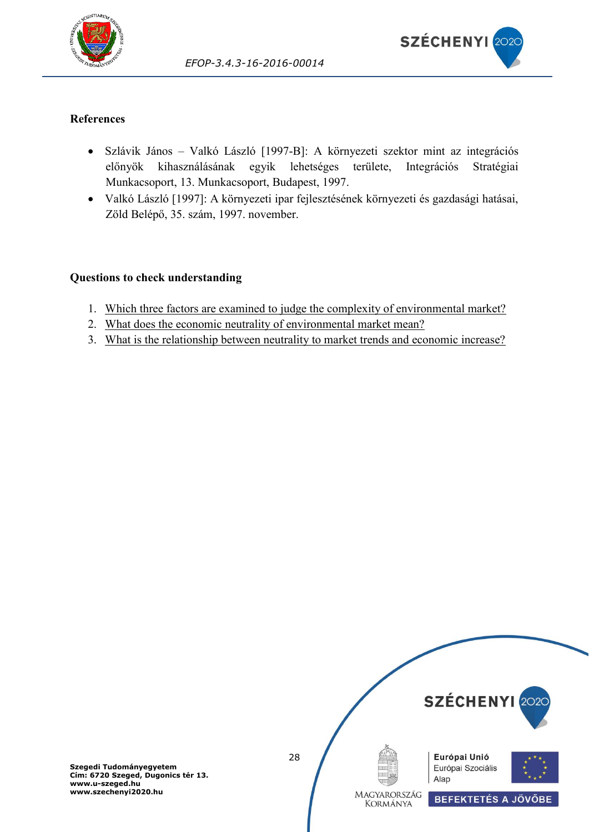



#### **References**

- Szlávik János Valkó László [1997-B]: A környezeti szektor mint az integrációs előnyök kihasználásának egyik lehetséges területe, Integrációs Stratégiai Munkacsoport, 13. Munkacsoport, Budapest, 1997.
- Valkó László [1997]: A környezeti ipar fejlesztésének környezeti és gazdasági hatásai, Zöld Belépő, 35. szám, 1997. november.

#### **Questions to check understanding**

- 1. [Which three factors are examined to judge the complexity of environmental market?](#page-25-1)
- 2. [What does the economic neutrality of environmental market mean?](#page-25-2)
- 3. [What is the relationship between neutrality to market trends and economic increase?](#page-26-0)

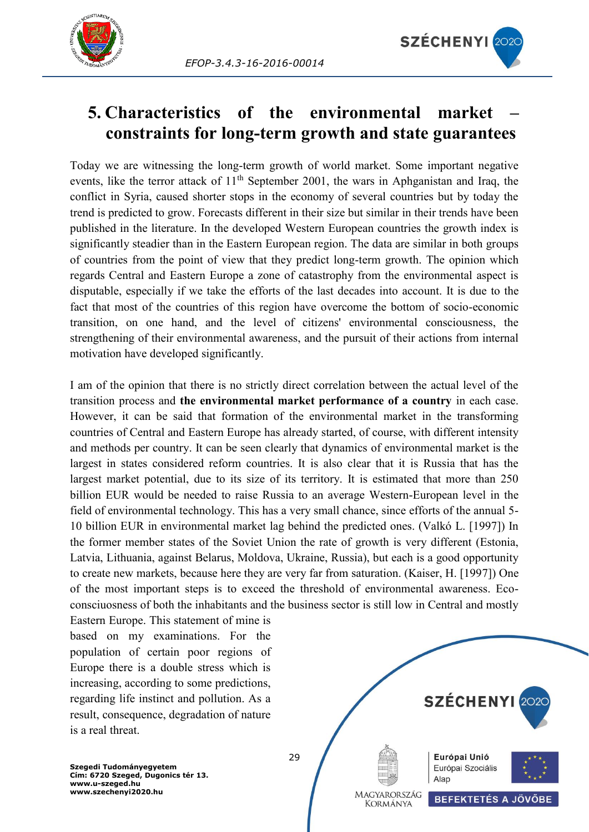

<span id="page-29-1"></span>

## <span id="page-29-0"></span>**5. Characteristics of the environmental market – constraints for long-term growth and state guarantees**

Today we are witnessing the long-term growth of world market. Some important negative events, like the terror attack of  $11<sup>th</sup>$  September 2001, the wars in Aphganistan and Iraq, the conflict in Syria, caused shorter stops in the economy of several countries but by today the trend is predicted to grow. Forecasts different in their size but similar in their trends have been published in the literature. In the developed Western European countries the growth index is significantly steadier than in the Eastern European region. The data are similar in both groups of countries from the point of view that they predict long-term growth. The opinion which regards Central and Eastern Europe a zone of catastrophy from the environmental aspect is disputable, especially if we take the efforts of the last decades into account. It is due to the fact that most of the countries of this region have overcome the bottom of socio-economic transition, on one hand, and the level of citizens' environmental consciousness, the strengthening of their environmental awareness, and the pursuit of their actions from internal motivation have developed significantly.

I am of the opinion that there is no strictly direct correlation between the actual level of the transition process and **the environmental market performance of a country** in each case. However, it can be said that formation of the environmental market in the transforming countries of Central and Eastern Europe has already started, of course, with different intensity and methods per country. It can be seen clearly that dynamics of environmental market is the largest in states considered reform countries. It is also clear that it is Russia that has the largest market potential, due to its size of its territory. It is estimated that more than 250 billion EUR would be needed to raise Russia to an average Western-European level in the field of environmental technology. This has a very small chance, since efforts of the annual 5- 10 billion EUR in environmental market lag behind the predicted ones. (Valkó L. [1997]) In the former member states of the Soviet Union the rate of growth is very different (Estonia, Latvia, Lithuania, against Belarus, Moldova, Ukraine, Russia), but each is a good opportunity to create new markets, because here they are very far from saturation. (Kaiser, H. [1997]) One of the most important steps is to exceed the threshold of environmental awareness. Ecoconsciuosness of both the inhabitants and the business sector is still low in Central and mostly

Eastern Europe. This statement of mine is based on my examinations. For the population of certain poor regions of Europe there is a double stress which is increasing, according to some predictions, regarding life instinct and pollution. As a result, consequence, degradation of nature is a real threat.

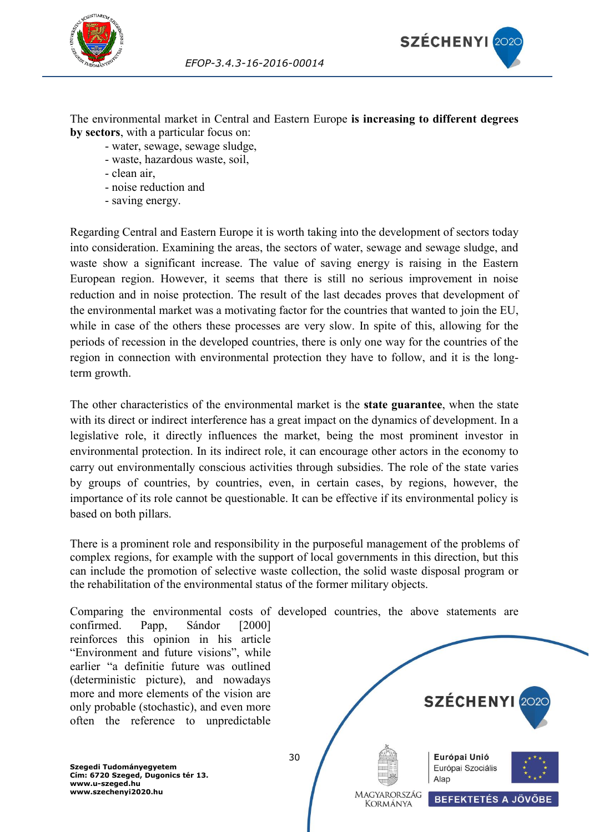



The environmental market in Central and Eastern Europe **is increasing to different degrees by sectors**, with a particular focus on:

- water, sewage, sewage sludge,
- waste, hazardous waste, soil,
- clean air,
- noise reduction and
- saving energy.

Regarding Central and Eastern Europe it is worth taking into the development of sectors today into consideration. Examining the areas, the sectors of water, sewage and sewage sludge, and waste show a significant increase. The value of saving energy is raising in the Eastern European region. However, it seems that there is still no serious improvement in noise reduction and in noise protection. The result of the last decades proves that development of the environmental market was a motivating factor for the countries that wanted to join the EU, while in case of the others these processes are very slow. In spite of this, allowing for the periods of recession in the developed countries, there is only one way for the countries of the region in connection with environmental protection they have to follow, and it is the longterm growth.

<span id="page-30-0"></span>The other characteristics of the environmental market is the **state guarantee**, when the state with its direct or indirect interference has a great impact on the dynamics of development. In a legislative role, it directly influences the market, being the most prominent investor in environmental protection. In its indirect role, it can encourage other actors in the economy to carry out environmentally conscious activities through subsidies. The role of the state varies by groups of countries, by countries, even, in certain cases, by regions, however, the importance of its role cannot be questionable. It can be effective if its environmental policy is based on both pillars.

There is a prominent role and responsibility in the purposeful management of the problems of complex regions, for example with the support of local governments in this direction, but this can include the promotion of selective waste collection, the solid waste disposal program or the rehabilitation of the environmental status of the former military objects.

Comparing the environmental costs of developed countries, the above statements are confirmed. Papp, Sándor [2000] reinforces this opinion in his article "Environment and future visions", while earlier "a definitie future was outlined (deterministic picture), and nowadays more and more elements of the vision are **SZÉCHENYI** 202 only probable (stochastic), and even more often the reference to unpredictable 30 Európai Unió **Szegedi Tudományegyetem** Európai Szociális

**Cím: 6720 Szeged, Dugonics tér 13. www.u-szeged.hu www.szechenyi2020.hu**

MAGYARORSZÁG **BEFEKTETÉS A JÖVŐBE KORMÁNYA** 

Alap

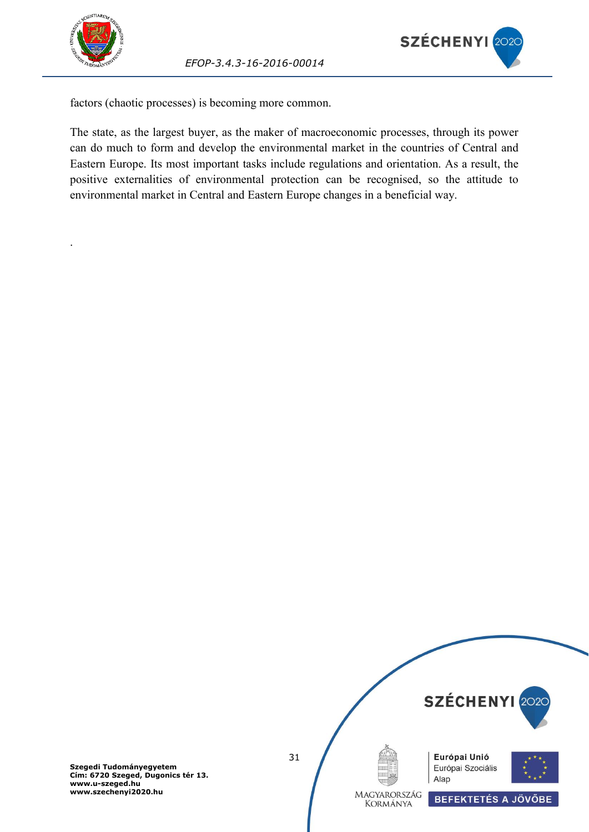

.



factors (chaotic processes) is becoming more common.

<span id="page-31-0"></span>The state, as the largest buyer, as the maker of macroeconomic processes, through its power can do much to form and develop the environmental market in the countries of Central and Eastern Europe. Its most important tasks include regulations and orientation. As a result, the positive externalities of environmental protection can be recognised, so the attitude to environmental market in Central and Eastern Europe changes in a beneficial way.

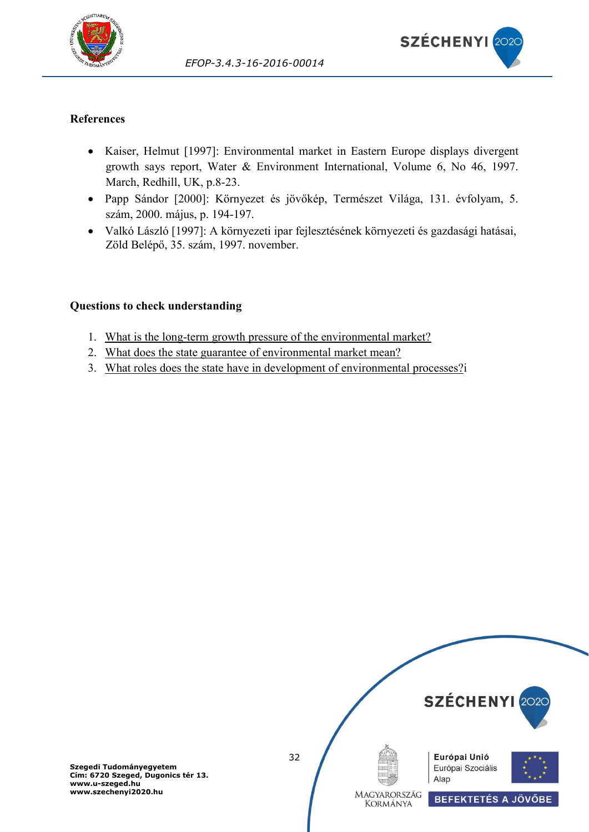



#### **References**

- Kaiser, Helmut [1997]: Environmental market in Eastern Europe displays divergent growth says report, Water & Environment International, Volume 6, No 46, 1997. March, Redhill, UK, p.8-23.
- Papp Sándor [2000]: Környezet és jövőkép, Természet Világa, 131. évfolyam, 5. szám, 2000. május, p. 194-197.
- Valkó László [1997]: A környezeti ipar fejlesztésének környezeti és gazdasági hatásai, Zöld Belépő, 35. szám, 1997. november.

#### **Questions to check understanding**

- 1. [What is the long-term growth pressure of the environmental market?](#page-29-1)
- 2. [What does the state guarantee of environmental market mean?](#page-30-0)
- 3. [What roles does the state have in development of environmental processes?i](#page-31-0)

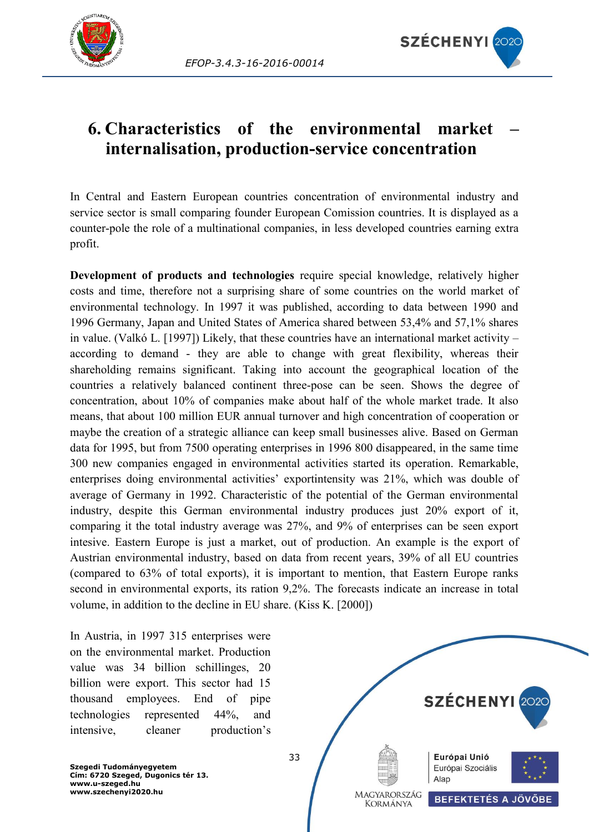



## <span id="page-33-0"></span>**6. Characteristics of the environmental market – internalisation, production-service concentration**

In Central and Eastern European countries concentration of environmental industry and service sector is small comparing founder European Comission countries. It is displayed as a counter-pole the role of a multinational companies, in less developed countries earning extra profit.

**Development of products and technologies** require special knowledge, relatively higher costs and time, therefore not a surprising share of some countries on the world market of environmental technology. In 1997 it was published, according to data between 1990 and 1996 Germany, Japan and United States of America shared between 53,4% and 57,1% shares in value. (Valkó L. [1997]) Likely, that these countries have an international market activity – according to demand - they are able to change with great flexibility, whereas their shareholding remains significant. Taking into account the geographical location of the countries a relatively balanced continent three-pose can be seen. Shows the degree of concentration, about 10% of companies make about half of the whole market trade. It also means, that about 100 million EUR annual turnover and high concentration of cooperation or maybe the creation of a strategic alliance can keep small businesses alive. Based on German data for 1995, but from 7500 operating enterprises in 1996 800 disappeared, in the same time 300 new companies engaged in environmental activities started its operation. Remarkable, enterprises doing environmental activities' exportintensity was 21%, which was double of average of Germany in 1992. Characteristic of the potential of the German environmental industry, despite this German environmental industry produces just 20% export of it, comparing it the total industry average was 27%, and 9% of enterprises can be seen export intesive. Eastern Europe is just a market, out of production. An example is the export of Austrian environmental industry, based on data from recent years, 39% of all EU countries (compared to 63% of total exports), it is important to mention, that Eastern Europe ranks second in environmental exports, its ration 9,2%. The forecasts indicate an increase in total volume, in addition to the decline in EU share. (Kiss K. [2000])

In Austria, in 1997 315 enterprises were on the environmental market. Production value was 34 billion schillinges, 20 billion were export. This sector had 15 thousand employees. End of pipe technologies represented 44%, and intensive, cleaner production's

**SZÉCHENYI** 2020 Európai Unió Európai Szociális Alap MAGYARORSZÁG **BEFEKTETÉS A JÖVŐBE KORMÁNYA**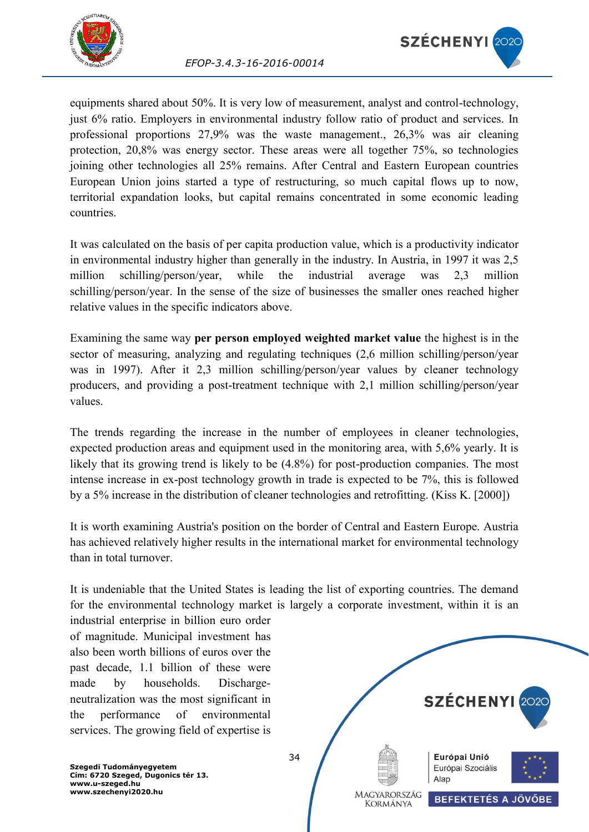



equipments shared about 50%. It is very low of measurement, analyst and control-technology, just 6% ratio. Employers in environmental industry follow ratio of product and services. In professional proportions 27,9% was the waste management., 26,3% was air cleaning protection, 20,8% was energy sector. These areas were all together 75%, so technologies joining other technologies all 25% remains. After Central and Eastern European countries European Union joins started a type of restructuring, so much capital flows up to now, territorial expandation looks, but capital remains concentrated in some economic leading countries.

It was calculated on the basis of per capita production value, which is a productivity indicator in environmental industry higher than generally in the industry. In Austria, in 1997 it was 2,5 million schilling/person/year, while the industrial average was 2,3 million schilling/person/year. In the sense of the size of businesses the smaller ones reached higher relative values in the specific indicators above.

Examining the same way **per person employed weighted market value** the highest is in the sector of measuring, analyzing and regulating techniques (2,6 million schilling/person/year was in 1997). After it 2,3 million schilling/person/year values by cleaner technology producers, and providing a post-treatment technique with 2,1 million schilling/person/year values.

The trends regarding the increase in the number of employees in cleaner technologies, expected production areas and equipment used in the monitoring area, with 5,6% yearly. It is likely that its growing trend is likely to be (4.8%) for post-production companies. The most intense increase in ex-post technology growth in trade is expected to be 7%, this is followed by a 5% increase in the distribution of cleaner technologies and retrofitting. (Kiss K. [2000])

It is worth examining Austria's position on the border of Central and Eastern Europe. Austria has achieved relatively higher results in the international market for environmental technology than in total turnover.

It is undeniable that the United States is leading the list of exporting countries. The demand for the environmental technology market is largely a corporate investment, within it is an

industrial enterprise in billion euro order of magnitude. Municipal investment has also been worth billions of euros over the past decade, 1.1 billion of these were made by households. Dischargeneutralization was the most significant in the performance of environmental services. The growing field of expertise is

**Szegedi Tudományegyetem Cím: 6720 Szeged, Dugonics tér 13. www.u-szeged.hu www.szechenyi2020.hu**



34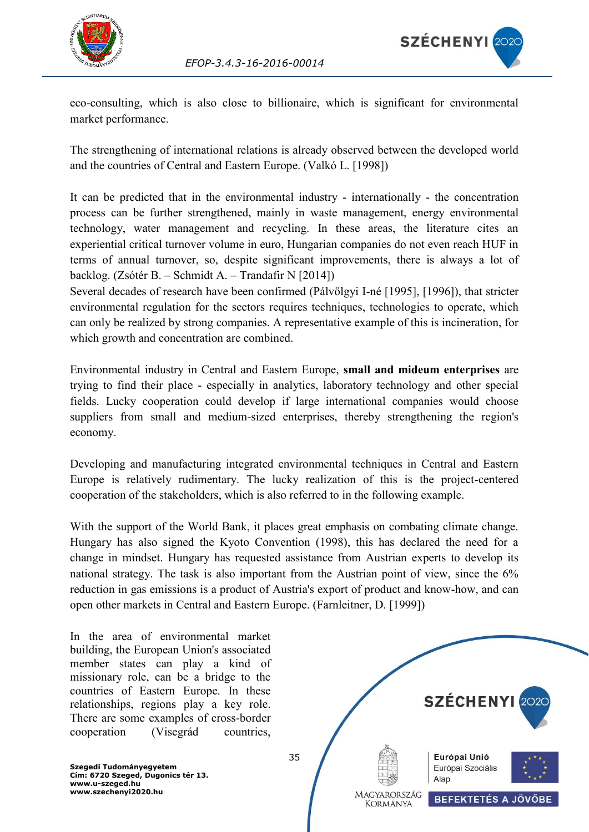



eco-consulting, which is also close to billionaire, which is significant for environmental market performance.

The strengthening of international relations is already observed between the developed world and the countries of Central and Eastern Europe. (Valkó L. [1998])

It can be predicted that in the environmental industry - internationally - the concentration process can be further strengthened, mainly in waste management, energy environmental technology, water management and recycling. In these areas, the literature cites an experiential critical turnover volume in euro, Hungarian companies do not even reach HUF in terms of annual turnover, so, despite significant improvements, there is always a lot of backlog. (Zsótér B. – Schmidt A. – Trandafir N [2014])

Several decades of research have been confirmed (Pálvölgyi I-né [1995], [1996]), that stricter environmental regulation for the sectors requires techniques, technologies to operate, which can only be realized by strong companies. A representative example of this is incineration, for which growth and concentration are combined.

Environmental industry in Central and Eastern Europe, **small and mideum enterprises** are trying to find their place - especially in analytics, laboratory technology and other special fields. Lucky cooperation could develop if large international companies would choose suppliers from small and medium-sized enterprises, thereby strengthening the region's economy.

Developing and manufacturing integrated environmental techniques in Central and Eastern Europe is relatively rudimentary. The lucky realization of this is the project-centered cooperation of the stakeholders, which is also referred to in the following example.

With the support of the World Bank, it places great emphasis on combating climate change. Hungary has also signed the Kyoto Convention (1998), this has declared the need for a change in mindset. Hungary has requested assistance from Austrian experts to develop its national strategy. The task is also important from the Austrian point of view, since the 6% reduction in gas emissions is a product of Austria's export of product and know-how, and can open other markets in Central and Eastern Europe. (Farnleitner, D. [1999])

In the area of environmental market building, the European Union's associated member states can play a kind of missionary role, can be a bridge to the countries of Eastern Europe. In these relationships, regions play a key role. There are some examples of cross-border cooperation (Visegrád countries,

**SZÉCHENYI** 202 35 Európai Unió Európai Szociális Alap MAGYARORSZÁG **BEFEKTETÉS A JÖVŐBE** KORMÁNYA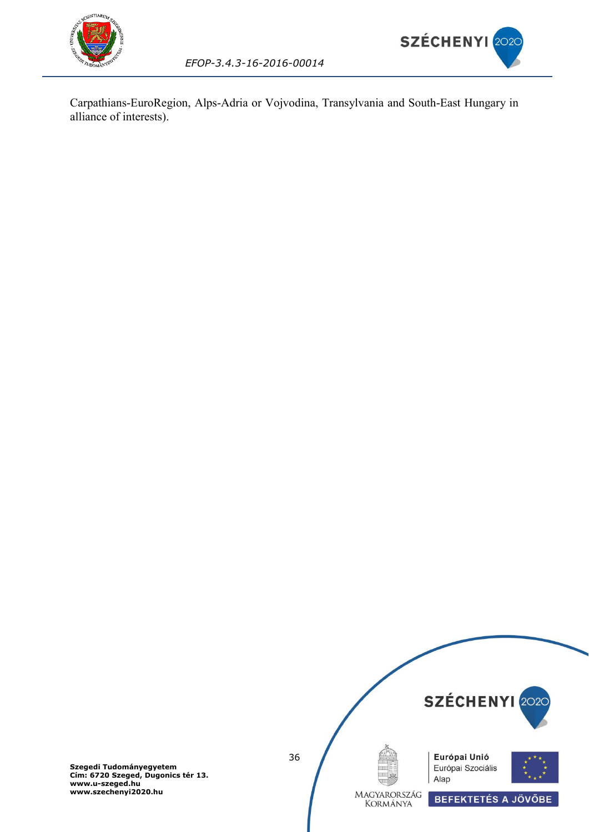



*EFOP-3.4.3-16-2016-00014*

Carpathians-EuroRegion, Alps-Adria or Vojvodina, Transylvania and South-East Hungary in alliance of interests).

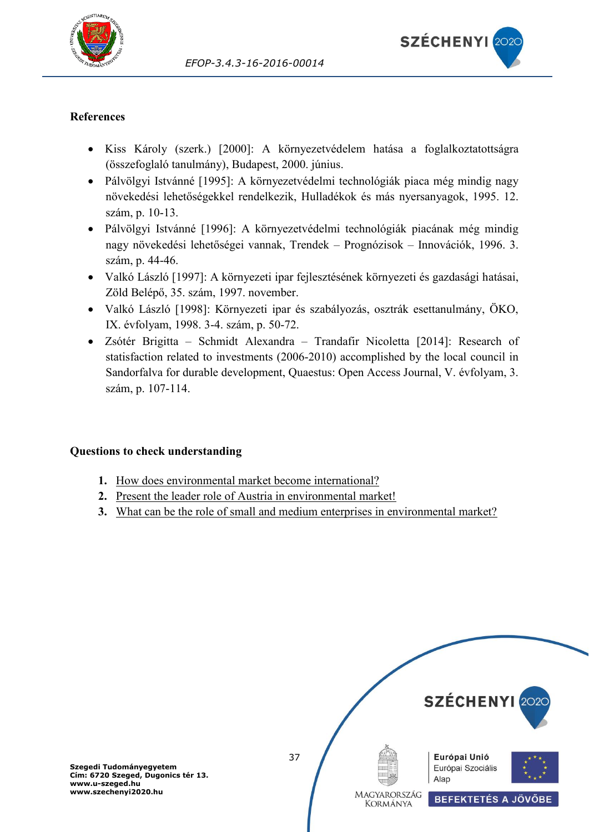



## **References**

- Kiss Károly (szerk.) [2000]: A környezetvédelem hatása a foglalkoztatottságra (összefoglaló tanulmány), Budapest, 2000. június.
- Pálvölgyi Istvánné [1995]: A környezetvédelmi technológiák piaca még mindig nagy növekedési lehetőségekkel rendelkezik, Hulladékok és más nyersanyagok, 1995. 12. szám, p. 10-13.
- Pálvölgyi Istvánné [1996]: A környezetvédelmi technológiák piacának még mindig nagy növekedési lehetőségei vannak, Trendek – Prognózisok – Innovációk, 1996. 3. szám, p. 44-46.
- Valkó László [1997]: A környezeti ipar fejlesztésének környezeti és gazdasági hatásai, Zöld Belépő, 35. szám, 1997. november.
- Valkó László [1998]: Környezeti ipar és szabályozás, osztrák esettanulmány, ÖKO, IX. évfolyam, 1998. 3-4. szám, p. 50-72.
- Zsótér Brigitta Schmidt Alexandra Trandafir Nicoletta [2014]: Research of statisfaction related to investments (2006-2010) accomplished by the local council in Sandorfalva for durable development, Quaestus: Open Access Journal, V. évfolyam, 3. szám, p. 107-114.

## **Questions to check understanding**

- **1.** [How does environmental market become international?](#page-33-0)
- **2.** [Present the leader role of Austria in environmental market!](#page-33-1)
- **3.** [What can be the role of small and medium enterprises in environmental market?](#page-35-0)

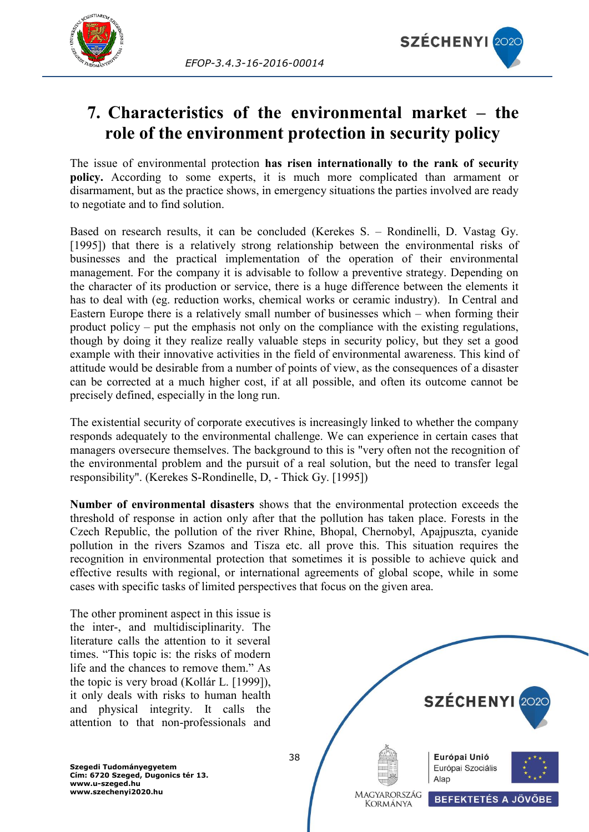

<span id="page-38-0"></span>

# **7. Characteristics of the environmental market – the role of the environment protection in security policy**

The issue of environmental protection **has risen internationally to the rank of security policy.** According to some experts, it is much more complicated than armament or disarmament, but as the practice shows, in emergency situations the parties involved are ready to negotiate and to find solution.

Based on research results, it can be concluded (Kerekes S. – Rondinelli, D. Vastag Gy. [1995]) that there is a relatively strong relationship between the environmental risks of businesses and the practical implementation of the operation of their environmental management. For the company it is advisable to follow a preventive strategy. Depending on the character of its production or service, there is a huge difference between the elements it has to deal with (eg. reduction works, chemical works or ceramic industry). In Central and Eastern Europe there is a relatively small number of businesses which – when forming their product policy – put the emphasis not only on the compliance with the existing regulations, though by doing it they realize really valuable steps in security policy, but they set a good example with their innovative activities in the field of environmental awareness. This kind of attitude would be desirable from a number of points of view, as the consequences of a disaster can be corrected at a much higher cost, if at all possible, and often its outcome cannot be precisely defined, especially in the long run.

The existential security of corporate executives is increasingly linked to whether the company responds adequately to the environmental challenge. We can experience in certain cases that managers oversecure themselves. The background to this is "very often not the recognition of the environmental problem and the pursuit of a real solution, but the need to transfer legal responsibility". (Kerekes S-Rondinelle, D, - Thick Gy. [1995])

**Number of environmental disasters** shows that the environmental protection exceeds the threshold of response in action only after that the pollution has taken place. Forests in the Czech Republic, the pollution of the river Rhine, Bhopal, Chernobyl, Apajpuszta, cyanide pollution in the rivers Szamos and Tisza etc. all prove this. This situation requires the recognition in environmental protection that sometimes it is possible to achieve quick and effective results with regional, or international agreements of global scope, while in some cases with specific tasks of limited perspectives that focus on the given area.

The other prominent aspect in this issue is the inter-, and multidisciplinarity. The literature calls the attention to it several times. "This topic is: the risks of modern life and the chances to remove them." As the topic is very broad (Kollár L. [1999]), it only deals with risks to human health and physical integrity. It calls the attention to that non-professionals and

SZÉCHENYI 202 Európai Unió Európai Szociális Alap MAGYARORSZÁG **BEFEKTETÉS A JÖVŐBE KORMÁNYA**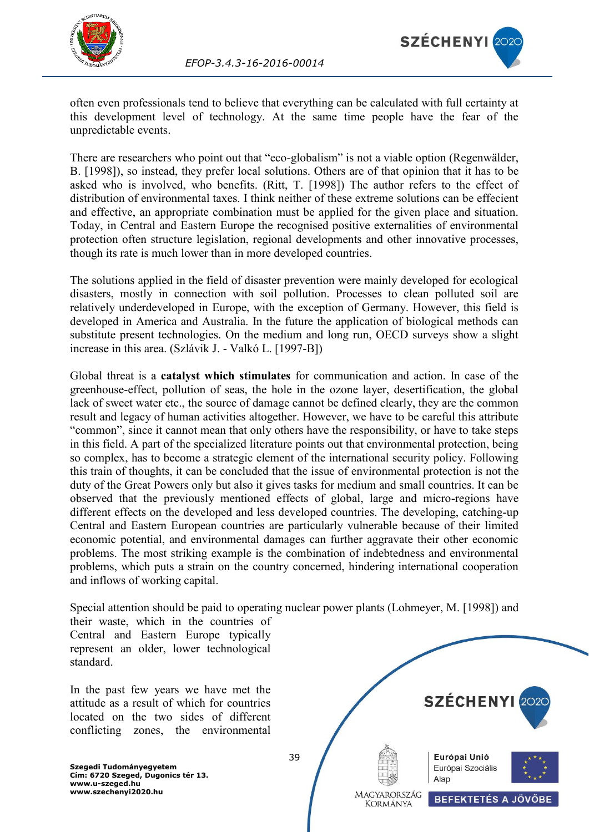



often even professionals tend to believe that everything can be calculated with full certainty at this development level of technology. At the same time people have the fear of the unpredictable events.

There are researchers who point out that "eco-globalism" is not a viable option (Regenwälder, B. [1998]), so instead, they prefer local solutions. Others are of that opinion that it has to be asked who is involved, who benefits. (Ritt, T. [1998]) The author refers to the effect of distribution of environmental taxes. I think neither of these extreme solutions can be effecient and effective, an appropriate combination must be applied for the given place and situation. Today, in Central and Eastern Europe the recognised positive externalities of environmental protection often structure legislation, regional developments and other innovative processes, though its rate is much lower than in more developed countries.

The solutions applied in the field of disaster prevention were mainly developed for ecological disasters, mostly in connection with soil pollution. Processes to clean polluted soil are relatively underdeveloped in Europe, with the exception of Germany. However, this field is developed in America and Australia. In the future the application of biological methods can substitute present technologies. On the medium and long run, OECD surveys show a slight increase in this area. (Szlávik J. - Valkó L. [1997-B])

Global threat is a **catalyst which stimulates** for communication and action. In case of the greenhouse-effect, pollution of seas, the hole in the ozone layer, desertification, the global lack of sweet water etc., the source of damage cannot be defined clearly, they are the common result and legacy of human activities altogether. However, we have to be careful this attribute "common", since it cannot mean that only others have the responsibility, or have to take steps in this field. A part of the specialized literature points out that environmental protection, being so complex, has to become a strategic element of the international security policy. Following this train of thoughts, it can be concluded that the issue of environmental protection is not the duty of the Great Powers only but also it gives tasks for medium and small countries. It can be observed that the previously mentioned effects of global, large and micro-regions have different effects on the developed and less developed countries. The developing, catching-up Central and Eastern European countries are particularly vulnerable because of their limited economic potential, and environmental damages can further aggravate their other economic problems. The most striking example is the combination of indebtedness and environmental problems, which puts a strain on the country concerned, hindering international cooperation and inflows of working capital.

Special attention should be paid to operating nuclear power plants (Lohmeyer, M. [1998]) and

their waste, which in the countries of Central and Eastern Europe typically represent an older, lower technological standard.

In the past few years we have met the attitude as a result of which for countries located on the two sides of different conflicting zones, the environmental

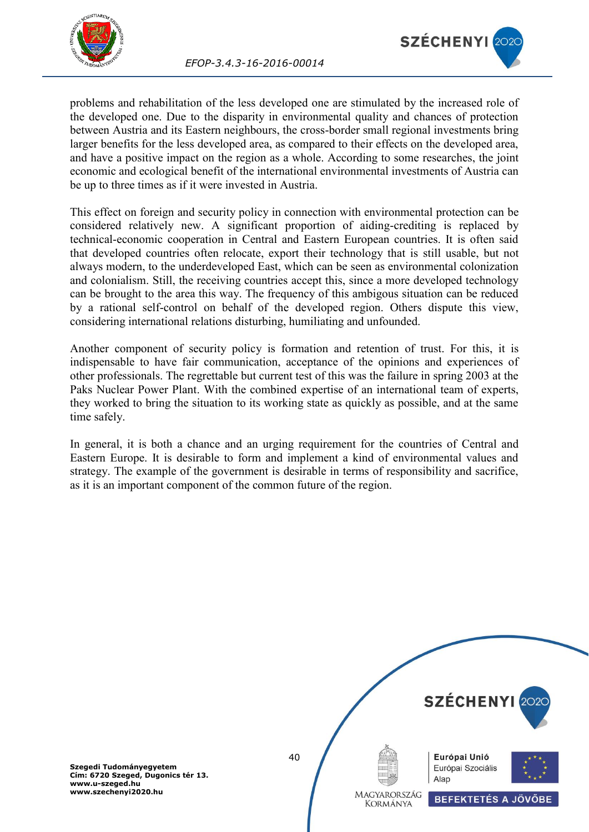

<span id="page-40-0"></span>

problems and rehabilitation of the less developed one are stimulated by the increased role of the developed one. Due to the disparity in environmental quality and chances of protection between Austria and its Eastern neighbours, the cross-border small regional investments bring larger benefits for the less developed area, as compared to their effects on the developed area, and have a positive impact on the region as a whole. According to some researches, the joint economic and ecological benefit of the international environmental investments of Austria can be up to three times as if it were invested in Austria.

<span id="page-40-1"></span>This effect on foreign and security policy in connection with environmental protection can be considered relatively new. A significant proportion of aiding-crediting is replaced by technical-economic cooperation in Central and Eastern European countries. It is often said that developed countries often relocate, export their technology that is still usable, but not always modern, to the underdeveloped East, which can be seen as environmental colonization and colonialism. Still, the receiving countries accept this, since a more developed technology can be brought to the area this way. The frequency of this ambigous situation can be reduced by a rational self-control on behalf of the developed region. Others dispute this view, considering international relations disturbing, humiliating and unfounded.

Another component of security policy is formation and retention of trust. For this, it is indispensable to have fair communication, acceptance of the opinions and experiences of other professionals. The regrettable but current test of this was the failure in spring 2003 at the Paks Nuclear Power Plant. With the combined expertise of an international team of experts, they worked to bring the situation to its working state as quickly as possible, and at the same time safely.

In general, it is both a chance and an urging requirement for the countries of Central and Eastern Europe. It is desirable to form and implement a kind of environmental values and strategy. The example of the government is desirable in terms of responsibility and sacrifice, as it is an important component of the common future of the region.

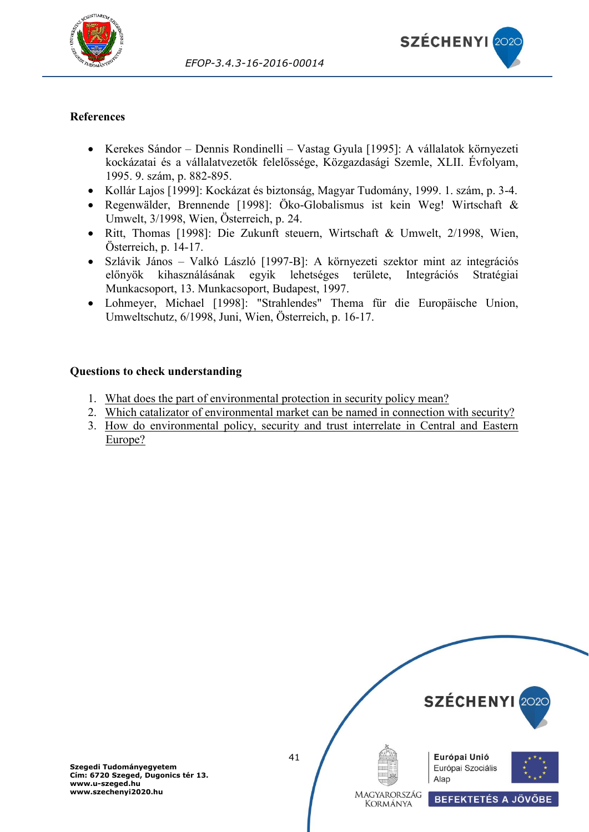



### **References**

- Kerekes Sándor Dennis Rondinelli Vastag Gyula [1995]: A vállalatok környezeti kockázatai és a vállalatvezetők felelőssége, Közgazdasági Szemle, XLII. Évfolyam, 1995. 9. szám, p. 882-895.
- Kollár Lajos [1999]: Kockázat és biztonság, Magyar Tudomány, 1999. 1. szám, p. 3-4.
- Regenwälder, Brennende [1998]: Öko-Globalismus ist kein Weg! Wirtschaft & Umwelt, 3/1998, Wien, Österreich, p. 24.
- Ritt, Thomas [1998]: Die Zukunft steuern, Wirtschaft & Umwelt, 2/1998, Wien, Österreich, p. 14-17.
- Szlávik János Valkó László [1997-B]: A környezeti szektor mint az integrációs előnyök kihasználásának egyik lehetséges területe, Integrációs Stratégiai Munkacsoport, 13. Munkacsoport, Budapest, 1997.
- Lohmeyer, Michael [1998]: "Strahlendes" Thema für die Europäische Union, Umweltschutz, 6/1998, Juni, Wien, Österreich, p. 16-17.

#### **Questions to check understanding**

- 1. [What does the part of environmental protection in security policy mean?](#page-38-0)
- 2. [Which catalizator of environmental market can be named in connection with security?](#page-40-0)
- 3. [How do environmental policy, security and trust interrelate in Central and Eastern](#page-40-1)  [Europe?](#page-40-1)

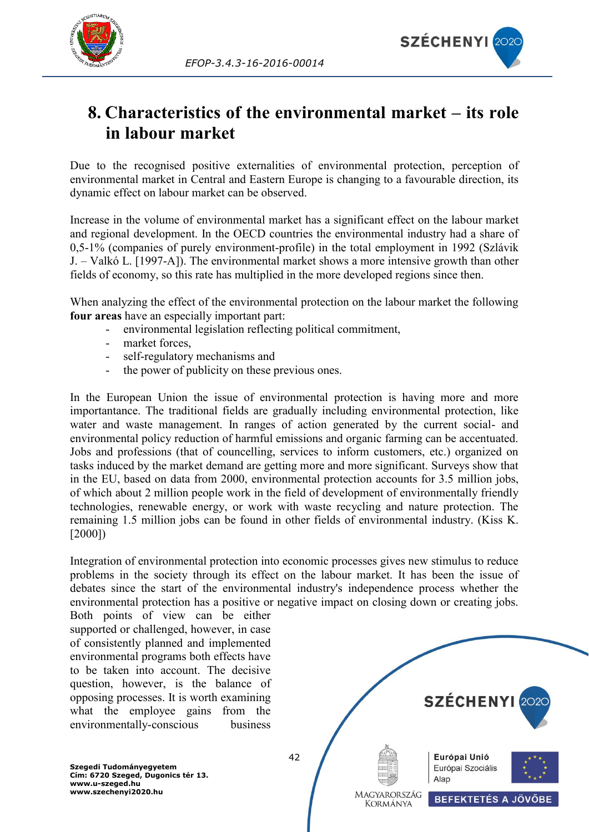

# <span id="page-42-0"></span>**8. Characteristics of the environmental market – its role in labour market**

Due to the recognised positive externalities of environmental protection, perception of environmental market in Central and Eastern Europe is changing to a favourable direction, its dynamic effect on labour market can be observed.

Increase in the volume of environmental market has a significant effect on the labour market and regional development. In the OECD countries the environmental industry had a share of 0,5-1% (companies of purely environment-profile) in the total employment in 1992 (Szlávik J. – Valkó L. [1997-A]). The environmental market shows a more intensive growth than other fields of economy, so this rate has multiplied in the more developed regions since then.

When analyzing the effect of the environmental protection on the labour market the following **four areas** have an especially important part:

- environmental legislation reflecting political commitment,

*EFOP-3.4.3-16-2016-00014*

- market forces.
- self-regulatory mechanisms and
- the power of publicity on these previous ones.

In the European Union the issue of environmental protection is having more and more importantance. The traditional fields are gradually including environmental protection, like water and waste management. In ranges of action generated by the current social- and environmental policy reduction of harmful emissions and organic farming can be accentuated. Jobs and professions (that of councelling, services to inform customers, etc.) organized on tasks induced by the market demand are getting more and more significant. Surveys show that in the EU, based on data from 2000, environmental protection accounts for 3.5 million jobs, of which about 2 million people work in the field of development of environmentally friendly technologies, renewable energy, or work with waste recycling and nature protection. The remaining 1.5 million jobs can be found in other fields of environmental industry. (Kiss K. [2000])

Integration of environmental protection into economic processes gives new stimulus to reduce problems in the society through its effect on the labour market. It has been the issue of debates since the start of the environmental industry's independence process whether the environmental protection has a positive or negative impact on closing down or creating jobs.

Both points of view can be either supported or challenged, however, in case of consistently planned and implemented environmental programs both effects have to be taken into account. The decisive question, however, is the balance of opposing processes. It is worth examining what the employee gains from the environmentally-conscious business

SZÉCHENYI 202 42 Európai Unió Európai Szociális Alap MAGYARORSZÁG **BEFEKTETÉS A JÖVŐBE KORMÁNYA**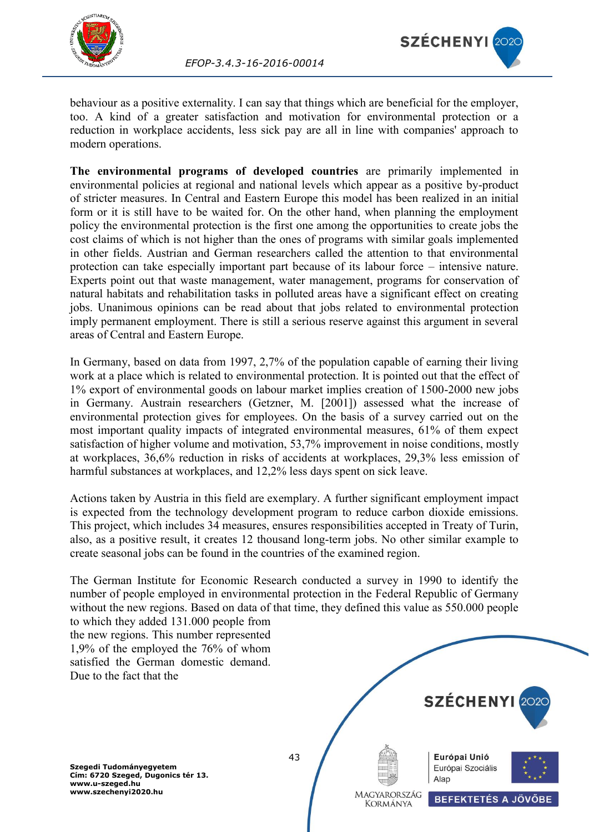



behaviour as a positive externality. I can say that things which are beneficial for the employer, too. A kind of a greater satisfaction and motivation for environmental protection or a reduction in workplace accidents, less sick pay are all in line with companies' approach to modern operations.

**The environmental programs of developed countries** are primarily implemented in environmental policies at regional and national levels which appear as a positive by-product of stricter measures. In Central and Eastern Europe this model has been realized in an initial form or it is still have to be waited for. On the other hand, when planning the employment policy the environmental protection is the first one among the opportunities to create jobs the cost claims of which is not higher than the ones of programs with similar goals implemented in other fields. Austrian and German researchers called the attention to that environmental protection can take especially important part because of its labour force – intensive nature. Experts point out that waste management, water management, programs for conservation of natural habitats and rehabilitation tasks in polluted areas have a significant effect on creating jobs. Unanimous opinions can be read about that jobs related to environmental protection imply permanent employment. There is still a serious reserve against this argument in several areas of Central and Eastern Europe.

In Germany, based on data from 1997, 2,7% of the population capable of earning their living work at a place which is related to environmental protection. It is pointed out that the effect of 1% export of environmental goods on labour market implies creation of 1500-2000 new jobs in Germany. Austrain researchers (Getzner, M. [2001]) assessed what the increase of environmental protection gives for employees. On the basis of a survey carried out on the most important quality impacts of integrated environmental measures, 61% of them expect satisfaction of higher volume and motivation, 53,7% improvement in noise conditions, mostly at workplaces, 36,6% reduction in risks of accidents at workplaces, 29,3% less emission of harmful substances at workplaces, and 12,2% less days spent on sick leave.

Actions taken by Austria in this field are exemplary. A further significant employment impact is expected from the technology development program to reduce carbon dioxide emissions. This project, which includes 34 measures, ensures responsibilities accepted in Treaty of Turin, also, as a positive result, it creates 12 thousand long-term jobs. No other similar example to create seasonal jobs can be found in the countries of the examined region.

The German Institute for Economic Research conducted a survey in 1990 to identify the number of people employed in environmental protection in the Federal Republic of Germany without the new regions. Based on data of that time, they defined this value as 550.000 people

to which they added 131.000 people from the new regions. This number represented 1,9% of the employed the 76% of whom satisfied the German domestic demand. Due to the fact that the

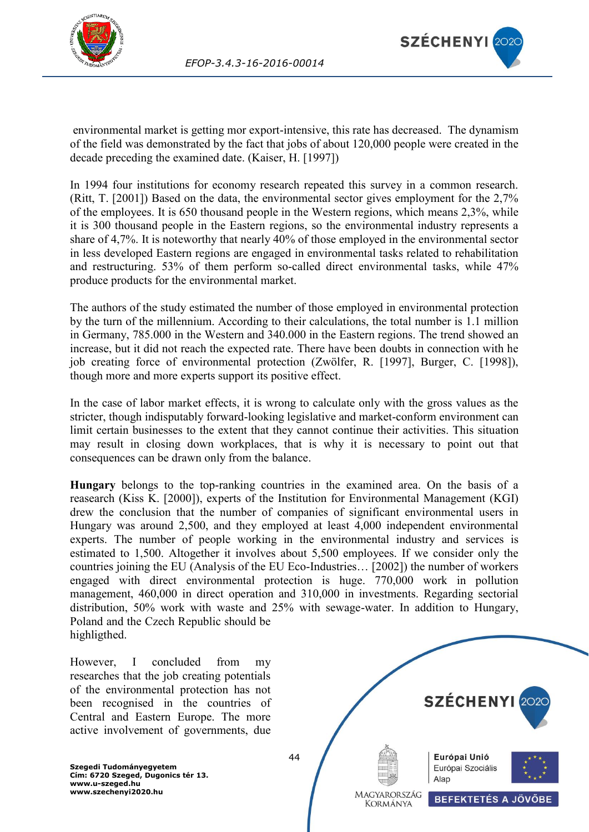



environmental market is getting mor export-intensive, this rate has decreased. The dynamism of the field was demonstrated by the fact that jobs of about 120,000 people were created in the decade preceding the examined date. (Kaiser, H. [1997])

In 1994 four institutions for economy research repeated this survey in a common research. (Ritt, T. [2001]) Based on the data, the environmental sector gives employment for the 2,7% of the employees. It is 650 thousand people in the Western regions, which means 2,3%, while it is 300 thousand people in the Eastern regions, so the environmental industry represents a share of 4,7%. It is noteworthy that nearly 40% of those employed in the environmental sector in less developed Eastern regions are engaged in environmental tasks related to rehabilitation and restructuring. 53% of them perform so-called direct environmental tasks, while 47% produce products for the environmental market.

The authors of the study estimated the number of those employed in environmental protection by the turn of the millennium. According to their calculations, the total number is 1.1 million in Germany, 785.000 in the Western and 340.000 in the Eastern regions. The trend showed an increase, but it did not reach the expected rate. There have been doubts in connection with he job creating force of environmental protection (Zwölfer, R. [1997], Burger, C. [1998]), though more and more experts support its positive effect.

<span id="page-44-0"></span>In the case of labor market effects, it is wrong to calculate only with the gross values as the stricter, though indisputably forward-looking legislative and market-conform environment can limit certain businesses to the extent that they cannot continue their activities. This situation may result in closing down workplaces, that is why it is necessary to point out that consequences can be drawn only from the balance.

<span id="page-44-1"></span>**Hungary** belongs to the top-ranking countries in the examined area. On the basis of a reasearch (Kiss K. [2000]), experts of the Institution for Environmental Management (KGI) drew the conclusion that the number of companies of significant environmental users in Hungary was around 2,500, and they employed at least 4,000 independent environmental experts. The number of people working in the environmental industry and services is estimated to 1,500. Altogether it involves about 5,500 employees. If we consider only the countries joining the EU (Analysis of the EU Eco-Industries… [2002]) the number of workers engaged with direct environmental protection is huge. 770,000 work in pollution management, 460,000 in direct operation and 310,000 in investments. Regarding sectorial distribution, 50% work with waste and 25% with sewage-water. In addition to Hungary, Poland and the Czech Republic should be highligthed.

However, I concluded from my researches that the job creating potentials of the environmental protection has not been recognised in the countries of Central and Eastern Europe. The more active involvement of governments, due

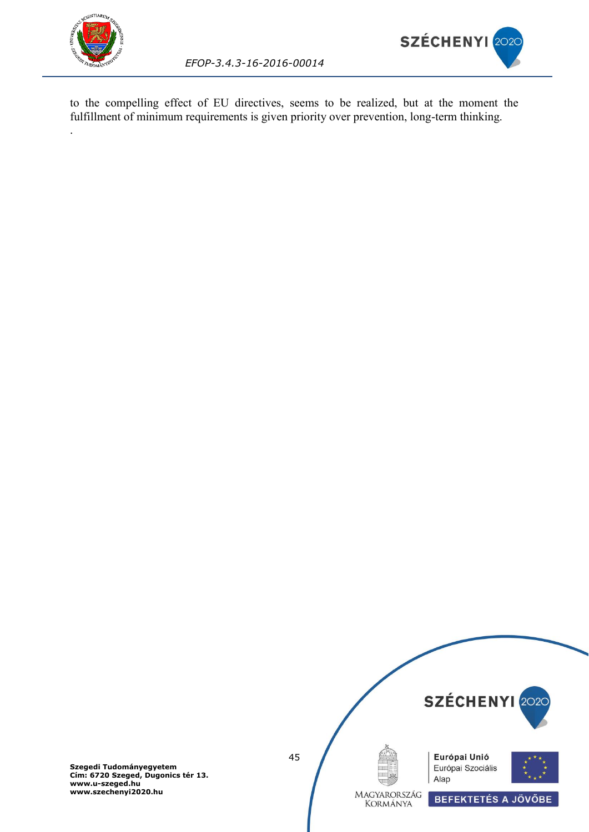

.



*EFOP-3.4.3-16-2016-00014*

to the compelling effect of EU directives, seems to be realized, but at the moment the fulfillment of minimum requirements is given priority over prevention, long-term thinking.

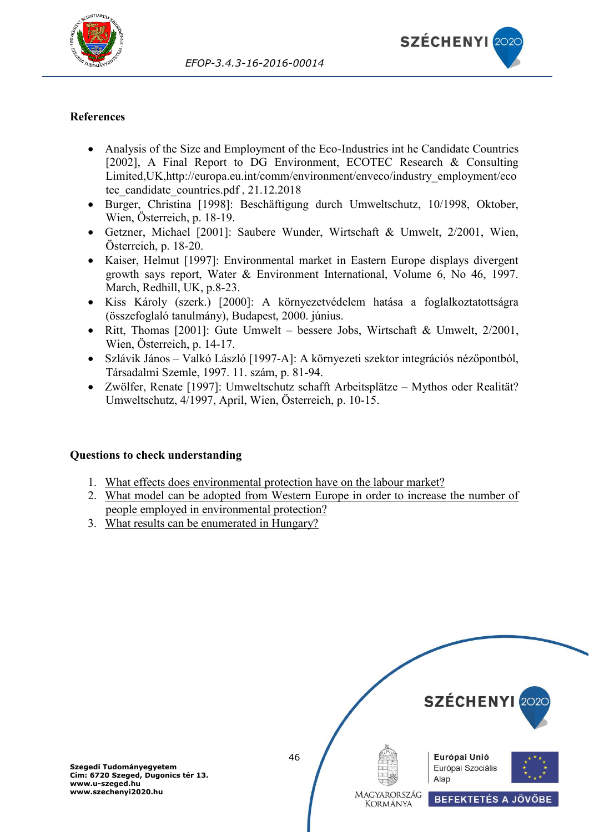



## **References**

- Analysis of the Size and Employment of the Eco-Industries int he Candidate Countries [2002], A Final Report to DG Environment, ECOTEC Research & Consulting Limited,UK,http://europa.eu.int/comm/environment/enveco/industry\_employment/eco tec\_candidate\_countries.pdf , 21.12.2018
- Burger, Christina [1998]: Beschäftigung durch Umweltschutz, 10/1998, Oktober, Wien, Österreich, p. 18-19.
- Getzner, Michael [2001]: Saubere Wunder, Wirtschaft & Umwelt, 2/2001, Wien, Österreich, p. 18-20.
- Kaiser, Helmut [1997]: Environmental market in Eastern Europe displays divergent growth says report, Water & Environment International, Volume 6, No 46, 1997. March, Redhill, UK, p.8-23.
- Kiss Károly (szerk.) [2000]: A környezetvédelem hatása a foglalkoztatottságra (összefoglaló tanulmány), Budapest, 2000. június.
- Ritt, Thomas [2001]: Gute Umwelt bessere Jobs, Wirtschaft & Umwelt, 2/2001, Wien, Österreich, p. 14-17.
- Szlávik János Valkó László [1997-A]: A környezeti szektor integrációs nézőpontból, Társadalmi Szemle, 1997. 11. szám, p. 81-94.
- Zwölfer, Renate [1997]: Umweltschutz schafft Arbeitsplätze Mythos oder Realität? Umweltschutz, 4/1997, April, Wien, Österreich, p. 10-15.

### **Questions to check understanding**

- 1. [What effects does environmental protection have on the labour market?](#page-42-0)
- 2. [What model can be adopted from Western Europe in order to increase the number of](#page-44-0)  [people employed in environmental protection?](#page-44-0)
- 3. [What results can be enumerated in Hungary?](#page-44-1)

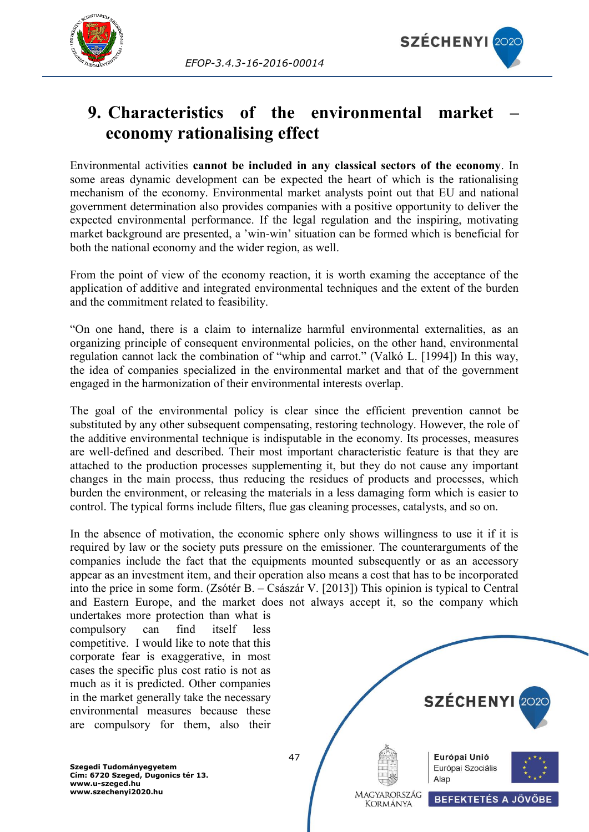



# <span id="page-47-0"></span>**9. Characteristics of the environmental market – economy rationalising effect**

Environmental activities **cannot be included in any classical sectors of the economy**. In some areas dynamic development can be expected the heart of which is the rationalising mechanism of the economy. Environmental market analysts point out that EU and national government determination also provides companies with a positive opportunity to deliver the expected environmental performance. If the legal regulation and the inspiring, motivating market background are presented, a 'win-win' situation can be formed which is beneficial for both the national economy and the wider region, as well.

From the point of view of the economy reaction, it is worth examing the acceptance of the application of additive and integrated environmental techniques and the extent of the burden and the commitment related to feasibility.

"On one hand, there is a claim to internalize harmful environmental externalities, as an organizing principle of consequent environmental policies, on the other hand, environmental regulation cannot lack the combination of "whip and carrot." (Valkó L. [1994]) In this way, the idea of companies specialized in the environmental market and that of the government engaged in the harmonization of their environmental interests overlap.

The goal of the environmental policy is clear since the efficient prevention cannot be substituted by any other subsequent compensating, restoring technology. However, the role of the additive environmental technique is indisputable in the economy. Its processes, measures are well-defined and described. Their most important characteristic feature is that they are attached to the production processes supplementing it, but they do not cause any important changes in the main process, thus reducing the residues of products and processes, which burden the environment, or releasing the materials in a less damaging form which is easier to control. The typical forms include filters, flue gas cleaning processes, catalysts, and so on.

In the absence of motivation, the economic sphere only shows willingness to use it if it is required by law or the society puts pressure on the emissioner. The counterarguments of the companies include the fact that the equipments mounted subsequently or as an accessory appear as an investment item, and their operation also means a cost that has to be incorporated into the price in some form. (Zsótér B. – Császár V. [2013]) This opinion is typical to Central and Eastern Europe, and the market does not always accept it, so the company which

undertakes more protection than what is compulsory can find itself less competitive. I would like to note that this corporate fear is exaggerative, in most cases the specific plus cost ratio is not as much as it is predicted. Other companies in the market generally take the necessary environmental measures because these are compulsory for them, also their

<span id="page-47-1"></span>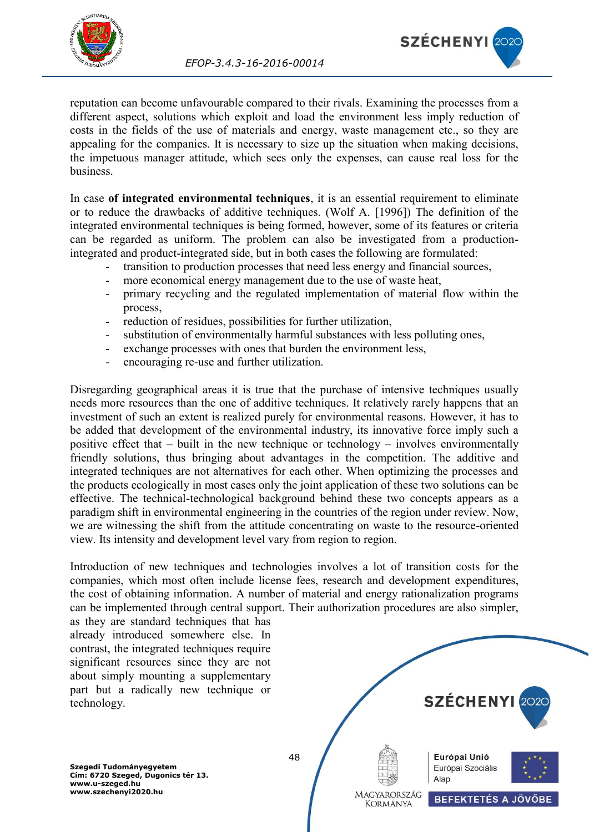



reputation can become unfavourable compared to their rivals. Examining the processes from a different aspect, solutions which exploit and load the environment less imply reduction of costs in the fields of the use of materials and energy, waste management etc., so they are appealing for the companies. It is necessary to size up the situation when making decisions, the impetuous manager attitude, which sees only the expenses, can cause real loss for the business.

<span id="page-48-0"></span>In case **of integrated environmental techniques**, it is an essential requirement to eliminate or to reduce the drawbacks of additive techniques. (Wolf A. [1996]) The definition of the integrated environmental techniques is being formed, however, some of its features or criteria can be regarded as uniform. The problem can also be investigated from a productionintegrated and product-integrated side, but in both cases the following are formulated:

- transition to production processes that need less energy and financial sources,
- more economical energy management due to the use of waste heat,
- primary recycling and the regulated implementation of material flow within the process,
- reduction of residues, possibilities for further utilization.
- substitution of environmentally harmful substances with less polluting ones,
- exchange processes with ones that burden the environment less,
- encouraging re-use and further utilization.

Disregarding geographical areas it is true that the purchase of intensive techniques usually needs more resources than the one of additive techniques. It relatively rarely happens that an investment of such an extent is realized purely for environmental reasons. However, it has to be added that development of the environmental industry, its innovative force imply such a positive effect that – built in the new technique or technology – involves environmentally friendly solutions, thus bringing about advantages in the competition. The additive and integrated techniques are not alternatives for each other. When optimizing the processes and the products ecologically in most cases only the joint application of these two solutions can be effective. The technical-technological background behind these two concepts appears as a paradigm shift in environmental engineering in the countries of the region under review. Now, we are witnessing the shift from the attitude concentrating on waste to the resource-oriented view. Its intensity and development level vary from region to region.

Introduction of new techniques and technologies involves a lot of transition costs for the companies, which most often include license fees, research and development expenditures, the cost of obtaining information. A number of material and energy rationalization programs can be implemented through central support. Their authorization procedures are also simpler,

as they are standard techniques that has already introduced somewhere else. In contrast, the integrated techniques require significant resources since they are not about simply mounting a supplementary part but a radically new technique or technology.

**Szegedi Tudományegyetem Cím: 6720 Szeged, Dugonics tér 13. www.u-szeged.hu www.szechenyi2020.hu**



48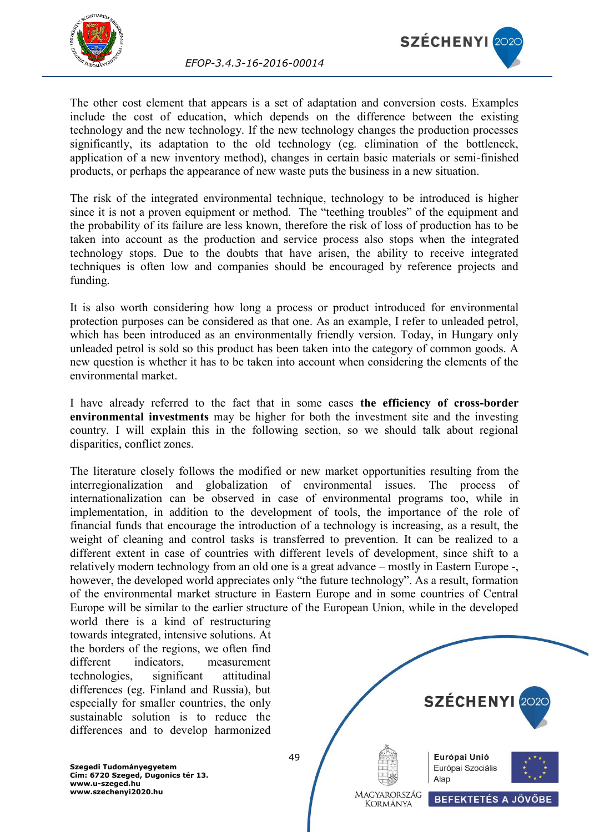



The other cost element that appears is a set of adaptation and conversion costs. Examples include the cost of education, which depends on the difference between the existing technology and the new technology. If the new technology changes the production processes significantly, its adaptation to the old technology (eg. elimination of the bottleneck, application of a new inventory method), changes in certain basic materials or semi-finished products, or perhaps the appearance of new waste puts the business in a new situation.

The risk of the integrated environmental technique, technology to be introduced is higher since it is not a proven equipment or method. The "teething troubles" of the equipment and the probability of its failure are less known, therefore the risk of loss of production has to be taken into account as the production and service process also stops when the integrated technology stops. Due to the doubts that have arisen, the ability to receive integrated techniques is often low and companies should be encouraged by reference projects and funding.

It is also worth considering how long a process or product introduced for environmental protection purposes can be considered as that one. As an example, I refer to unleaded petrol, which has been introduced as an environmentally friendly version. Today, in Hungary only unleaded petrol is sold so this product has been taken into the category of common goods. A new question is whether it has to be taken into account when considering the elements of the environmental market.

I have already referred to the fact that in some cases **the efficiency of cross-border environmental investments** may be higher for both the investment site and the investing country. I will explain this in the following section, so we should talk about regional disparities, conflict zones.

The literature closely follows the modified or new market opportunities resulting from the interregionalization and globalization of environmental issues. The process of internationalization can be observed in case of environmental programs too, while in implementation, in addition to the development of tools, the importance of the role of financial funds that encourage the introduction of a technology is increasing, as a result, the weight of cleaning and control tasks is transferred to prevention. It can be realized to a different extent in case of countries with different levels of development, since shift to a relatively modern technology from an old one is a great advance – mostly in Eastern Europe -, however, the developed world appreciates only "the future technology". As a result, formation of the environmental market structure in Eastern Europe and in some countries of Central Europe will be similar to the earlier structure of the European Union, while in the developed

world there is a kind of restructuring towards integrated, intensive solutions. At the borders of the regions, we often find different indicators, measurement technologies, significant attitudinal differences (eg. Finland and Russia), but especially for smaller countries, the only sustainable solution is to reduce the differences and to develop harmonized

<span id="page-49-0"></span>SZÉCHENYI 202 49 Európai Unió Európai Szociális Alap MAGYARORSZÁG **BEFEKTETÉS A JÖVŐBE KORMÁNYA**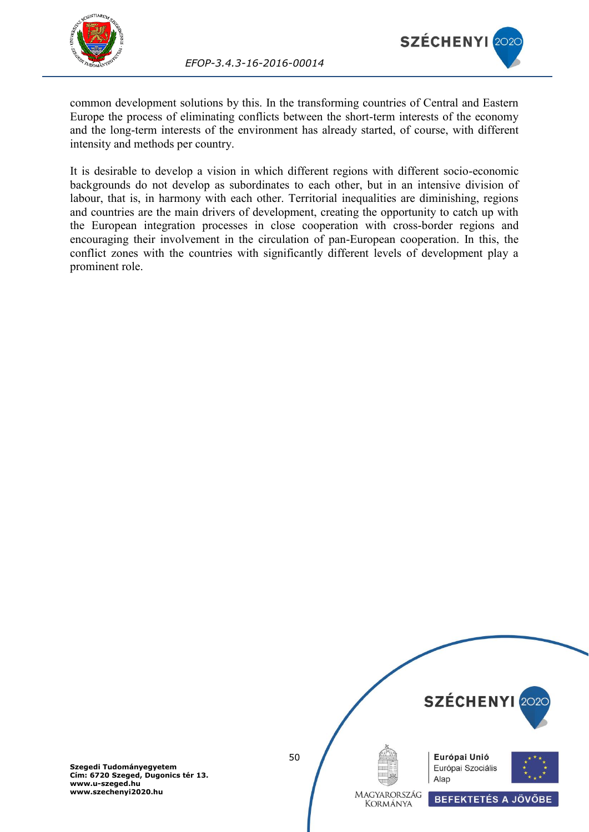

*EFOP-3.4.3-16-2016-00014*

common development solutions by this. In the transforming countries of Central and Eastern Europe the process of eliminating conflicts between the short-term interests of the economy and the long-term interests of the environment has already started, of course, with different intensity and methods per country.

It is desirable to develop a vision in which different regions with different socio-economic backgrounds do not develop as subordinates to each other, but in an intensive division of labour, that is, in harmony with each other. Territorial inequalities are diminishing, regions and countries are the main drivers of development, creating the opportunity to catch up with the European integration processes in close cooperation with cross-border regions and encouraging their involvement in the circulation of pan-European cooperation. In this, the conflict zones with the countries with significantly different levels of development play a prominent role.

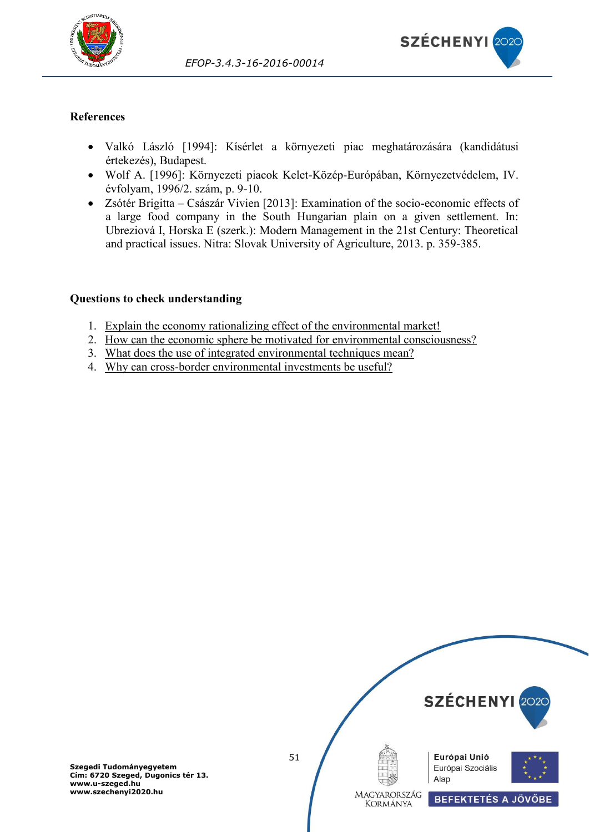



### **References**

- Valkó László [1994]: Kísérlet a környezeti piac meghatározására (kandidátusi értekezés), Budapest.
- Wolf A. [1996]: Környezeti piacok Kelet-Közép-Európában, Környezetvédelem, IV. évfolyam, 1996/2. szám, p. 9-10.
- Zsótér Brigitta Császár Vivien [2013]: Examination of the socio-economic effects of a large food company in the South Hungarian plain on a given settlement. In: Ubreziová I, Horska E (szerk.): Modern Management in the 21st Century: Theoretical and practical issues. Nitra: Slovak University of Agriculture, 2013. p. 359-385.

### **Questions to check understanding**

- 1. [Explain the economy rationalizing effect of the environmental market!](#page-47-0)
- 2. [How can the economic sphere be motivated for environmental consciousness?](#page-47-1)
- 3. [What does the use of integrated environmental techniques mean?](#page-48-0)
- 4. [Why can cross-border environmental investments be useful?](#page-49-0)

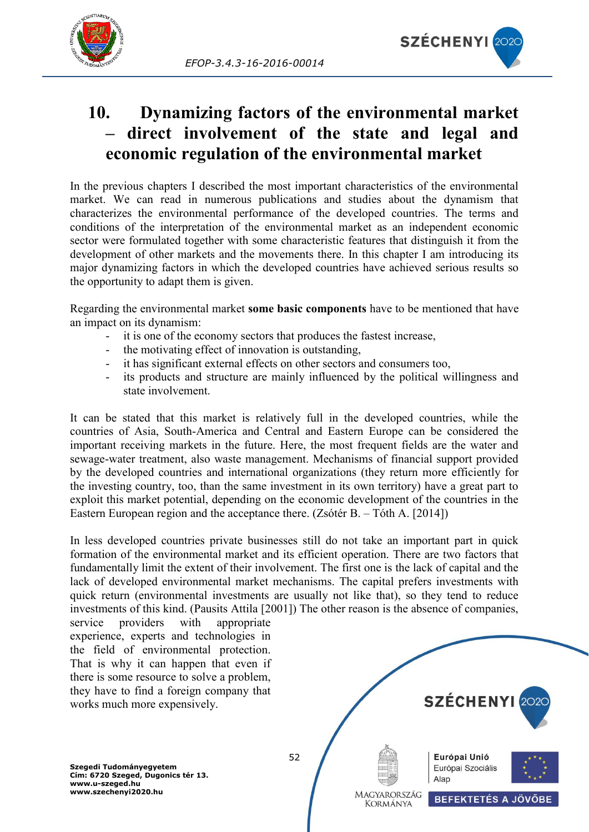



# **10. Dynamizing factors of the environmental market – direct involvement of the state and legal and economic regulation of the environmental market**

In the previous chapters I described the most important characteristics of the environmental market. We can read in numerous publications and studies about the dynamism that characterizes the environmental performance of the developed countries. The terms and conditions of the interpretation of the environmental market as an independent economic sector were formulated together with some characteristic features that distinguish it from the development of other markets and the movements there. In this chapter I am introducing its major dynamizing factors in which the developed countries have achieved serious results so the opportunity to adapt them is given.

Regarding the environmental market **some basic components** have to be mentioned that have an impact on its dynamism:

- <span id="page-52-0"></span>- it is one of the economy sectors that produces the fastest increase,
- the motivating effect of innovation is outstanding,
- it has significant external effects on other sectors and consumers too,
- its products and structure are mainly influenced by the political willingness and state involvement.

It can be stated that this market is relatively full in the developed countries, while the countries of Asia, South-America and Central and Eastern Europe can be considered the important receiving markets in the future. Here, the most frequent fields are the water and sewage-water treatment, also waste management. Mechanisms of financial support provided by the developed countries and international organizations (they return more efficiently for the investing country, too, than the same investment in its own territory) have a great part to exploit this market potential, depending on the economic development of the countries in the Eastern European region and the acceptance there. (Zsótér B. – Tóth A. [2014])

In less developed countries private businesses still do not take an important part in quick formation of the environmental market and its efficient operation. There are two factors that fundamentally limit the extent of their involvement. The first one is the lack of capital and the lack of developed environmental market mechanisms. The capital prefers investments with quick return (environmental investments are usually not like that), so they tend to reduce investments of this kind. (Pausits Attila [2001]) The other reason is the absence of companies,

service providers with appropriate experience, experts and technologies in the field of environmental protection. That is why it can happen that even if there is some resource to solve a problem, they have to find a foreign company that works much more expensively.

<span id="page-52-1"></span>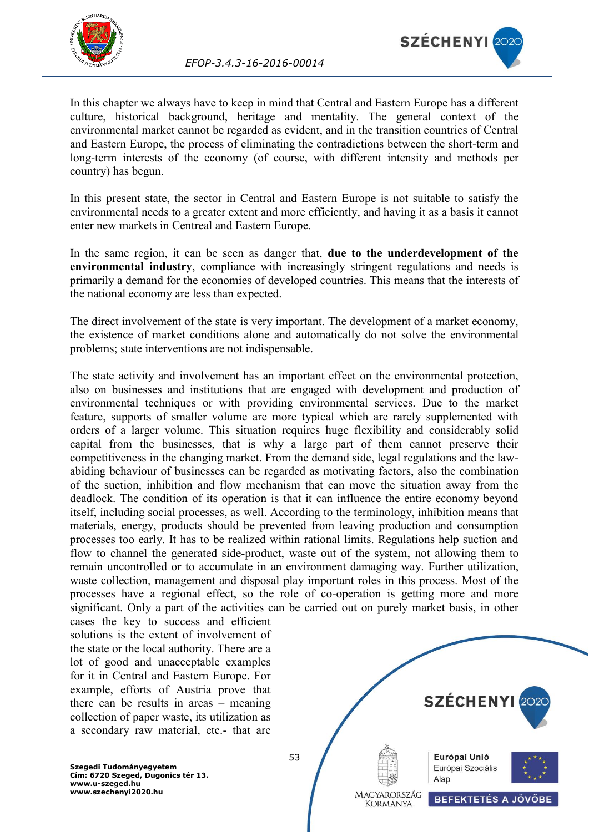



In this chapter we always have to keep in mind that Central and Eastern Europe has a different culture, historical background, heritage and mentality. The general context of the environmental market cannot be regarded as evident, and in the transition countries of Central and Eastern Europe, the process of eliminating the contradictions between the short-term and long-term interests of the economy (of course, with different intensity and methods per country) has begun.

In this present state, the sector in Central and Eastern Europe is not suitable to satisfy the environmental needs to a greater extent and more efficiently, and having it as a basis it cannot enter new markets in Centreal and Eastern Europe.

<span id="page-53-0"></span>In the same region, it can be seen as danger that, **due to the underdevelopment of the environmental industry**, compliance with increasingly stringent regulations and needs is primarily a demand for the economies of developed countries. This means that the interests of the national economy are less than expected.

The direct involvement of the state is very important. The development of a market economy, the existence of market conditions alone and automatically do not solve the environmental problems; state interventions are not indispensable.

The state activity and involvement has an important effect on the environmental protection, also on businesses and institutions that are engaged with development and production of environmental techniques or with providing environmental services. Due to the market feature, supports of smaller volume are more typical which are rarely supplemented with orders of a larger volume. This situation requires huge flexibility and considerably solid capital from the businesses, that is why a large part of them cannot preserve their competitiveness in the changing market. From the demand side, legal regulations and the lawabiding behaviour of businesses can be regarded as motivating factors, also the combination of the suction, inhibition and flow mechanism that can move the situation away from the deadlock. The condition of its operation is that it can influence the entire economy beyond itself, including social processes, as well. According to the terminology, inhibition means that materials, energy, products should be prevented from leaving production and consumption processes too early. It has to be realized within rational limits. Regulations help suction and flow to channel the generated side-product, waste out of the system, not allowing them to remain uncontrolled or to accumulate in an environment damaging way. Further utilization, waste collection, management and disposal play important roles in this process. Most of the processes have a regional effect, so the role of co-operation is getting more and more significant. Only a part of the activities can be carried out on purely market basis, in other

cases the key to success and efficient solutions is the extent of involvement of the state or the local authority. There are a lot of good and unacceptable examples for it in Central and Eastern Europe. For example, efforts of Austria prove that there can be results in areas – meaning collection of paper waste, its utilization as a secondary raw material, etc.- that are

SZÉCHENYI 202 53 Európai Unió Európai Szociális Alap MAGYARORSZÁG **BEFEKTETÉS A JÖVŐBE KORMÁNYA**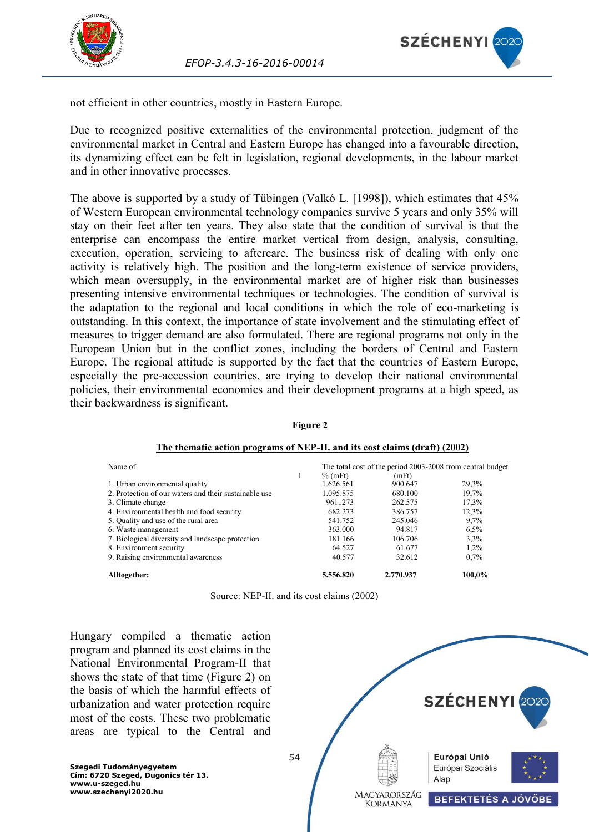



not efficient in other countries, mostly in Eastern Europe.

Due to recognized positive externalities of the environmental protection, judgment of the environmental market in Central and Eastern Europe has changed into a favourable direction, its dynamizing effect can be felt in legislation, regional developments, in the labour market and in other innovative processes.

The above is supported by a study of Tübingen (Valkó L. [1998]), which estimates that 45% of Western European environmental technology companies survive 5 years and only 35% will stay on their feet after ten years. They also state that the condition of survival is that the enterprise can encompass the entire market vertical from design, analysis, consulting, execution, operation, servicing to aftercare. The business risk of dealing with only one activity is relatively high. The position and the long-term existence of service providers, which mean oversupply, in the environmental market are of higher risk than businesses presenting intensive environmental techniques or technologies. The condition of survival is the adaptation to the regional and local conditions in which the role of eco-marketing is outstanding. In this context, the importance of state involvement and the stimulating effect of measures to trigger demand are also formulated. There are regional programs not only in the European Union but in the conflict zones, including the borders of Central and Eastern Europe. The regional attitude is supported by the fact that the countries of Eastern Europe, especially the pre-accession countries, are trying to develop their national environmental policies, their environmental economics and their development programs at a high speed, as their backwardness is significant.

| The thematic action programs of type -11, and its cost claims (urait) (2002) |           |           |           |                                                            |
|------------------------------------------------------------------------------|-----------|-----------|-----------|------------------------------------------------------------|
| Name of                                                                      |           |           |           | The total cost of the period 2003-2008 from central budget |
|                                                                              | $%$ (mFt) |           | (mFt)     |                                                            |
| 1. Urban environmental quality                                               |           | 1.626.561 | 900.647   | 29.3%                                                      |
| 2. Protection of our waters and their sustainable use                        |           | 1.095.875 | 680.100   | 19,7%                                                      |
| 3. Climate change                                                            |           | 961.273   | 262,575   | 17,3%                                                      |
| 4. Environmental health and food security                                    |           | 682.273   | 386.757   | 12,3%                                                      |
| 5. Quality and use of the rural area                                         |           | 541.752   | 245.046   | $9.7\%$                                                    |
| 6. Waste management                                                          |           | 363,000   | 94.817    | 6,5%                                                       |
| 7. Biological diversity and landscape protection                             |           | 181.166   | 106.706   | 3.3%                                                       |
| 8. Environment security                                                      |           | 64.527    | 61.677    | 1,2%                                                       |
| 9. Raising environmental awareness                                           |           | 40.577    | 32.612    | $0.7\%$                                                    |
| Alltogether:                                                                 |           | 5.556.820 | 2.770.937 | 100.0%                                                     |

**Figure 2**

### **The thematic action programs of NEP-II. and its cost claims (draft) (2002)**

Source: NEP-II. and its cost claims (2002)

Hungary compiled a thematic action program and planned its cost claims in the National Environmental Program-II that shows the state of that time (Figure 2) on the basis of which the harmful effects of urbanization and water protection require most of the costs. These two problematic areas are typical to the Central and

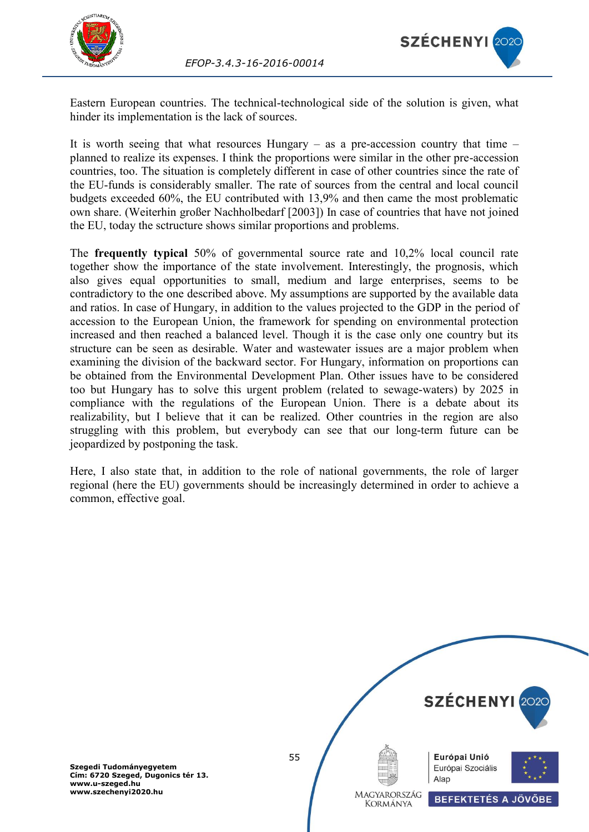



Eastern European countries. The technical-technological side of the solution is given, what hinder its implementation is the lack of sources.

It is worth seeing that what resources Hungary – as a pre-accession country that time – planned to realize its expenses. I think the proportions were similar in the other pre-accession countries, too. The situation is completely different in case of other countries since the rate of the EU-funds is considerably smaller. The rate of sources from the central and local council budgets exceeded 60%, the EU contributed with 13,9% and then came the most problematic own share. (Weiterhin großer Nachholbedarf [2003]) In case of countries that have not joined the EU, today the sctructure shows similar proportions and problems.

The **frequently typical** 50% of governmental source rate and 10,2% local council rate together show the importance of the state involvement. Interestingly, the prognosis, which also gives equal opportunities to small, medium and large enterprises, seems to be contradictory to the one described above. My assumptions are supported by the available data and ratios. In case of Hungary, in addition to the values projected to the GDP in the period of accession to the European Union, the framework for spending on environmental protection increased and then reached a balanced level. Though it is the case only one country but its structure can be seen as desirable. Water and wastewater issues are a major problem when examining the division of the backward sector. For Hungary, information on proportions can be obtained from the Environmental Development Plan. Other issues have to be considered too but Hungary has to solve this urgent problem (related to sewage-waters) by 2025 in compliance with the regulations of the European Union. There is a debate about its realizability, but I believe that it can be realized. Other countries in the region are also struggling with this problem, but everybody can see that our long-term future can be jeopardized by postponing the task.

Here, I also state that, in addition to the role of national governments, the role of larger regional (here the EU) governments should be increasingly determined in order to achieve a common, effective goal.

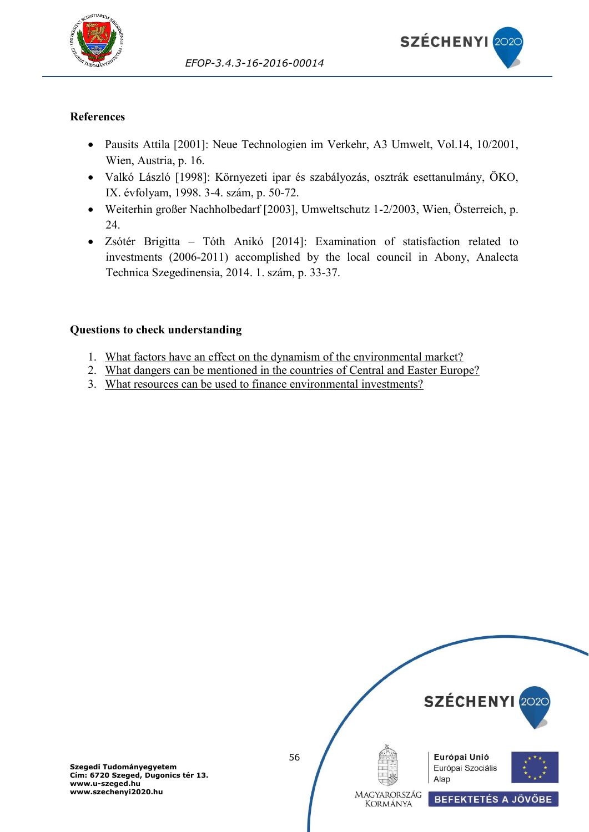



## **References**

- Pausits Attila [2001]: Neue Technologien im Verkehr, A3 Umwelt, Vol.14, 10/2001, Wien, Austria, p. 16.
- Valkó László [1998]: Környezeti ipar és szabályozás, osztrák esettanulmány, ÖKO, IX. évfolyam, 1998. 3-4. szám, p. 50-72.
- Weiterhin großer Nachholbedarf [2003], Umweltschutz 1-2/2003, Wien, Österreich, p. 24.
- Zsótér Brigitta Tóth Anikó [2014]: Examination of statisfaction related to investments (2006-2011) accomplished by the local council in Abony, Analecta Technica Szegedinensia, 2014. 1. szám, p. 33-37.

## **Questions to check understanding**

- 1. [What factors have an effect on the dynamism of the environmental market?](#page-52-0)
- 2. [What dangers can be mentioned in the countries of Central and Easter Europe?](#page-53-0)
- 3. [What resources can be used to finance environmental investments?](#page-52-1)

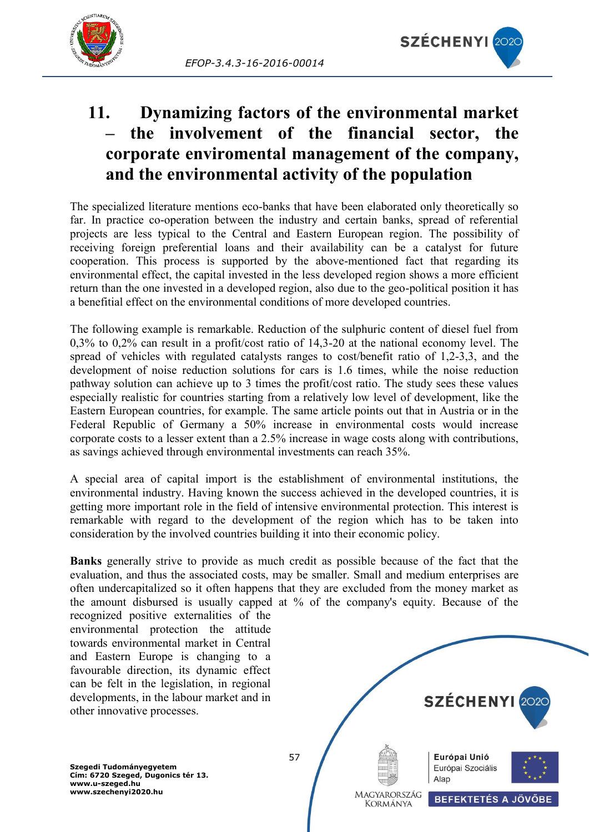



# **11. Dynamizing factors of the environmental market – the involvement of the financial sector, the corporate enviromental management of the company, and the environmental activity of the population**

The specialized literature mentions eco-banks that have been elaborated only theoretically so far. In practice co-operation between the industry and certain banks, spread of referential projects are less typical to the Central and Eastern European region. The possibility of receiving foreign preferential loans and their availability can be a catalyst for future cooperation. This process is supported by the above-mentioned fact that regarding its environmental effect, the capital invested in the less developed region shows a more efficient return than the one invested in a developed region, also due to the geo-political position it has a benefitial effect on the environmental conditions of more developed countries.

The following example is remarkable. Reduction of the sulphuric content of diesel fuel from 0,3% to 0,2% can result in a profit/cost ratio of 14,3-20 at the national economy level. The spread of vehicles with regulated catalysts ranges to cost/benefit ratio of 1,2-3,3, and the development of noise reduction solutions for cars is 1.6 times, while the noise reduction pathway solution can achieve up to 3 times the profit/cost ratio. The study sees these values especially realistic for countries starting from a relatively low level of development, like the Eastern European countries, for example. The same article points out that in Austria or in the Federal Republic of Germany a 50% increase in environmental costs would increase corporate costs to a lesser extent than a 2.5% increase in wage costs along with contributions, as savings achieved through environmental investments can reach 35%.

A special area of capital import is the establishment of environmental institutions, the environmental industry. Having known the success achieved in the developed countries, it is getting more important role in the field of intensive environmental protection. This interest is remarkable with regard to the development of the region which has to be taken into consideration by the involved countries building it into their economic policy.

<span id="page-57-0"></span>**Banks** generally strive to provide as much credit as possible because of the fact that the evaluation, and thus the associated costs, may be smaller. Small and medium enterprises are often undercapitalized so it often happens that they are excluded from the money market as the amount disbursed is usually capped at % of the company's equity. Because of the

recognized positive externalities of the environmental protection the attitude towards environmental market in Central and Eastern Europe is changing to a favourable direction, its dynamic effect can be felt in the legislation, in regional developments, in the labour market and in other innovative processes.

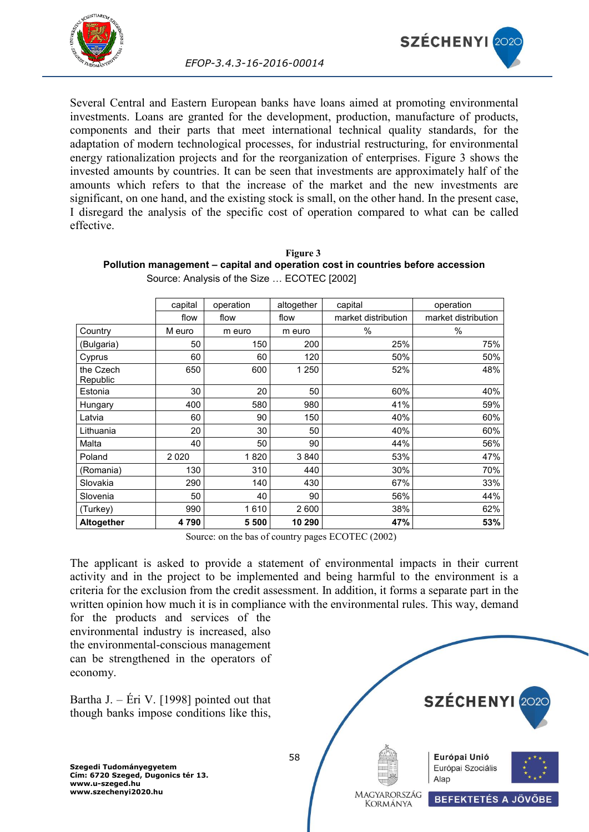



<span id="page-58-0"></span>Several Central and Eastern European banks have loans aimed at promoting environmental investments. Loans are granted for the development, production, manufacture of products, components and their parts that meet international technical quality standards, for the adaptation of modern technological processes, for industrial restructuring, for environmental energy rationalization projects and for the reorganization of enterprises. Figure 3 shows the invested amounts by countries. It can be seen that investments are approximately half of the amounts which refers to that the increase of the market and the new investments are significant, on one hand, and the existing stock is small, on the other hand. In the present case, I disregard the analysis of the specific cost of operation compared to what can be called effective.

|                       | capital | operation | altogether | capital             | operation           |
|-----------------------|---------|-----------|------------|---------------------|---------------------|
|                       | flow    | flow      | flow       | market distribution | market distribution |
| Country               | M euro  | m euro    | m euro     | $\%$                | $\%$                |
| (Bulgaria)            | 50      | 150       | 200        | 25%                 | 75%                 |
| Cyprus                | 60      | 60        | 120        | 50%                 | 50%                 |
| the Czech<br>Republic | 650     | 600       | 1 250      | 52%                 | 48%                 |
| Estonia               | 30      | 20        | 50         | 60%                 | 40%                 |
| Hungary               | 400     | 580       | 980        | 41%                 | 59%                 |
| Latvia                | 60      | 90        | 150        | 40%                 | 60%                 |
| Lithuania             | 20      | 30        | 50         | 40%                 | 60%                 |
| Malta                 | 40      | 50        | 90         | 44%                 | 56%                 |
| Poland                | 2020    | 1820      | 3840       | 53%                 | 47%                 |
| (Romania)             | 130     | 310       | 440        | 30%                 | 70%                 |
| Slovakia              | 290     | 140       | 430        | 67%                 | 33%                 |
| Slovenia              | 50      | 40        | 90         | 56%                 | 44%                 |
| (Turkey)              | 990     | 1610      | 2 600      | 38%                 | 62%                 |
| Altogether            | 4790    | 5 500     | 10 290     | 47%                 | 53%                 |

| Figure 3                                                                        |
|---------------------------------------------------------------------------------|
| Pollution management – capital and operation cost in countries before accession |
| Source: Analysis of the Size  ECOTEC [2002]                                     |

Source: on the bas of country pages ECOTEC (2002)

The applicant is asked to provide a statement of environmental impacts in their current activity and in the project to be implemented and being harmful to the environment is a criteria for the exclusion from the credit assessment. In addition, it forms a separate part in the written opinion how much it is in compliance with the environmental rules. This way, demand

for the products and services of the environmental industry is increased, also the environmental-conscious management can be strengthened in the operators of economy.

Bartha J. – Éri V. [1998] pointed out that though banks impose conditions like this,

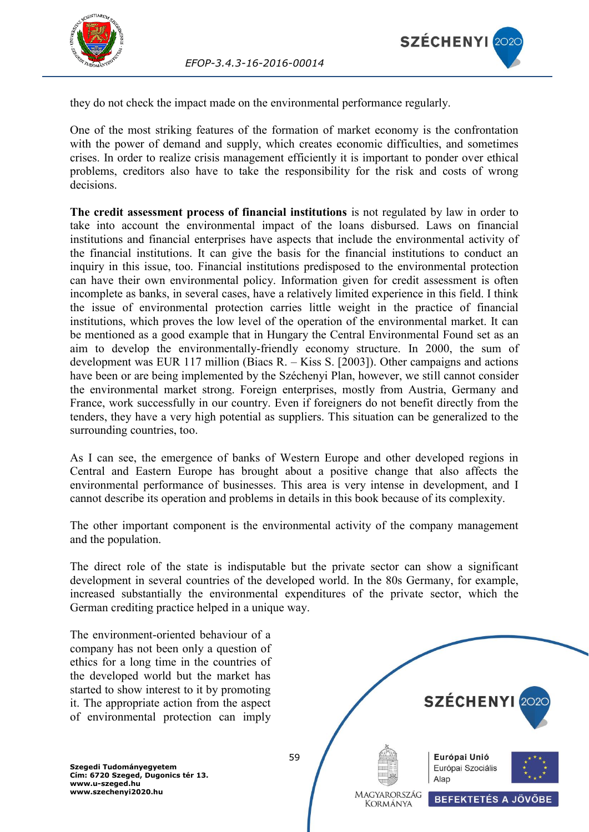



they do not check the impact made on the environmental performance regularly.

One of the most striking features of the formation of market economy is the confrontation with the power of demand and supply, which creates economic difficulties, and sometimes crises. In order to realize crisis management efficiently it is important to ponder over ethical problems, creditors also have to take the responsibility for the risk and costs of wrong decisions.

**The credit assessment process of financial institutions** is not regulated by law in order to take into account the environmental impact of the loans disbursed. Laws on financial institutions and financial enterprises have aspects that include the environmental activity of the financial institutions. It can give the basis for the financial institutions to conduct an inquiry in this issue, too. Financial institutions predisposed to the environmental protection can have their own environmental policy. Information given for credit assessment is often incomplete as banks, in several cases, have a relatively limited experience in this field. I think the issue of environmental protection carries little weight in the practice of financial institutions, which proves the low level of the operation of the environmental market. It can be mentioned as a good example that in Hungary the Central Environmental Found set as an aim to develop the environmentally-friendly economy structure. In 2000, the sum of development was EUR 117 million (Biacs R. – Kiss S. [2003]). Other campaigns and actions have been or are being implemented by the Széchenyi Plan, however, we still cannot consider the environmental market strong. Foreign enterprises, mostly from Austria, Germany and France, work successfully in our country. Even if foreigners do not benefit directly from the tenders, they have a very high potential as suppliers. This situation can be generalized to the surrounding countries, too.

As I can see, the emergence of banks of Western Europe and other developed regions in Central and Eastern Europe has brought about a positive change that also affects the environmental performance of businesses. This area is very intense in development, and I cannot describe its operation and problems in details in this book because of its complexity.

<span id="page-59-0"></span>The other important component is the environmental activity of the company management and the population.

The direct role of the state is indisputable but the private sector can show a significant development in several countries of the developed world. In the 80s Germany, for example, increased substantially the environmental expenditures of the private sector, which the German crediting practice helped in a unique way.

The environment-oriented behaviour of a company has not been only a question of ethics for a long time in the countries of the developed world but the market has started to show interest to it by promoting it. The appropriate action from the aspect of environmental protection can imply

**SZÉCHENYI** 202 59 Európai Unió Európai Szociális Alap MAGYARORSZÁG **BEFEKTETÉS A JÖVŐBE KORMÁNYA**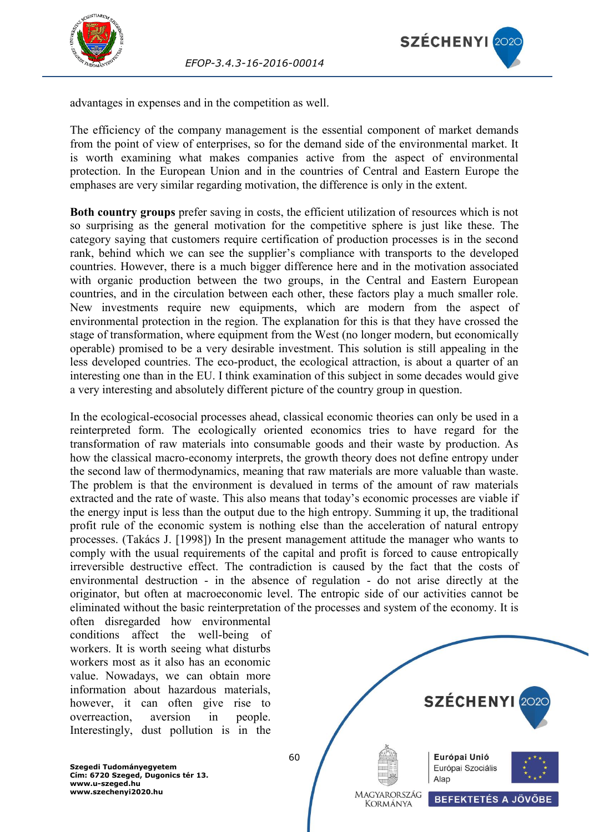

advantages in expenses and in the competition as well.

The efficiency of the company management is the essential component of market demands from the point of view of enterprises, so for the demand side of the environmental market. It is worth examining what makes companies active from the aspect of environmental protection. In the European Union and in the countries of Central and Eastern Europe the emphases are very similar regarding motivation, the difference is only in the extent.

*EFOP-3.4.3-16-2016-00014*

**Both country groups** prefer saving in costs, the efficient utilization of resources which is not so surprising as the general motivation for the competitive sphere is just like these. The category saying that customers require certification of production processes is in the second rank, behind which we can see the supplier's compliance with transports to the developed countries. However, there is a much bigger difference here and in the motivation associated with organic production between the two groups, in the Central and Eastern European countries, and in the circulation between each other, these factors play a much smaller role. New investments require new equipments, which are modern from the aspect of environmental protection in the region. The explanation for this is that they have crossed the stage of transformation, where equipment from the West (no longer modern, but economically operable) promised to be a very desirable investment. This solution is still appealing in the less developed countries. The eco-product, the ecological attraction, is about a quarter of an interesting one than in the EU. I think examination of this subject in some decades would give a very interesting and absolutely different picture of the country group in question.

In the ecological-ecosocial processes ahead, classical economic theories can only be used in a reinterpreted form. The ecologically oriented economics tries to have regard for the transformation of raw materials into consumable goods and their waste by production. As how the classical macro-economy interprets, the growth theory does not define entropy under the second law of thermodynamics, meaning that raw materials are more valuable than waste. The problem is that the environment is devalued in terms of the amount of raw materials extracted and the rate of waste. This also means that today's economic processes are viable if the energy input is less than the output due to the high entropy. Summing it up, the traditional profit rule of the economic system is nothing else than the acceleration of natural entropy processes. (Takács J. [1998]) In the present management attitude the manager who wants to comply with the usual requirements of the capital and profit is forced to cause entropically irreversible destructive effect. The contradiction is caused by the fact that the costs of environmental destruction - in the absence of regulation - do not arise directly at the originator, but often at macroeconomic level. The entropic side of our activities cannot be eliminated without the basic reinterpretation of the processes and system of the economy. It is

often disregarded how environmental conditions affect the well-being of workers. It is worth seeing what disturbs workers most as it also has an economic value. Nowadays, we can obtain more information about hazardous materials, however, it can often give rise to overreaction, aversion in people. Interestingly, dust pollution is in the

SZÉCHENYI 202 Európai Unió Európai Szociális Alap MAGYARORSZÁG **BEFEKTETÉS A JÖVŐBE KORMÁNYA**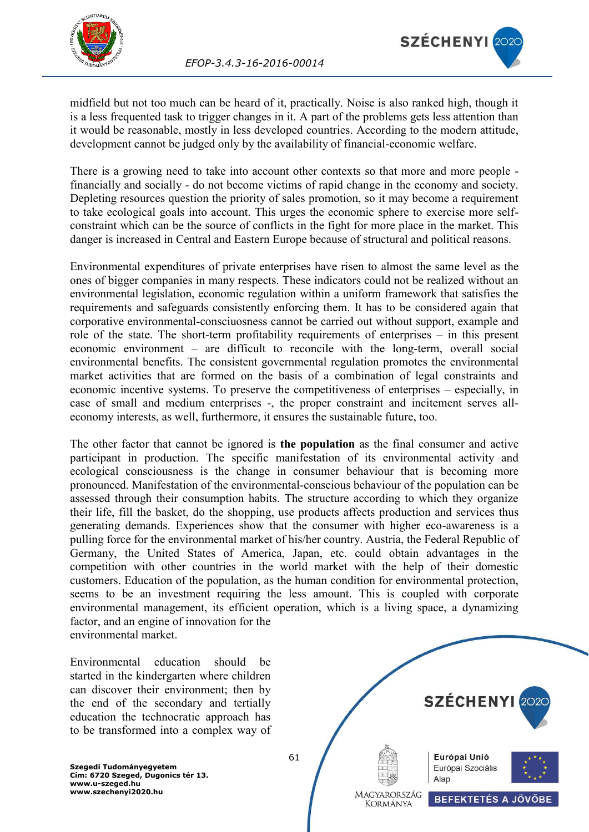



midfield but not too much can be heard of it, practically. Noise is also ranked high, though it is a less frequented task to trigger changes in it. A part of the problems gets less attention than it would be reasonable, mostly in less developed countries. According to the modern attitude, development cannot be judged only by the availability of financial-economic welfare.

There is a growing need to take into account other contexts so that more and more people financially and socially - do not become victims of rapid change in the economy and society. Depleting resources question the priority of sales promotion, so it may become a requirement to take ecological goals into account. This urges the economic sphere to exercise more selfconstraint which can be the source of conflicts in the fight for more place in the market. This danger is increased in Central and Eastern Europe because of structural and political reasons.

Environmental expenditures of private enterprises have risen to almost the same level as the ones of bigger companies in many respects. These indicators could not be realized without an environmental legislation, economic regulation within a uniform framework that satisfies the requirements and safeguards consistently enforcing them. It has to be considered again that corporative environmental-consciuosness cannot be carried out without support, example and role of the state. The short-term profitability requirements of enterprises – in this present economic environment – are difficult to reconcile with the long-term, overall social environmental benefits. The consistent governmental regulation promotes the environmental market activities that are formed on the basis of a combination of legal constraints and economic incentive systems. To preserve the competitiveness of enterprises – especially, in case of small and medium enterprises -, the proper constraint and incitement serves alleconomy interests, as well, furthermore, it ensures the sustainable future, too.

The other factor that cannot be ignored is **the population** as the final consumer and active participant in production. The specific manifestation of its environmental activity and ecological consciousness is the change in consumer behaviour that is becoming more pronounced. Manifestation of the environmental-conscious behaviour of the population can be assessed through their consumption habits. The structure according to which they organize their life, fill the basket, do the shopping, use products affects production and services thus generating demands. Experiences show that the consumer with higher eco-awareness is a pulling force for the environmental market of his/her country. Austria, the Federal Republic of Germany, the United States of America, Japan, etc. could obtain advantages in the competition with other countries in the world market with the help of their domestic customers. Education of the population, as the human condition for environmental protection, seems to be an investment requiring the less amount. This is coupled with corporate environmental management, its efficient operation, which is a living space, a dynamizing factor, and an engine of innovation for the environmental market.

<span id="page-61-0"></span>Environmental education should be started in the kindergarten where children can discover their environment; then by the end of the secondary and tertially education the technocratic approach has to be transformed into a complex way of

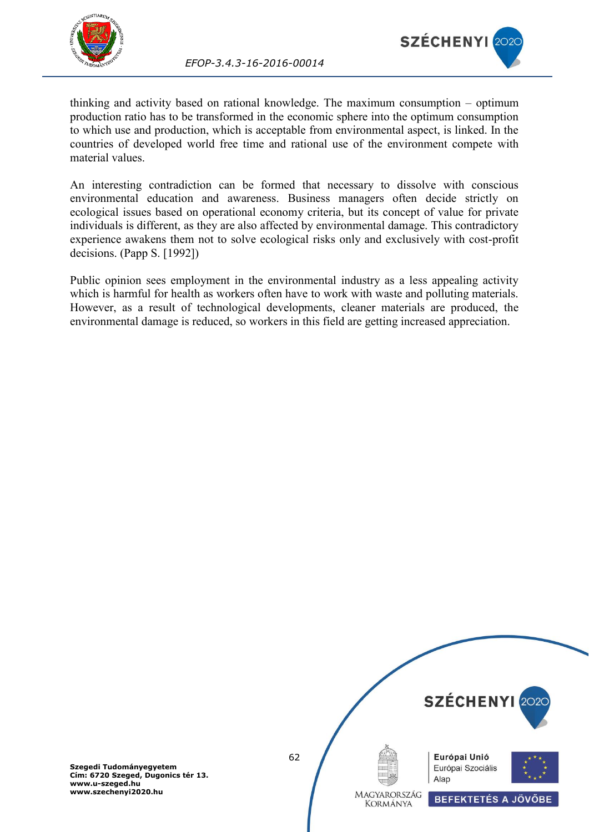



*EFOP-3.4.3-16-2016-00014*

thinking and activity based on rational knowledge. The maximum consumption – optimum production ratio has to be transformed in the economic sphere into the optimum consumption to which use and production, which is acceptable from environmental aspect, is linked. In the countries of developed world free time and rational use of the environment compete with material values.

An interesting contradiction can be formed that necessary to dissolve with conscious environmental education and awareness. Business managers often decide strictly on ecological issues based on operational economy criteria, but its concept of value for private individuals is different, as they are also affected by environmental damage. This contradictory experience awakens them not to solve ecological risks only and exclusively with cost-profit decisions. (Papp S. [1992])

Public opinion sees employment in the environmental industry as a less appealing activity which is harmful for health as workers often have to work with waste and polluting materials. However, as a result of technological developments, cleaner materials are produced, the environmental damage is reduced, so workers in this field are getting increased appreciation.

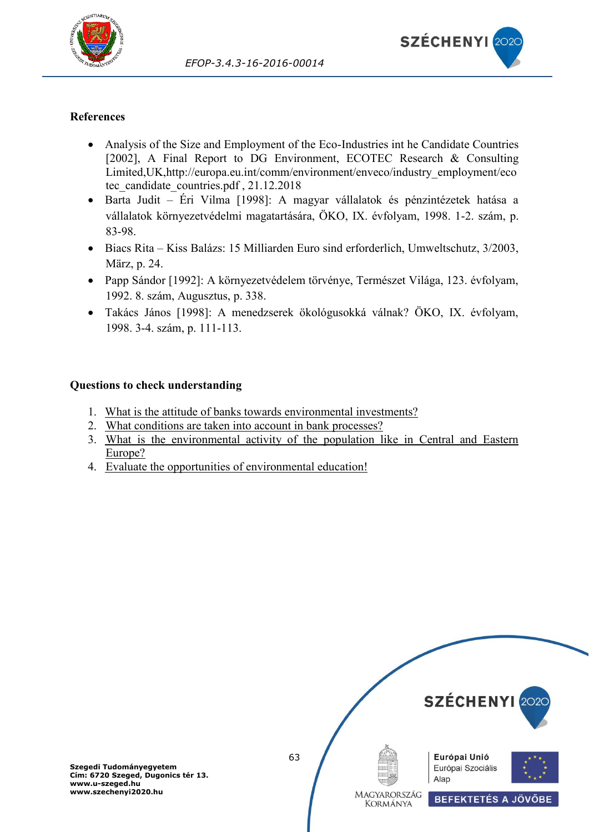



## **References**

- Analysis of the Size and Employment of the Eco-Industries int he Candidate Countries [2002], A Final Report to DG Environment, ECOTEC Research & Consulting Limited,UK,http://europa.eu.int/comm/environment/enveco/industry\_employment/eco tec\_candidate\_countries.pdf , 21.12.2018
- Barta Judit Éri Vilma [1998]: A magyar vállalatok és pénzintézetek hatása a vállalatok környezetvédelmi magatartására, ÖKO, IX. évfolyam, 1998. 1-2. szám, p. 83-98.
- Biacs Rita Kiss Balázs: 15 Milliarden Euro sind erforderlich, Umweltschutz, 3/2003, März, p. 24.
- Papp Sándor [1992]: A környezetvédelem törvénye, Természet Világa, 123. évfolyam, 1992. 8. szám, Augusztus, p. 338.
- Takács János [1998]: A menedzserek ökológusokká válnak? ÖKO, IX. évfolyam, 1998. 3-4. szám, p. 111-113.

## **Questions to check understanding**

- 1. [What is the attitude of banks towards environmental investments?](#page-58-0)
- 2. [What conditions are taken into account in bank processes?](#page-57-0)
- 3. [What is the environmental activity of the population like in Central and Eastern](#page-59-0)  [Europe?](#page-59-0)
- 4. [Evaluate the opportunities of environmental education!](#page-61-0)

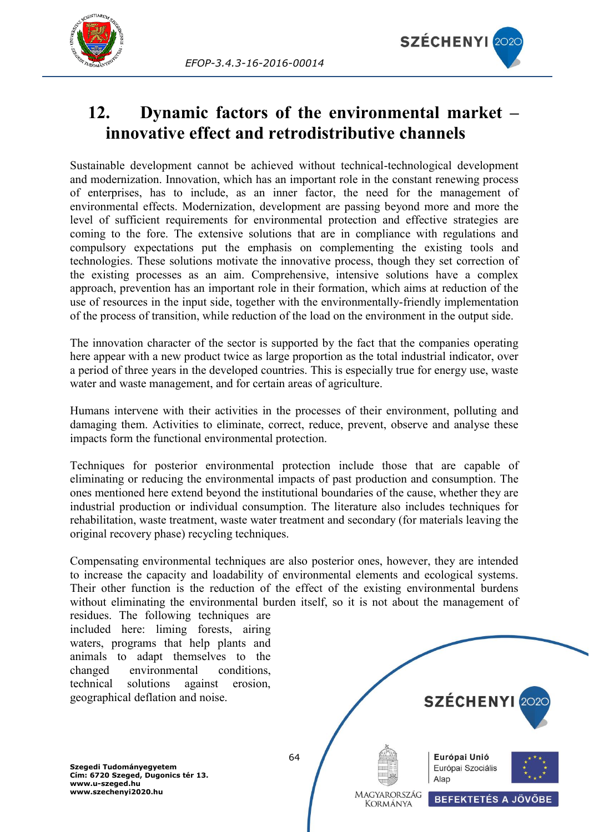



# <span id="page-64-0"></span>**12. Dynamic factors of the environmental market – innovative effect and retrodistributive channels**

Sustainable development cannot be achieved without technical-technological development and modernization. Innovation, which has an important role in the constant renewing process of enterprises, has to include, as an inner factor, the need for the management of environmental effects. Modernization, development are passing beyond more and more the level of sufficient requirements for environmental protection and effective strategies are coming to the fore. The extensive solutions that are in compliance with regulations and compulsory expectations put the emphasis on complementing the existing tools and technologies. These solutions motivate the innovative process, though they set correction of the existing processes as an aim. Comprehensive, intensive solutions have a complex approach, prevention has an important role in their formation, which aims at reduction of the use of resources in the input side, together with the environmentally-friendly implementation of the process of transition, while reduction of the load on the environment in the output side.

The innovation character of the sector is supported by the fact that the companies operating here appear with a new product twice as large proportion as the total industrial indicator, over a period of three years in the developed countries. This is especially true for energy use, waste water and waste management, and for certain areas of agriculture.

Humans intervene with their activities in the processes of their environment, polluting and damaging them. Activities to eliminate, correct, reduce, prevent, observe and analyse these impacts form the functional environmental protection.

Techniques for posterior environmental protection include those that are capable of eliminating or reducing the environmental impacts of past production and consumption. The ones mentioned here extend beyond the institutional boundaries of the cause, whether they are industrial production or individual consumption. The literature also includes techniques for rehabilitation, waste treatment, waste water treatment and secondary (for materials leaving the original recovery phase) recycling techniques.

Compensating environmental techniques are also posterior ones, however, they are intended to increase the capacity and loadability of environmental elements and ecological systems. Their other function is the reduction of the effect of the existing environmental burdens without eliminating the environmental burden itself, so it is not about the management of

residues. The following techniques are included here: liming forests, airing waters, programs that help plants and animals to adapt themselves to the changed environmental conditions, technical solutions against erosion, geographical deflation and noise.

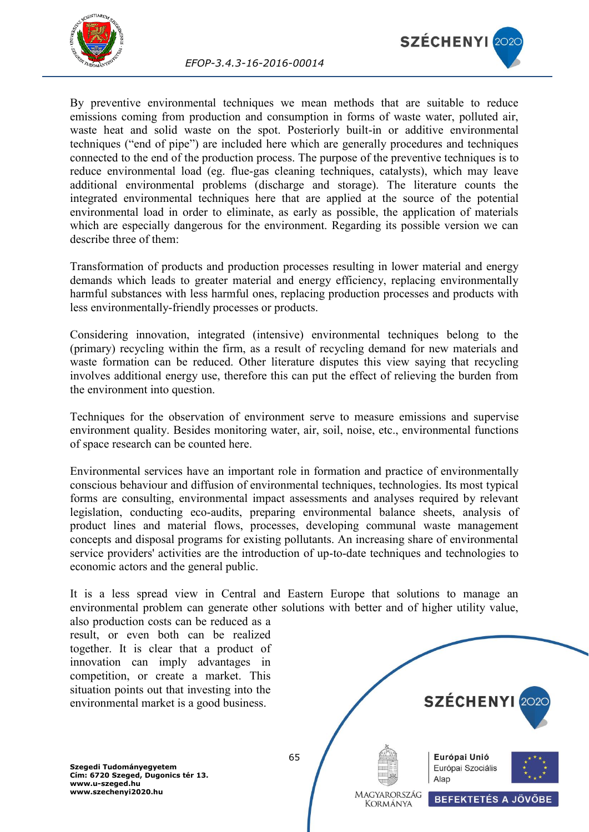



By preventive environmental techniques we mean methods that are suitable to reduce emissions coming from production and consumption in forms of waste water, polluted air, waste heat and solid waste on the spot. Posteriorly built-in or additive environmental techniques ("end of pipe") are included here which are generally procedures and techniques connected to the end of the production process. The purpose of the preventive techniques is to reduce environmental load (eg. flue-gas cleaning techniques, catalysts), which may leave additional environmental problems (discharge and storage). The literature counts the integrated environmental techniques here that are applied at the source of the potential environmental load in order to eliminate, as early as possible, the application of materials which are especially dangerous for the environment. Regarding its possible version we can describe three of them:

Transformation of products and production processes resulting in lower material and energy demands which leads to greater material and energy efficiency, replacing environmentally harmful substances with less harmful ones, replacing production processes and products with less environmentally-friendly processes or products.

Considering innovation, integrated (intensive) environmental techniques belong to the (primary) recycling within the firm, as a result of recycling demand for new materials and waste formation can be reduced. Other literature disputes this view saying that recycling involves additional energy use, therefore this can put the effect of relieving the burden from the environment into question.

Techniques for the observation of environment serve to measure emissions and supervise environment quality. Besides monitoring water, air, soil, noise, etc., environmental functions of space research can be counted here.

<span id="page-65-0"></span>Environmental services have an important role in formation and practice of environmentally conscious behaviour and diffusion of environmental techniques, technologies. Its most typical forms are consulting, environmental impact assessments and analyses required by relevant legislation, conducting eco-audits, preparing environmental balance sheets, analysis of product lines and material flows, processes, developing communal waste management concepts and disposal programs for existing pollutants. An increasing share of environmental service providers' activities are the introduction of up-to-date techniques and technologies to economic actors and the general public.

It is a less spread view in Central and Eastern Europe that solutions to manage an environmental problem can generate other solutions with better and of higher utility value,

also production costs can be reduced as a result, or even both can be realized together. It is clear that a product of innovation can imply advantages in competition, or create a market. This situation points out that investing into the environmental market is a good business.

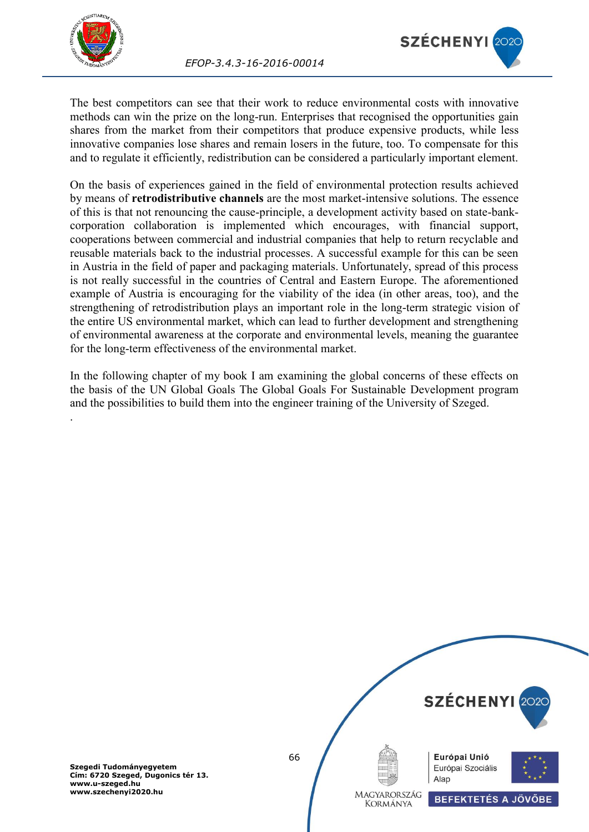

.



The best competitors can see that their work to reduce environmental costs with innovative methods can win the prize on the long-run. Enterprises that recognised the opportunities gain shares from the market from their competitors that produce expensive products, while less innovative companies lose shares and remain losers in the future, too. To compensate for this and to regulate it efficiently, redistribution can be considered a particularly important element.

*EFOP-3.4.3-16-2016-00014*

<span id="page-66-0"></span>On the basis of experiences gained in the field of environmental protection results achieved by means of **retrodistributive channels** are the most market-intensive solutions. The essence of this is that not renouncing the cause-principle, a development activity based on state-bankcorporation collaboration is implemented which encourages, with financial support, cooperations between commercial and industrial companies that help to return recyclable and reusable materials back to the industrial processes. A successful example for this can be seen in Austria in the field of paper and packaging materials. Unfortunately, spread of this process is not really successful in the countries of Central and Eastern Europe. The aforementioned example of Austria is encouraging for the viability of the idea (in other areas, too), and the strengthening of retrodistribution plays an important role in the long-term strategic vision of the entire US environmental market, which can lead to further development and strengthening of environmental awareness at the corporate and environmental levels, meaning the guarantee for the long-term effectiveness of the environmental market.

In the following chapter of my book I am examining the global concerns of these effects on the basis of the UN Global Goals The Global Goals For Sustainable Development program and the possibilities to build them into the engineer training of the University of Szeged.

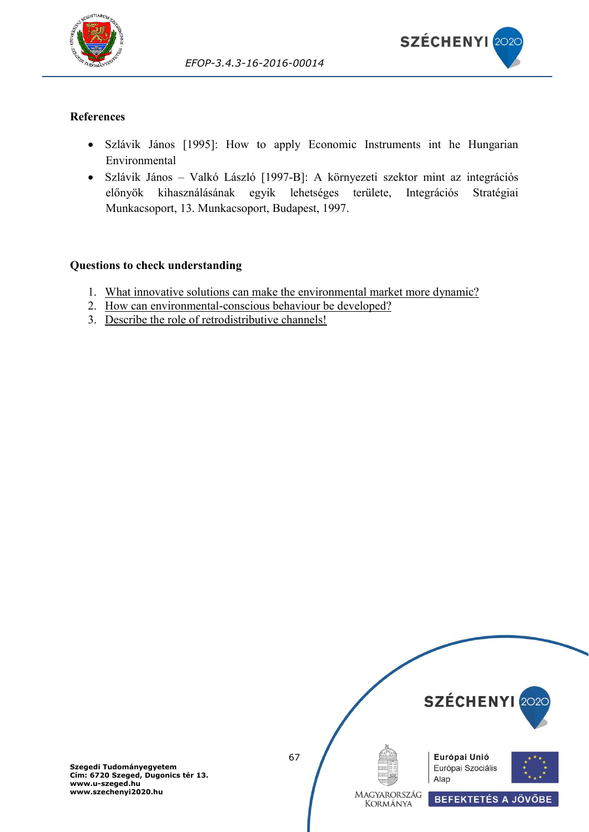



## **References**

- Szlávik János [1995]: How to apply Economic Instruments int he Hungarian Environmental
- Szlávik János Valkó László [1997-B]: A környezeti szektor mint az integrációs előnyök kihasználásának egyik lehetséges területe, Integrációs Stratégiai Munkacsoport, 13. Munkacsoport, Budapest, 1997.

### **Questions to check understanding**

- 1. [What innovative solutions can make the environmental market more dynamic?](#page-64-0)
- 2. [How can environmental-conscious behaviour be developed?](#page-65-0)
- 3. [Describe the role of retrodistributive channels!](#page-66-0)

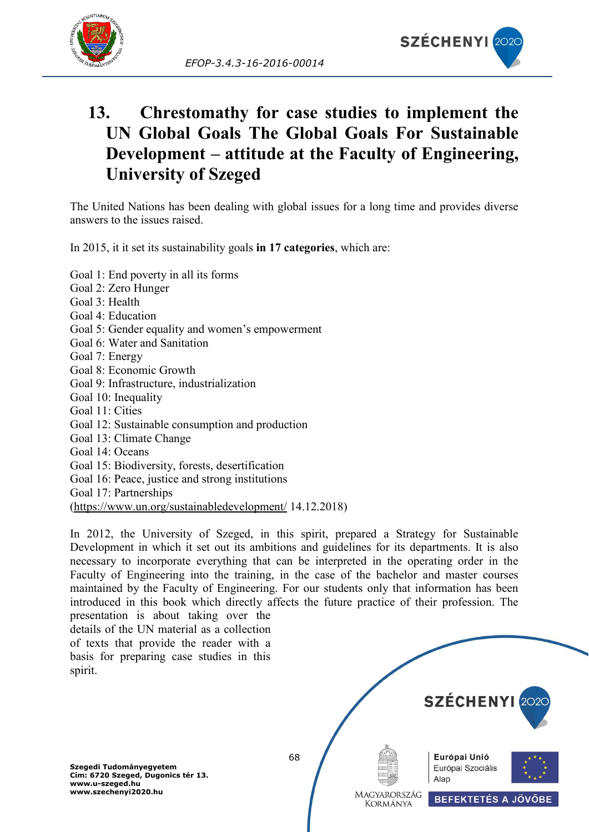



# **13. Chrestomathy for case studies to implement the UN Global Goals The Global Goals For Sustainable Development – attitude at the Faculty of Engineering, University of Szeged**

The United Nations has been dealing with global issues for a long time and provides diverse answers to the issues raised.

In 2015, it it set its sustainability goals **in 17 categories**, which are:

Goal 1: End poverty in all its forms

- Goal 2: Zero Hunger
- Goal 3: Health
- Goal 4: Education
- Goal 5: Gender equality and women's empowerment
- Goal 6: Water and Sanitation
- Goal 7: Energy
- Goal 8: Economic Growth
- Goal 9: Infrastructure, industrialization
- Goal 10: Inequality
- Goal 11: Cities
- Goal 12: Sustainable consumption and production
- Goal 13: Climate Change
- Goal 14: Oceans
- Goal 15: Biodiversity, forests, desertification
- Goal 16: Peace, justice and strong institutions
- Goal 17: Partnerships

[\(https://www.un.org/sustainabledevelopment/](https://www.un.org/sustainabledevelopment/) 14.12.2018)

In 2012, the University of Szeged, in this spirit, prepared a Strategy for Sustainable Development in which it set out its ambitions and guidelines for its departments. It is also necessary to incorporate everything that can be interpreted in the operating order in the Faculty of Engineering into the training, in the case of the bachelor and master courses maintained by the Faculty of Engineering. For our students only that information has been introduced in this book which directly affects the future practice of their profession. The presentation is about taking over the

details of the UN material as a collection of texts that provide the reader with a basis for preparing case studies in this spirit.

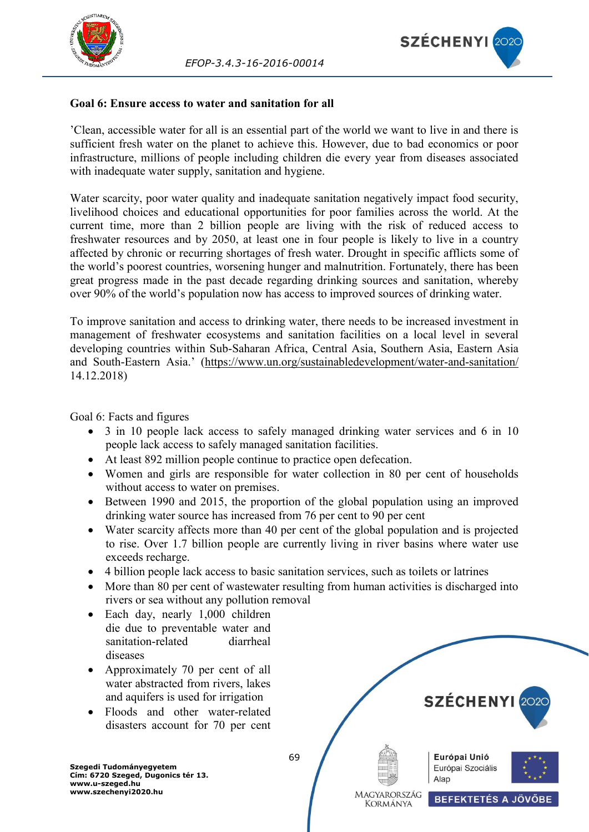



#### **Goal 6: Ensure access to water and sanitation for all**

'Clean, accessible water for all is an essential part of the world we want to live in and there is sufficient fresh water on the planet to achieve this. However, due to bad economics or poor infrastructure, millions of people including children die every year from diseases associated with inadequate water supply, sanitation and hygiene.

Water scarcity, poor water quality and inadequate sanitation negatively impact food security, livelihood choices and educational opportunities for poor families across the world. At the current time, more than 2 billion people are living with the risk of reduced access to freshwater resources and by 2050, at least one in four people is likely to live in a country affected by chronic or recurring shortages of fresh water. Drought in specific afflicts some of the world's poorest countries, worsening hunger and malnutrition. Fortunately, there has been great progress made in the past decade regarding drinking sources and sanitation, whereby over 90% of the world's population now has access to improved sources of drinking water.

To improve sanitation and access to drinking water, there needs to be increased investment in management of freshwater ecosystems and sanitation facilities on a local level in several developing countries within Sub-Saharan Africa, Central Asia, Southern Asia, Eastern Asia and South-Eastern Asia.' [\(https://www.un.org/sustainabledevelopment/water-and-sanitation/](https://www.un.org/sustainabledevelopment/water-and-sanitation/) 14.12.2018)

Goal 6: Facts and figures

- 3 in 10 people lack access to safely managed drinking water services and 6 in 10 people lack access to safely managed sanitation facilities.
- At least 892 million people continue to practice open defecation.
- Women and girls are responsible for water collection in 80 per cent of households without access to water on premises.
- Between 1990 and 2015, the proportion of the global population using an improved drinking water source has increased from 76 per cent to 90 per cent
- Water scarcity affects more than 40 per cent of the global population and is projected to rise. Over 1.7 billion people are currently living in river basins where water use exceeds recharge.
- 4 billion people lack access to basic sanitation services, such as toilets or latrines
- More than 80 per cent of wastewater resulting from human activities is discharged into rivers or sea without any pollution removal
- Each day, nearly 1,000 children die due to preventable water and sanitation-related diarrheal diseases
- Approximately 70 per cent of all water abstracted from rivers, lakes and aquifers is used for irrigation
- Floods and other water-related disasters account for 70 per cent

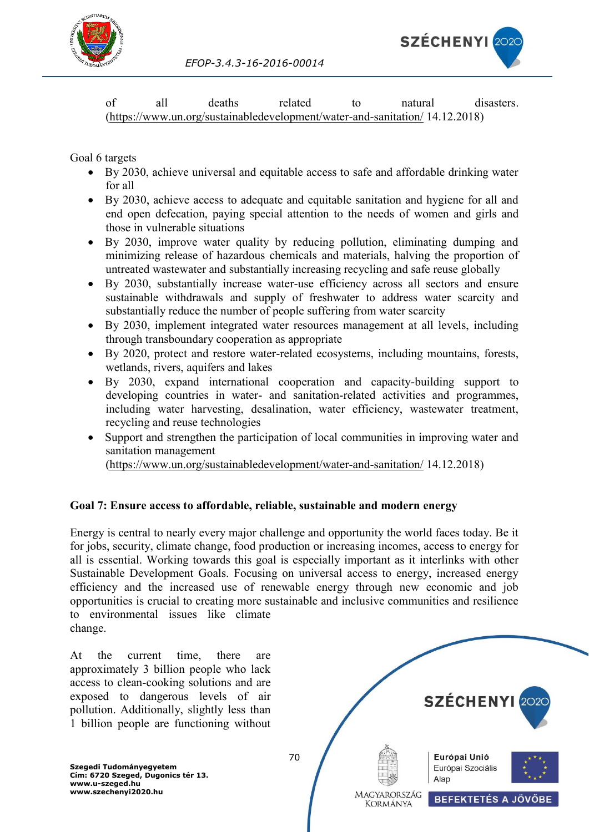



of all deaths related to natural disasters. [\(https://www.un.org/sustainabledevelopment/water-and-sanitation/](https://www.un.org/sustainabledevelopment/water-and-sanitation/) 14.12.2018)

#### Goal 6 targets

- By 2030, achieve universal and equitable access to safe and affordable drinking water for all
- By 2030, achieve access to adequate and equitable sanitation and hygiene for all and end open defecation, paying special attention to the needs of women and girls and those in vulnerable situations
- By 2030, improve water quality by reducing pollution, eliminating dumping and minimizing release of hazardous chemicals and materials, halving the proportion of untreated wastewater and substantially increasing recycling and safe reuse globally
- By 2030, substantially increase water-use efficiency across all sectors and ensure sustainable withdrawals and supply of freshwater to address water scarcity and substantially reduce the number of people suffering from water scarcity
- By 2030, implement integrated water resources management at all levels, including through transboundary cooperation as appropriate
- By 2020, protect and restore water-related ecosystems, including mountains, forests, wetlands, rivers, aquifers and lakes
- By 2030, expand international cooperation and capacity-building support to developing countries in water- and sanitation-related activities and programmes, including water harvesting, desalination, water efficiency, wastewater treatment, recycling and reuse technologies
- Support and strengthen the participation of local communities in improving water and sanitation management

[\(https://www.un.org/sustainabledevelopment/water-and-sanitation/](https://www.un.org/sustainabledevelopment/water-and-sanitation/) 14.12.2018)

### **Goal 7: Ensure access to affordable, reliable, sustainable and modern energy**

Energy is central to nearly every major challenge and opportunity the world faces today. Be it for jobs, security, climate change, food production or increasing incomes, access to energy for all is essential. Working towards this goal is especially important as it interlinks with other Sustainable Development Goals. Focusing on universal access to energy, increased energy efficiency and the increased use of renewable energy through new economic and job opportunities is crucial to creating more sustainable and inclusive communities and resilience to environmental issues like climate change.

At the current time, there are approximately 3 billion people who lack access to clean-cooking solutions and are exposed to dangerous levels of air pollution. Additionally, slightly less than 1 billion people are functioning without

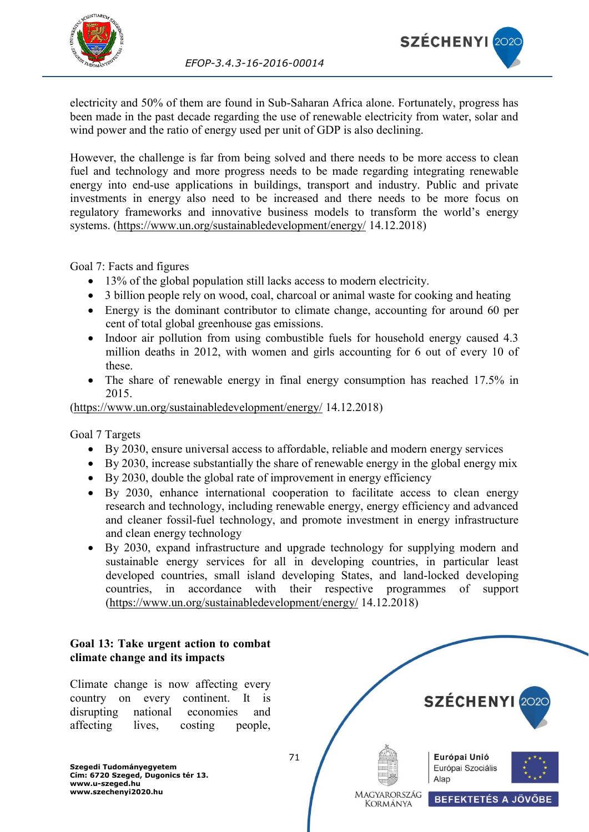



electricity and 50% of them are found in Sub-Saharan Africa alone. Fortunately, progress has been made in the past decade regarding the use of renewable electricity from water, solar and wind power and the ratio of energy used per unit of GDP is also declining.

However, the challenge is far from being solved and there needs to be more access to clean fuel and technology and more progress needs to be made regarding integrating renewable energy into end-use applications in buildings, transport and industry. Public and private investments in energy also need to be increased and there needs to be more focus on regulatory frameworks and innovative business models to transform the world's energy systems. [\(https://www.un.org/sustainabledevelopment/energy/](https://www.un.org/sustainabledevelopment/energy/) 14.12.2018)

Goal 7: Facts and figures

- 13% of the global population still lacks access to modern electricity.
- 3 billion people rely on wood, coal, charcoal or animal waste for cooking and heating
- Energy is the dominant contributor to climate change, accounting for around 60 per cent of total global greenhouse gas emissions.
- Indoor air pollution from using combustible fuels for household energy caused 4.3 million deaths in 2012, with women and girls accounting for 6 out of every 10 of these.
- The share of renewable energy in final energy consumption has reached 17.5% in 2015.

[\(https://www.un.org/sustainabledevelopment/energy/](https://www.un.org/sustainabledevelopment/energy/) 14.12.2018)

Goal 7 Targets

- By 2030, ensure universal access to affordable, reliable and modern energy services
- By 2030, increase substantially the share of renewable energy in the global energy mix
- $\bullet$  By 2030, double the global rate of improvement in energy efficiency
- By 2030, enhance international cooperation to facilitate access to clean energy research and technology, including renewable energy, energy efficiency and advanced and cleaner fossil-fuel technology, and promote investment in energy infrastructure and clean energy technology
- By 2030, expand infrastructure and upgrade technology for supplying modern and sustainable energy services for all in developing countries, in particular least developed countries, small island developing States, and land-locked developing countries, in accordance with their respective programmes of support [\(https://www.un.org/sustainabledevelopment/energy/](https://www.un.org/sustainabledevelopment/energy/) 14.12.2018)

#### **Goal 13: Take urgent action to combat climate change and its impacts**

Climate change is now affecting every country on every continent. It is disrupting national economies and affecting lives, costing people,

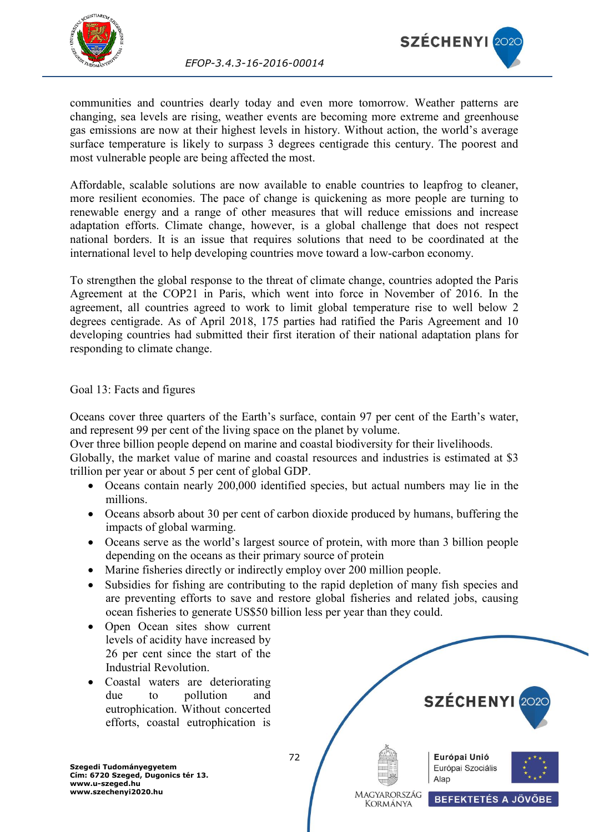



communities and countries dearly today and even more tomorrow. Weather patterns are changing, sea levels are rising, weather events are becoming more extreme and greenhouse gas emissions are now at their highest levels in history. Without action, the world's average surface temperature is likely to surpass 3 degrees centigrade this century. The poorest and most vulnerable people are being affected the most.

Affordable, scalable solutions are now available to enable countries to leapfrog to cleaner, more resilient economies. The pace of change is quickening as more people are turning to renewable energy and a range of other measures that will reduce emissions and increase adaptation efforts. Climate change, however, is a global challenge that does not respect national borders. It is an issue that requires solutions that need to be coordinated at the international level to help developing countries move toward a low-carbon economy.

To strengthen the global response to the threat of climate change, countries adopted the Paris Agreement at the COP21 in Paris, which went into force in November of 2016. In the agreement, all countries agreed to work to limit global temperature rise to well below 2 degrees centigrade. As of April 2018, 175 parties had ratified the Paris Agreement and 10 developing countries had submitted their first iteration of their national adaptation plans for responding to climate change.

Goal 13: Facts and figures

Oceans cover three quarters of the Earth's surface, contain 97 per cent of the Earth's water, and represent 99 per cent of the living space on the planet by volume.

Over three billion people depend on marine and coastal biodiversity for their livelihoods.

Globally, the market value of marine and coastal resources and industries is estimated at \$3 trillion per year or about 5 per cent of global GDP.

- Oceans contain nearly 200,000 identified species, but actual numbers may lie in the millions.
- Oceans absorb about 30 per cent of carbon dioxide produced by humans, buffering the impacts of global warming.
- Oceans serve as the world's largest source of protein, with more than 3 billion people depending on the oceans as their primary source of protein
- Marine fisheries directly or indirectly employ over 200 million people.
- Subsidies for fishing are contributing to the rapid depletion of many fish species and are preventing efforts to save and restore global fisheries and related jobs, causing ocean fisheries to generate US\$50 billion less per year than they could.
- Open Ocean sites show current levels of acidity have increased by 26 per cent since the start of the Industrial Revolution.
- Coastal waters are deteriorating due to pollution and eutrophication. Without concerted efforts, coastal eutrophication is



**Szegedi Tudományegyetem Cím: 6720 Szeged, Dugonics tér 13. www.u-szeged.hu www.szechenyi2020.hu**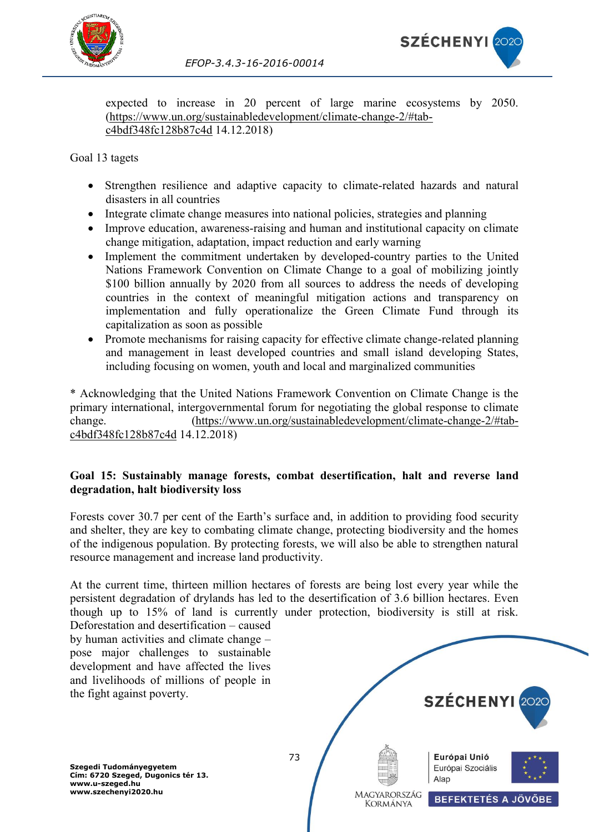



expected to increase in 20 percent of large marine ecosystems by 2050. [\(https://www.un.org/sustainabledevelopment/climate-change-2/#tab](https://www.un.org/sustainabledevelopment/climate-change-2/#tab-c4bdf348fc128b87c4d)[c4bdf348fc128b87c4d](https://www.un.org/sustainabledevelopment/climate-change-2/#tab-c4bdf348fc128b87c4d) 14.12.2018)

Goal 13 tagets

- Strengthen resilience and adaptive capacity to climate-related hazards and natural disasters in all countries
- Integrate climate change measures into national policies, strategies and planning
- Improve education, awareness-raising and human and institutional capacity on climate change mitigation, adaptation, impact reduction and early warning
- Implement the commitment undertaken by developed-country parties to the United Nations Framework Convention on Climate Change to a goal of mobilizing jointly \$100 billion annually by 2020 from all sources to address the needs of developing countries in the context of meaningful mitigation actions and transparency on implementation and fully operationalize the Green Climate Fund through its capitalization as soon as possible
- Promote mechanisms for raising capacity for effective climate change-related planning and management in least developed countries and small island developing States, including focusing on women, youth and local and marginalized communities

\* Acknowledging that the United Nations Framework Convention on Climate Change is the primary international, intergovernmental forum for negotiating the global response to climate change. [\(https://www.un.org/sustainabledevelopment/climate-change-2/#tab](https://www.un.org/sustainabledevelopment/climate-change-2/#tab-c4bdf348fc128b87c4d)[c4bdf348fc128b87c4d](https://www.un.org/sustainabledevelopment/climate-change-2/#tab-c4bdf348fc128b87c4d) 14.12.2018)

#### **Goal 15: Sustainably manage forests, combat desertification, halt and reverse land degradation, halt biodiversity loss**

Forests cover 30.7 per cent of the Earth's surface and, in addition to providing food security and shelter, they are key to combating climate change, protecting biodiversity and the homes of the indigenous population. By protecting forests, we will also be able to strengthen natural resource management and increase land productivity.

At the current time, thirteen million hectares of forests are being lost every year while the persistent degradation of drylands has led to the desertification of 3.6 billion hectares. Even though up to 15% of land is currently under protection, biodiversity is still at risk.

Deforestation and desertification – caused by human activities and climate change – pose major challenges to sustainable development and have affected the lives and livelihoods of millions of people in the fight against poverty.

**Szegedi Tudományegyetem Cím: 6720 Szeged, Dugonics tér 13. www.u-szeged.hu www.szechenyi2020.hu**



73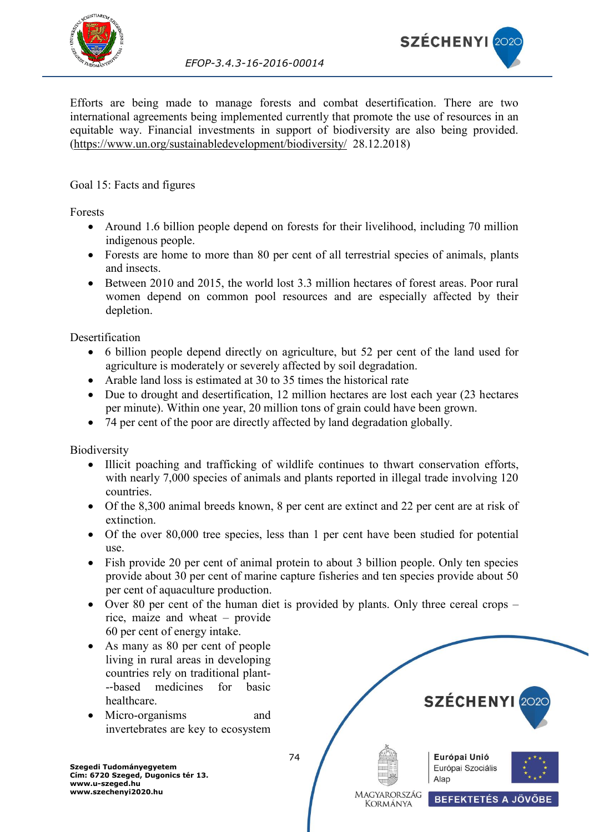



Efforts are being made to manage forests and combat desertification. There are two international agreements being implemented currently that promote the use of resources in an equitable way. Financial investments in support of biodiversity are also being provided. [\(https://www.un.org/sustainabledevelopment/biodiversity/](https://www.un.org/sustainabledevelopment/biodiversity/) 28.12.2018)

### Goal 15: Facts and figures

Forests

- Around 1.6 billion people depend on forests for their livelihood, including 70 million indigenous people.
- Forests are home to more than 80 per cent of all terrestrial species of animals, plants and insects.
- Between 2010 and 2015, the world lost 3.3 million hectares of forest areas. Poor rural women depend on common pool resources and are especially affected by their depletion.

Desertification

- 6 billion people depend directly on agriculture, but 52 per cent of the land used for agriculture is moderately or severely affected by soil degradation.
- Arable land loss is estimated at 30 to 35 times the historical rate
- Due to drought and desertification, 12 million hectares are lost each year (23 hectares per minute). Within one year, 20 million tons of grain could have been grown.
- 74 per cent of the poor are directly affected by land degradation globally.

**Biodiversity** 

- Illicit poaching and trafficking of wildlife continues to thwart conservation efforts, with nearly 7,000 species of animals and plants reported in illegal trade involving 120 countries.
- Of the 8,300 animal breeds known, 8 per cent are extinct and 22 per cent are at risk of extinction.
- Of the over 80,000 tree species, less than 1 per cent have been studied for potential use.
- Fish provide 20 per cent of animal protein to about 3 billion people. Only ten species provide about 30 per cent of marine capture fisheries and ten species provide about 50 per cent of aquaculture production.
- Over 80 per cent of the human diet is provided by plants. Only three cereal crops rice, maize and wheat – provide 60 per cent of energy intake.
- As many as 80 per cent of people living in rural areas in developing countries rely on traditional plant- -‐based medicines for basic healthcare.
- Micro-organisms and invertebrates are key to ecosystem

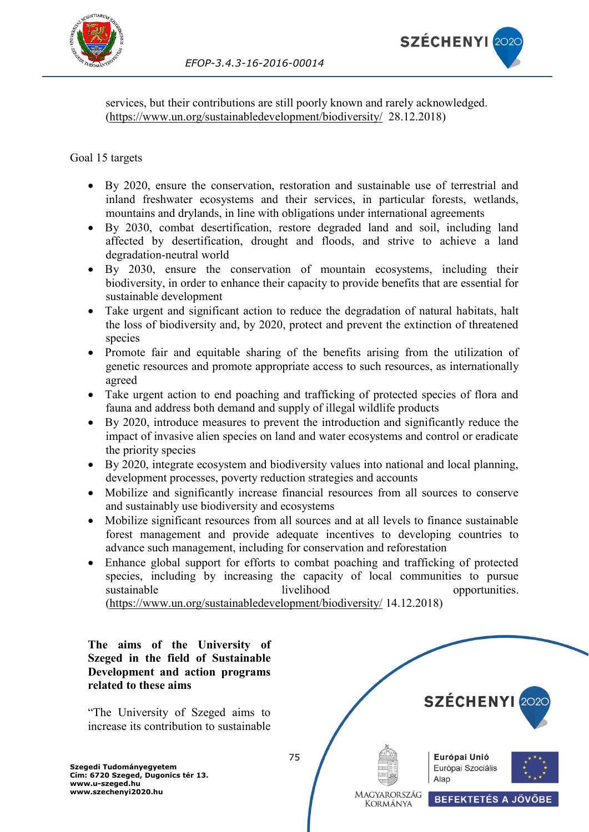



services, but their contributions are still poorly known and rarely acknowledged. [\(https://www.un.org/sustainabledevelopment/biodiversity/](https://www.un.org/sustainabledevelopment/biodiversity/) 28.12.2018)

Goal 15 targets

- By 2020, ensure the conservation, restoration and sustainable use of terrestrial and inland freshwater ecosystems and their services, in particular forests, wetlands, mountains and drylands, in line with obligations under international agreements
- By 2030, combat desertification, restore degraded land and soil, including land affected by desertification, drought and floods, and strive to achieve a land degradation-neutral world
- By 2030, ensure the conservation of mountain ecosystems, including their biodiversity, in order to enhance their capacity to provide benefits that are essential for sustainable development
- Take urgent and significant action to reduce the degradation of natural habitats, halt the loss of biodiversity and, by 2020, protect and prevent the extinction of threatened species
- Promote fair and equitable sharing of the benefits arising from the utilization of genetic resources and promote appropriate access to such resources, as internationally agreed
- Take urgent action to end poaching and trafficking of protected species of flora and fauna and address both demand and supply of illegal wildlife products
- By 2020, introduce measures to prevent the introduction and significantly reduce the impact of invasive alien species on land and water ecosystems and control or eradicate the priority species
- By 2020, integrate ecosystem and biodiversity values into national and local planning, development processes, poverty reduction strategies and accounts
- Mobilize and significantly increase financial resources from all sources to conserve and sustainably use biodiversity and ecosystems
- Mobilize significant resources from all sources and at all levels to finance sustainable forest management and provide adequate incentives to developing countries to advance such management, including for conservation and reforestation
- Enhance global support for efforts to combat poaching and trafficking of protected species, including by increasing the capacity of local communities to pursue sustainable livelihood opportunities.

[\(https://www.un.org/sustainabledevelopment/biodiversity/](https://www.un.org/sustainabledevelopment/biodiversity/) 14.12.2018)

**The aims of the University of Szeged in the field of Sustainable Development and action programs related to these aims**

"The University of Szeged aims to increase its contribution to sustainable

SZÉCHENYI 202 Európai Unió Európai Szociális Alap MAGYARORSZÁG **BEFEKTETÉS A JÖVŐBE KORMÁNYA** 

**Szegedi Tudományegyetem Cím: 6720 Szeged, Dugonics tér 13. www.u-szeged.hu www.szechenyi2020.hu**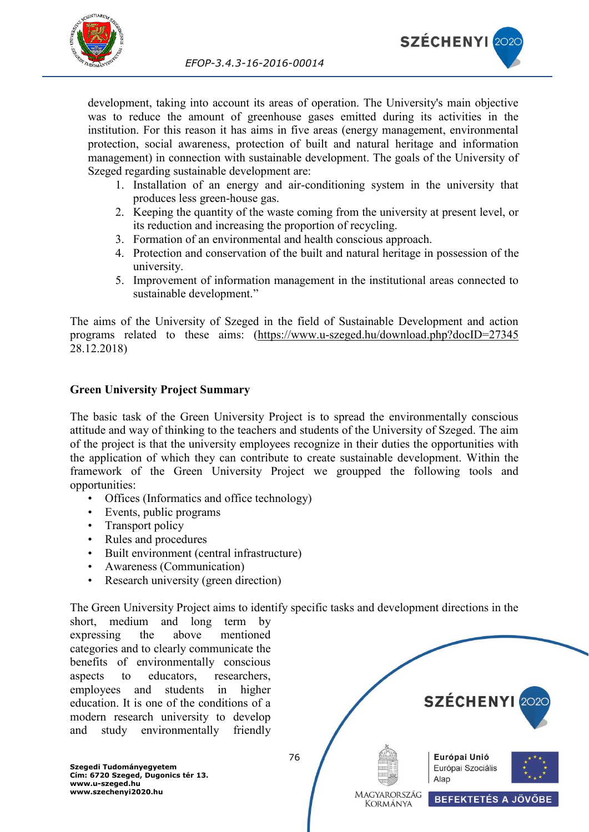



development, taking into account its areas of operation. The University's main objective was to reduce the amount of greenhouse gases emitted during its activities in the institution. For this reason it has aims in five areas (energy management, environmental protection, social awareness, protection of built and natural heritage and information management) in connection with sustainable development. The goals of the University of Szeged regarding sustainable development are:

- 1. Installation of an energy and air-conditioning system in the university that produces less green-house gas.
- 2. Keeping the quantity of the waste coming from the university at present level, or its reduction and increasing the proportion of recycling.
- 3. Formation of an environmental and health conscious approach.
- 4. Protection and conservation of the built and natural heritage in possession of the university.
- 5. Improvement of information management in the institutional areas connected to sustainable development."

The aims of the University of Szeged in the field of Sustainable Development and action programs related to these aims: [\(https://www.u-szeged.hu/download.php?docID=27345](https://www.u-szeged.hu/download.php?docID=27345)  28.12.2018)

### **Green University Project Summary**

The basic task of the Green University Project is to spread the environmentally conscious attitude and way of thinking to the teachers and students of the University of Szeged. The aim of the project is that the university employees recognize in their duties the opportunities with the application of which they can contribute to create sustainable development. Within the framework of the Green University Project we groupped the following tools and opportunities:

- Offices (Informatics and office technology)
- Events, public programs
- Transport policy
- Rules and procedures
- Built environment (central infrastructure)
- Awareness (Communication)
- Research university (green direction)

The Green University Project aims to identify specific tasks and development directions in the

short, medium and long term by expressing the above mentioned categories and to clearly communicate the benefits of environmentally conscious aspects to educators, researchers, employees and students in higher education. It is one of the conditions of a modern research university to develop and study environmentally friendly



76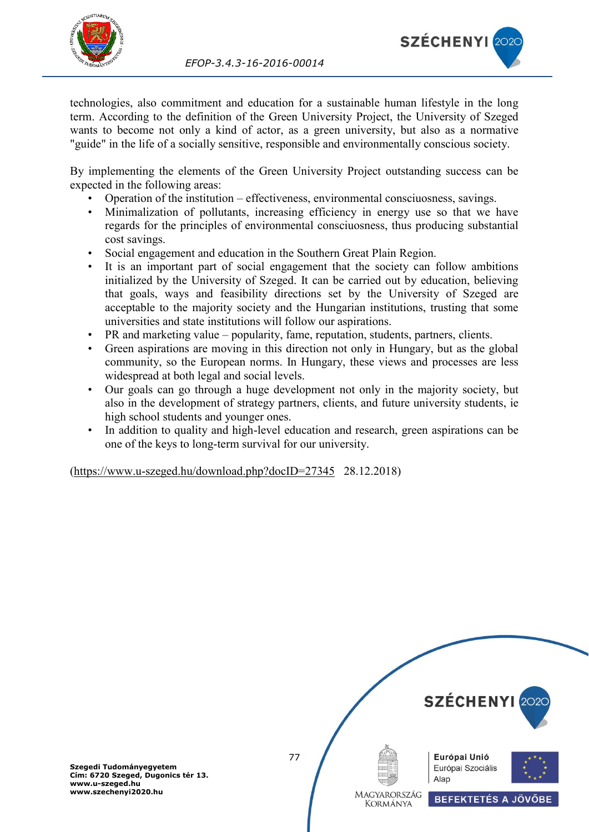



technologies, also commitment and education for a sustainable human lifestyle in the long term. According to the definition of the Green University Project, the University of Szeged wants to become not only a kind of actor, as a green university, but also as a normative "guide" in the life of a socially sensitive, responsible and environmentally conscious society.

By implementing the elements of the Green University Project outstanding success can be expected in the following areas:

- Operation of the institution effectiveness, environmental consciuosness, savings.
- Minimalization of pollutants, increasing efficiency in energy use so that we have regards for the principles of environmental consciuosness, thus producing substantial cost savings.
- Social engagement and education in the Southern Great Plain Region.
- It is an important part of social engagement that the society can follow ambitions initialized by the University of Szeged. It can be carried out by education, believing that goals, ways and feasibility directions set by the University of Szeged are acceptable to the majority society and the Hungarian institutions, trusting that some universities and state institutions will follow our aspirations.
- PR and marketing value popularity, fame, reputation, students, partners, clients.
- Green aspirations are moving in this direction not only in Hungary, but as the global community, so the European norms. In Hungary, these views and processes are less widespread at both legal and social levels.
- Our goals can go through a huge development not only in the majority society, but also in the development of strategy partners, clients, and future university students, ie high school students and younger ones.
- In addition to quality and high-level education and research, green aspirations can be one of the keys to long-term survival for our university.

[\(https://www.u-szeged.hu/download.php?docID=27345](https://www.u-szeged.hu/download.php?docID=27345) 28.12.2018)